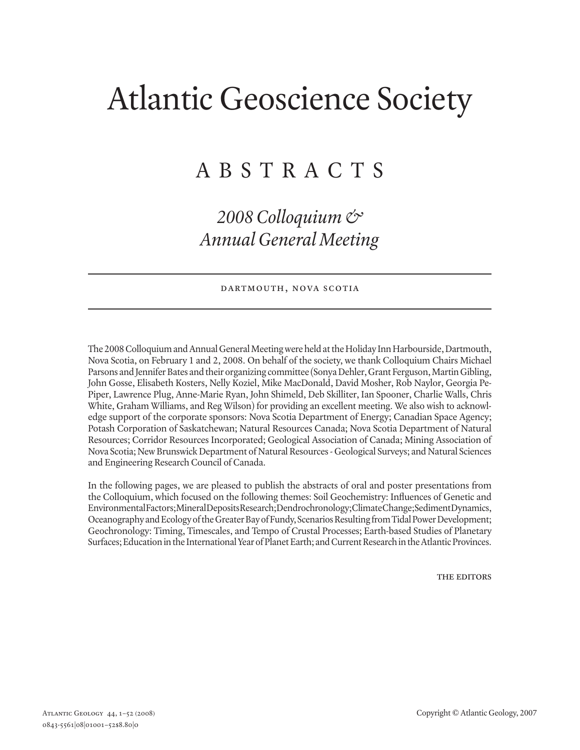# Atlantic Geoscience Society

# A B S T R A C T S

# *2008 Colloquium & Annual General Meeting*

#### DARTMOUTH, NOVA SCOTIA

The 2008 Colloquium and Annual General Meeting were held at the Holiday Inn Harbourside, Dartmouth, Nova Scotia, on February 1 and 2, 2008. On behalf of the society, we thank Colloquium Chairs Michael Parsons and Jennifer Bates and their organizing committee (Sonya Dehler, Grant Ferguson, Martin Gibling, John Gosse, Elisabeth Kosters, Nelly Koziel, Mike MacDonald, David Mosher, Rob Naylor, Georgia Pe-Piper, Lawrence Plug, Anne-Marie Ryan, John Shimeld, Deb Skilliter, Ian Spooner, Charlie Walls, Chris White, Graham Williams, and Reg Wilson) for providing an excellent meeting. We also wish to acknowledge support of the corporate sponsors: Nova Scotia Department of Energy; Canadian Space Agency; Potash Corporation of Saskatchewan; Natural Resources Canada; Nova Scotia Department of Natural Resources; Corridor Resources Incorporated; Geological Association of Canada; Mining Association of Nova Scotia; New Brunswick Department of Natural Resources - Geological Surveys; and Natural Sciences and Engineering Research Council of Canada.

In the following pages, we are pleased to publish the abstracts of oral and poster presentations from the Colloquium, which focused on the following themes: Soil Geochemistry: Influences of Genetic and Environmental Factors; Mineral Deposits Research; Dendrochronology; Climate Change; Sediment Dynamics, Oceanography and Ecology of the Greater Bay of Fundy, Scenarios Resulting from Tidal Power Development; Geochronology: Timing, Timescales, and Tempo of Crustal Processes; Earth-based Studies of Planetary Surfaces; Education in the International Year of Planet Earth; and Current Research in the Atlantic Provinces.

THE EDITORS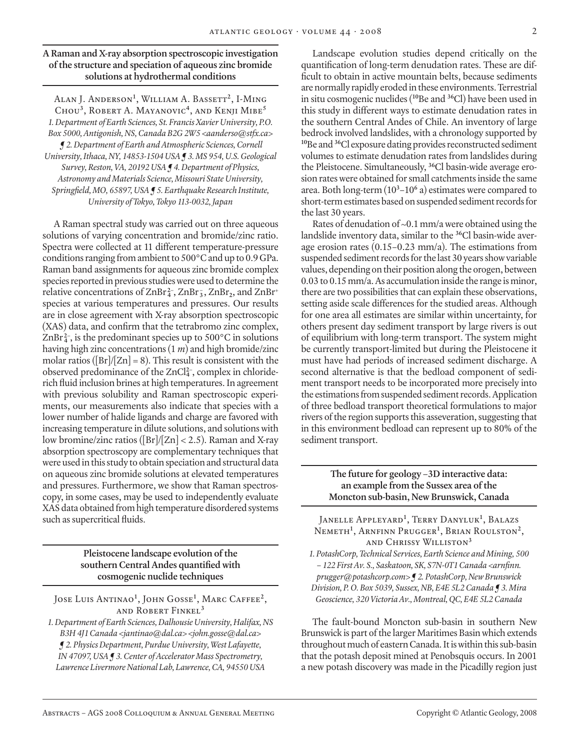## **A Raman and X-ray absorption spectroscopic investigation of the structure and speciation of aqueous zinc bromide solutions at hydrothermal conditions**

Alan J. Anderson**<sup>1</sup>** , William A. Bassett**<sup>2</sup>**, I-Ming Chou**<sup>3</sup>**, Robert A. Mayanovic**<sup>4</sup>**, and Kenji Mibe**<sup>5</sup>** *1. Department of Earth Sciences, St. Francis Xavier University, P.O. Box 5000, Antigonish, NS, Canada B2G 2W5 <aanderso@stfx.ca> ¶ 2. Department of Earth and Atmospheric Sciences, Cornell University, Ithaca, NY, 14853-1504 USA ¶ 3. MS 954, U.S. Geological Survey, Reston, VA, 20192 USA ¶ 4. Department of Physics, Astronomy and Materials Science, Missouri State University, Springfield, MO, 65897, USA ¶ 5. Earthquake Research Institute, University of Tokyo, Tokyo 113-0032, Japan*

A Raman spectral study was carried out on three aqueous solutions of varying concentration and bromide/zinc ratio. Spectra were collected at 11 different temperature-pressure conditions ranging from ambient to 500°C and up to 0.9 GPa. Raman band assignments for aqueous zinc bromide complex species reported in previous studies were used to determine the relative concentrations of ZnBr **2– <sup>4</sup>** , ZnBr **– <sup>3</sup>** , ZnBr**2**, and ZnBr**<sup>+</sup>** species at various temperatures and pressures. Our results are in close agreement with X-ray absorption spectroscopic (XAS) data, and confirm that the tetrabromo zinc complex, ZnBr<sup>2</sup><sup>-</sup>, is the predominant species up to 500°C in solutions having high zinc concentrations (1 *m*) and high bromide/zinc molar ratios ( $\frac{[Br]}{Zn} = 8$ ). This result is consistent with the observed predominance of the ZnCl**2– <sup>4</sup>** , complex in chloriderich fluid inclusion brines at high temperatures. In agreement with previous solubility and Raman spectroscopic experiments, our measurements also indicate that species with a lower number of halide ligands and charge are favored with increasing temperature in dilute solutions, and solutions with low bromine/zinc ratios ( $\lceil \text{Br} \rceil / \lceil \text{Zn} \rceil < 2.5$ ). Raman and X-ray absorption spectroscopy are complementary techniques that were used in this study to obtain speciation and structural data on aqueous zinc bromide solutions at elevated temperatures and pressures. Furthermore, we show that Raman spectroscopy, in some cases, may be used to independently evaluate XAS data obtained from high temperature disordered systems such as supercritical fluids.

> **Pleistocene landscape evolution of the southern Central Andes quantified with cosmogenic nuclide techniques**

Jose Luis Antinao**<sup>1</sup>** , John Gosse**<sup>1</sup>** , Marc Caffee**<sup>2</sup>**, and Robert Finkel**<sup>3</sup>**

*1. Department of Earth Sciences, Dalhousie University, Halifax, NS B3H 4J1 Canada <jantinao@dal.ca> <john.gosse@dal.ca> ¶ 2. Physics Department, Purdue University, West Lafayette, IN 47097, USA ¶ 3. Center of Accelerator Mass Spectrometry, Lawrence Livermore National Lab, Lawrence, CA, 94550 USA*

Landscape evolution studies depend critically on the quantification of long-term denudation rates. These are difficult to obtain in active mountain belts, because sediments are normally rapidly eroded in these environments. Terrestrial in situ cosmogenic nuclides (**<sup>10</sup>**Be and **<sup>36</sup>**Cl) have been used in this study in different ways to estimate denudation rates in the southern Central Andes of Chile. An inventory of large bedrock involved landslides, with a chronology supported by **<sup>10</sup>**Be and **<sup>36</sup>**Cl exposure dating provides reconstructed sediment volumes to estimate denudation rates from landslides during the Pleistocene. Simultaneously, **36**Cl basin-wide average erosion rates were obtained for small catchments inside the same area. Both long-term (10**<sup>3</sup>** –10**<sup>6</sup>** a) estimates were compared to short-term estimates based on suspended sediment records for the last 30 years.

Rates of denudation of ~0.1 mm/a were obtained using the landslide inventory data, similar to the **36**Cl basin-wide average erosion rates (0.15–0.23 mm/a). The estimations from suspended sediment records for the last 30 years show variable values, depending on their position along the orogen, between 0.03 to 0.15 mm/a. As accumulation inside the range is minor, there are two possibilities that can explain these observations, setting aside scale differences for the studied areas. Although for one area all estimates are similar within uncertainty, for others present day sediment transport by large rivers is out of equilibrium with long-term transport. The system might be currently transport-limited but during the Pleistocene it must have had periods of increased sediment discharge. A second alternative is that the bedload component of sediment transport needs to be incorporated more precisely into the estimations from suspended sediment records. Application of three bedload transport theoretical formulations to major rivers of the region supports this asseveration, suggesting that in this environment bedload can represent up to 80% of the sediment transport.

> **The future for geology –3D interactive data: an example from the Sussex area of the Moncton sub-basin, New Brunswick, Canada**

Janelle Appleyard**<sup>1</sup>** , Terry Danyluk**<sup>1</sup>** , Balazs Nemeth**<sup>1</sup>** , Arnfinn Prugger**<sup>1</sup>** , Brian Roulston**<sup>2</sup>**, and Chrissy Williston**<sup>3</sup>**

*1. PotashCorp, Technical Services, Earth Science and Mining, 500 – 122 First Av. S., Saskatoon, SK, S7N-0T1 Canada <arnfinn. prugger@potashcorp.com> ¶ 2. PotashCorp, New Brunswick Division, P. O. Box 5039, Sussex, NB, E4E 5L2 Canada ¶ 3. Mira Geoscience, 320 Victoria Av., Montreal, QC, E4E 5L2 Canada*

The fault-bound Moncton sub-basin in southern New Brunswick is part of the larger Maritimes Basin which extends throughout much of eastern Canada. It is within this sub-basin that the potash deposit mined at Penobsquis occurs. In 2001 a new potash discovery was made in the Picadilly region just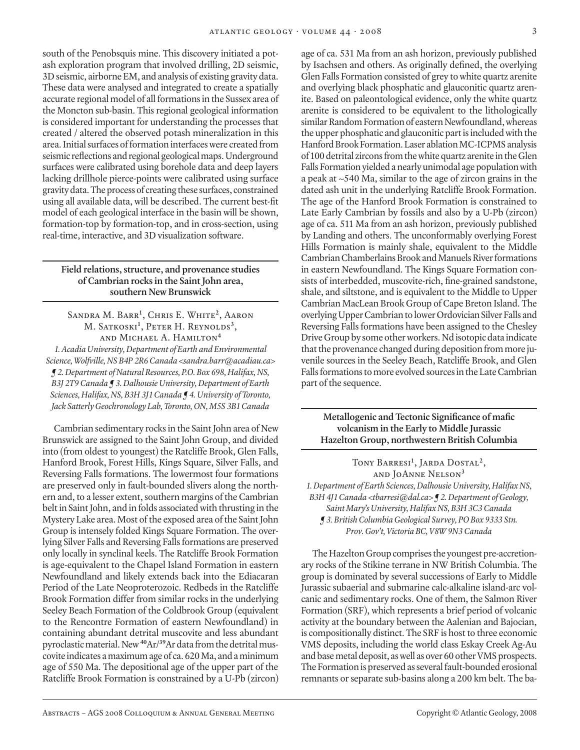south of the Penobsquis mine. This discovery initiated a potash exploration program that involved drilling, 2D seismic, 3D seismic, airborne EM, and analysis of existing gravity data. These data were analysed and integrated to create a spatially accurate regional model of all formations in the Sussex area of the Moncton sub-basin. This regional geological information is considered important for understanding the processes that created / altered the observed potash mineralization in this area. Initial surfaces of formation interfaces were created from seismic reflections and regional geological maps. Underground surfaces were calibrated using borehole data and deep layers lacking drillhole pierce-points were calibrated using surface gravity data. The process of creating these surfaces, constrained using all available data, will be described. The current best-fit model of each geological interface in the basin will be shown, formation-top by formation-top, and in cross-section, using real-time, interactive, and 3D visualization software.

# **Field relations, structure, and provenance studies of Cambrian rocks in the Saint John area, southern New Brunswick**

Sandra M. Barr**<sup>1</sup>** , Chris E. White**<sup>2</sup>**, Aaron M. Satkoski**<sup>1</sup>** , Peter H. Reynolds**<sup>3</sup>**, and Michael A. Hamilton**<sup>4</sup>** *1. Acadia University, Department of Earth and Environmental Science, Wolfville, NS B4P 2R6 Canada <sandra.barr@acadiau.ca> ¶ 2. Department of Natural Resources, P.O. Box 698, Halifax, NS, B3J 2T9 Canada ¶ 3. Dalhousie University, Department of Earth Sciences, Halifax, NS, B3H 3J1 Canada ¶ 4. University of Toronto, Jack Satterly Geochronology Lab, Toronto, ON, M5S 3B1 Canada*

Cambrian sedimentary rocks in the Saint John area of New Brunswick are assigned to the Saint John Group, and divided into (from oldest to youngest) the Ratcliffe Brook, Glen Falls, Hanford Brook, Forest Hills, Kings Square, Silver Falls, and Reversing Falls formations. The lowermost four formations are preserved only in fault-bounded slivers along the northern and, to a lesser extent, southern margins of the Cambrian belt in Saint John, and in folds associated with thrusting in the Mystery Lake area. Most of the exposed area of the Saint John Group is intensely folded Kings Square Formation. The overlying Silver Falls and Reversing Falls formations are preserved only locally in synclinal keels. The Ratcliffe Brook Formation is age-equivalent to the Chapel Island Formation in eastern Newfoundland and likely extends back into the Ediacaran Period of the Late Neoproterozoic. Redbeds in the Ratcliffe Brook Formation differ from similar rocks in the underlying Seeley Beach Formation of the Coldbrook Group (equivalent to the Rencontre Formation of eastern Newfoundland) in containing abundant detrital muscovite and less abundant pyroclastic material. New **40**Ar/**39**Ar data from the detrital muscovite indicates a maximum age of ca. 620 Ma, and a minimum age of 550 Ma. The depositional age of the upper part of the Ratcliffe Brook Formation is constrained by a U-Pb (zircon)

age of ca. 531 Ma from an ash horizon, previously published by Isachsen and others. As originally defined, the overlying Glen Falls Formation consisted of grey to white quartz arenite and overlying black phosphatic and glauconitic quartz arenite. Based on paleontological evidence, only the white quartz arenite is considered to be equivalent to the lithologically similar Random Formation of eastern Newfoundland, whereas the upper phosphatic and glauconitic part is included with the Hanford Brook Formation. Laser ablation MC-ICPMS analysis of 100 detrital zircons from the white quartz arenite in the Glen Falls Formation yielded a nearly unimodal age population with a peak at ~540 Ma, similar to the age of zircon grains in the dated ash unit in the underlying Ratcliffe Brook Formation. The age of the Hanford Brook Formation is constrained to Late Early Cambrian by fossils and also by a U-Pb (zircon) age of ca. 511 Ma from an ash horizon, previously published by Landing and others. The unconformably overlying Forest Hills Formation is mainly shale, equivalent to the Middle Cambrian Chamberlains Brook and Manuels River formations in eastern Newfoundland. The Kings Square Formation consists of interbedded, muscovite-rich, fine-grained sandstone, shale, and siltstone, and is equivalent to the Middle to Upper Cambrian MacLean Brook Group of Cape Breton Island. The overlying Upper Cambrian to lower Ordovician Silver Falls and Reversing Falls formations have been assigned to the Chesley Drive Group by some other workers. Nd isotopic data indicate that the provenance changed during deposition from more juvenile sources in the Seeley Beach, Ratcliffe Brook, and Glen Falls formations to more evolved sources in the Late Cambrian part of the sequence.

**Metallogenic and Tectonic Significance of mafic volcanism in the Early to Middle Jurassic Hazelton Group, northwestern British Columbia**

Tony Barresi**<sup>1</sup>** , Jarda Dostal**<sup>2</sup>**, and JoAnne Nelson**<sup>3</sup>** *1. Department of Earth Sciences, Dalhousie University, Halifax NS, B3H 4J1 Canada <tbarresi@dal.ca> ¶ 2. Department of Geology, Saint Mary's University, Halifax NS, B3H 3C3 Canada ¶ 3. British Columbia Geological Survey, PO Box 9333 Stn. Prov. Gov't, Victoria BC, V8W 9N3 Canada*

The Hazelton Group comprises the youngest pre-accretionary rocks of the Stikine terrane in NW British Columbia. The group is dominated by several successions of Early to Middle Jurassic subaerial and submarine calc-alkaline island-arc volcanic and sedimentary rocks. One of them, the Salmon River Formation (SRF), which represents a brief period of volcanic activity at the boundary between the Aalenian and Bajocian, is compositionally distinct. The SRF is host to three economic VMS deposits, including the world class Eskay Creek Ag-Au and base metal deposit, as well as over 60 other VMS prospects. The Formation is preserved as several fault-bounded erosional remnants or separate sub-basins along a 200 km belt. The ba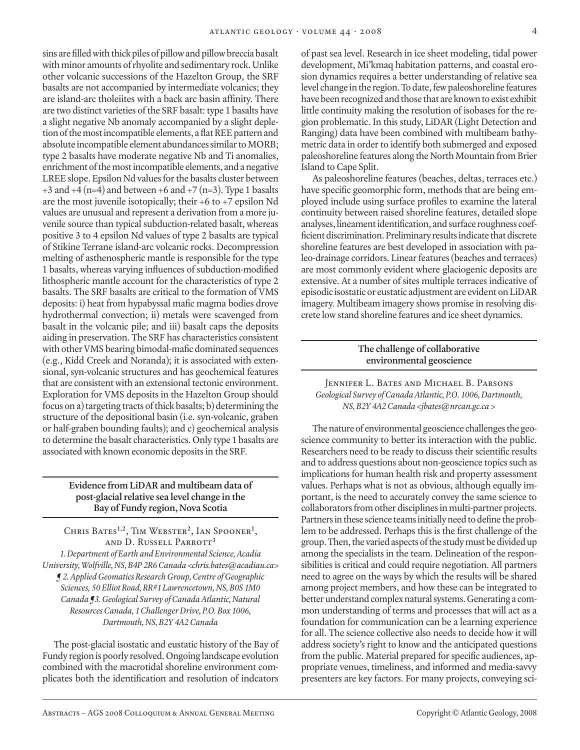sins are filled with thick piles of pillow and pillow breccia basalt with minor amounts of rhyolite and sedimentary rock. Unlike other volcanic successions of the Hazelton Group, the SRF basalts are not accompanied by intermediate volcanics; they are island-arc tholeiites with a back arc basin affinity. There are two distinct varieties of the SRF basalt: type 1 basalts have a slight negative Nb anomaly accompanied by a slight depletion of the most incompatible elements, a flat REE pattern and absolute incompatible element abundances similar to MORB; type 2 basalts have moderate negative Nb and Ti anomalies, enrichment of the most incompatible elements, and a negative LREE slope. Epsilon Nd values for the basalts cluster between  $+3$  and  $+4$  (n=4) and between  $+6$  and  $+7$  (n=3). Type 1 basalts are the most juvenile isotopically; their +6 to +7 epsilon Nd values are unusual and represent a derivation from a more juvenile source than typical subduction-related basalt, whereas positive 3 to 4 epsilon Nd values of type 2 basalts are typical of Stikine Terrane island-arc volcanic rocks. Decompression melting of asthenospheric mantle is responsible for the type 1 basalts, whereas varying influences of subduction-modified lithospheric mantle account for the characteristics of type 2 basalts. The SRF basalts are critical to the formation of VMS deposits: i) heat from hypabyssal mafic magma bodies drove hydrothermal convection; ii) metals were scavenged from basalt in the volcanic pile; and iii) basalt caps the deposits aiding in preservation. The SRF has characteristics consistent with other VMS bearing bimodal-mafic dominated sequences (e.g., Kidd Creek and Noranda); it is associated with extensional, syn-volcanic structures and has geochemical features that are consistent with an extensional tectonic environment. Exploration for VMS deposits in the Hazelton Group should focus on a) targeting tracts of thick basalts; b) determining the structure of the depositional basin (i.e. syn-volcanic, graben or half-graben bounding faults); and c) geochemical analysis to determine the basalt characteristics. Only type 1 basalts are associated with known economic deposits in the SRF.

# **Evidence from LiDAR and multibeam data of post-glacial relative sea level change in the Bay of Fundy region, Nova Scotia**

Chris Bates**1,2**, Tim Webster**<sup>2</sup>**, Ian Spooner**<sup>1</sup>** , and D. Russell Parrott**<sup>3</sup>** *1. Department of Earth and Environmental Science, Acadia University, Wolfville, NS, B4P 2R6 Canada <chris.bates@acadiau.ca> ¶ 2. Applied Geomatics Research Group, Centre of Geographic Sciences, 50 Elliot Road, RR#1 Lawrencetown, NS, B0S 1M0 Canada ¶3. Geological Survey of Canada Atlantic, Natural Resources Canada, 1 Challenger Drive, P.O. Box 1006, Dartmouth, NS, B2Y 4A2 Canada*

The post-glacial isostatic and eustatic history of the Bay of Fundy region is poorly resolved. Ongoing landscape evolution combined with the macrotidal shoreline environment complicates both the identification and resolution of indcators

of past sea level. Research in ice sheet modeling, tidal power development, Mi'kmaq habitation patterns, and coastal erosion dynamics requires a better understanding of relative sea level change in the region. To date, few paleoshoreline features have been recognized and those that are known to exist exhibit little continuity making the resolution of isobases for the region problematic. In this study, LiDAR (Light Detection and Ranging) data have been combined with multibeam bathymetric data in order to identify both submerged and exposed paleoshoreline features along the North Mountain from Brier Island to Cape Split.

As paleoshoreline features (beaches, deltas, terraces etc.) have specific geomorphic form, methods that are being employed include using surface profiles to examine the lateral continuity between raised shoreline features, detailed slope analyses, lineament identification, and surface roughness coefficient discrimination. Preliminary results indicate that discrete shoreline features are best developed in association with paleo-drainage corridors. Linear features (beaches and terraces) are most commonly evident where glaciogenic deposits are extensive. At a number of sites multiple terraces indicative of episodic isostatic or eustatic adjustment are evident on LiDAR imagery. Multibeam imagery shows promise in resolving discrete low stand shoreline features and ice sheet dynamics.

# **The challenge of collaborative environmental geoscience**

Jennifer L. Bates and Michael B. Parsons *Geological Survey of Canada Atlantic, P.O. 1006, Dartmouth, NS, B2Y 4A2 Canada <jbates@nrcan.gc.ca >*

The nature of environmental geoscience challenges the geoscience community to better its interaction with the public. Researchers need to be ready to discuss their scientific results and to address questions about non-geoscience topics such as implications for human health risk and property assessment values. Perhaps what is not as obvious, although equally important, is the need to accurately convey the same science to collaborators from other disciplines in multi-partner projects. Partners in these science teams initially need to define the problem to be addressed. Perhaps this is the first challenge of the group. Then, the varied aspects of the study must be divided up among the specialists in the team. Delineation of the responsibilities is critical and could require negotiation. All partners need to agree on the ways by which the results will be shared among project members, and how these can be integrated to better understand complex natural systems. Generating a common understanding of terms and processes that will act as a foundation for communication can be a learning experience for all. The science collective also needs to decide how it will address society's right to know and the anticipated questions from the public. Material prepared for specific audiences, appropriate venues, timeliness, and informed and media-savvy presenters are key factors. For many projects, conveying sci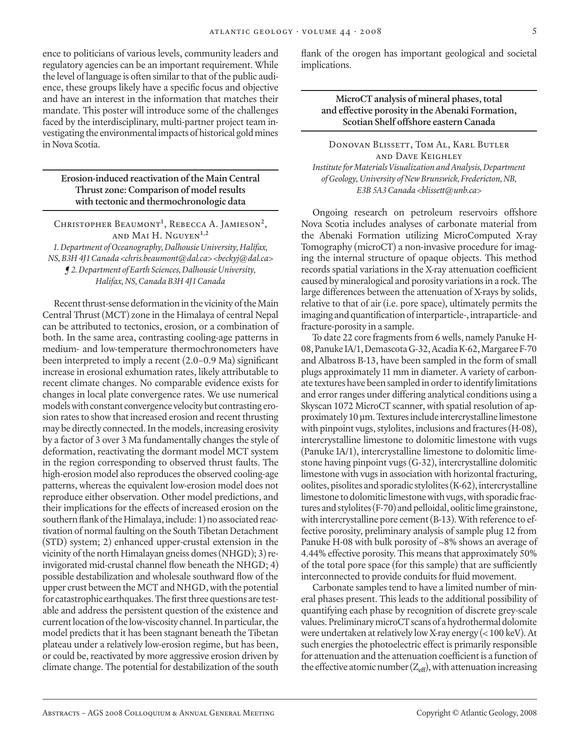ence to politicians of various levels, community leaders and regulatory agencies can be an important requirement. While the level of language is often similar to that of the public audience, these groups likely have a specific focus and objective and have an interest in the information that matches their mandate. This poster will introduce some of the challenges faced by the interdisciplinary, multi-partner project team investigating the environmental impacts of historical gold mines in Nova Scotia.

**Erosion-induced reactivation of the Main Central Thrust zone: Comparison of model results with tectonic and thermochronologic data**

Christopher Beaumont**<sup>1</sup>** , Rebecca A. Jamieson**<sup>2</sup>**, and Mai H. Nguyen**1,2** *1. Department of Oceanography, Dalhousie University, Halifax, NS, B3H 4J1 Canada <chris.beaumont@dal.ca> <beckyj@dal.ca> ¶ 2. Department of Earth Sciences, Dalhousie University, Halifax, NS, Canada B3H 4J1 Canada*

Recent thrust-sense deformation in the vicinity of the Main Central Thrust (MCT) zone in the Himalaya of central Nepal can be attributed to tectonics, erosion, or a combination of both. In the same area, contrasting cooling-age patterns in medium- and low-temperature thermochronometers have been interpreted to imply a recent (2.0–0.9 Ma) significant increase in erosional exhumation rates, likely attributable to recent climate changes. No comparable evidence exists for changes in local plate convergence rates. We use numerical models with constant convergence velocity but contrasting erosion rates to show that increased erosion and recent thrusting may be directly connected. In the models, increasing erosivity by a factor of 3 over 3 Ma fundamentally changes the style of deformation, reactivating the dormant model MCT system in the region corresponding to observed thrust faults. The high-erosion model also reproduces the observed cooling-age patterns, whereas the equivalent low-erosion model does not reproduce either observation. Other model predictions, and their implications for the effects of increased erosion on the southern flank of the Himalaya, include: 1) no associated reactivation of normal faulting on the South Tibetan Detachment (STD) system; 2) enhanced upper-crustal extension in the vicinity of the north Himalayan gneiss domes (NHGD); 3) reinvigorated mid-crustal channel flow beneath the NHGD; 4) possible destabilization and wholesale southward flow of the upper crust between the MCT and NHGD, with the potential for catastrophic earthquakes. The first three questions are testable and address the persistent question of the existence and current location of the low-viscosity channel. In particular, the model predicts that it has been stagnant beneath the Tibetan plateau under a relatively low-erosion regime, but has been, or could be, reactivated by more aggressive erosion driven by climate change. The potential for destabilization of the south

flank of the orogen has important geological and societal implications.

**MicroCT analysis of mineral phases, total and effective porosity in the Abenaki Formation, Scotian Shelf offshore eastern Canada**

DONOVAN BLISSETT, TOM AL, KARL BUTLER and Dave Keighley *Institute for Materials Visualization and Analysis, Department of Geology, University of New Brunswick, Fredericton, NB, E3B 5A3 Canada <blissett@unb.ca>*

Ongoing research on petroleum reservoirs offshore Nova Scotia includes analyses of carbonate material from the Abenaki Formation utilizing MicroComputed X-ray Tomography (microCT) a non-invasive procedure for imaging the internal structure of opaque objects. This method records spatial variations in the X-ray attenuation coefficient caused by mineralogical and porosity variations in a rock. The large differences between the attenuation of X-rays by solids, relative to that of air (i.e. pore space), ultimately permits the imaging and quantification of interparticle-, intraparticle- and fracture-porosity in a sample.

To date 22 core fragments from 6 wells, namely Panuke H-08, Panuke IA/1, Demascota G-32, Acadia K-62, Margaree F-70 and Albatross B-13, have been sampled in the form of small plugs approximately 11 mm in diameter. A variety of carbonate textures have been sampled in order to identify limitations and error ranges under differing analytical conditions using a Skyscan 1072 MicroCT scanner, with spatial resolution of approximately 10 µm. Textures include intercrystalline limestone with pinpoint vugs, stylolites, inclusions and fractures (H-08), intercrystalline limestone to dolomitic limestone with vugs (Panuke IA/1), intercrystalline limestone to dolomitic limestone having pinpoint vugs (G-32), intercrystalline dolomitic limestone with vugs in association with horizontal fracturing, oolites, pisolites and sporadic stylolites (K-62), intercrystalline limestone to dolomitic limestone with vugs, with sporadic fractures and stylolites (F-70) and pelloidal, oolitic lime grainstone, with intercrystalline pore cement (B-13). With reference to effective porosity, preliminary analysis of sample plug 12 from Panuke H-08 with bulk porosity of ~8% shows an average of 4.44% effective porosity. This means that approximately 50% of the total pore space (for this sample) that are sufficiently interconnected to provide conduits for fluid movement.

Carbonate samples tend to have a limited number of mineral phases present. This leads to the additional possibility of quantifying each phase by recognition of discrete grey-scale values. Preliminary microCT scans of a hydrothermal dolomite were undertaken at relatively low X-ray energy (< 100 keV). At such energies the photoelectric effect is primarily responsible for attenuation and the attenuation coefficient is a function of the effective atomic number  $(Z_{\text{eff}})$ , with attenuation increasing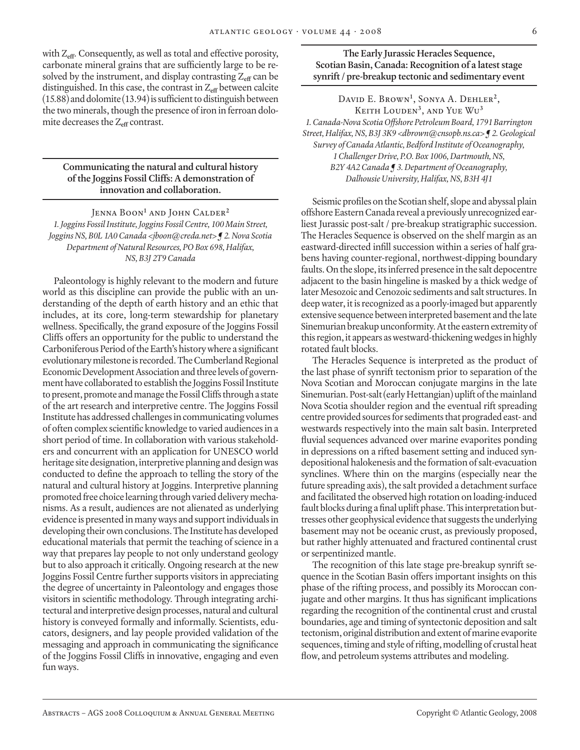with Z**eff**. Consequently, as well as total and effective porosity, carbonate mineral grains that are sufficiently large to be resolved by the instrument, and display contrasting Z<sub>eff</sub> can be distinguished. In this case, the contrast in Z<sub>eff</sub> between calcite (15.88) and dolomite (13.94) is sufficient to distinguish between the two minerals, though the presence of iron in ferroan dolomite decreases the Z**eff** contrast.

#### **Communicating the natural and cultural history of the Joggins Fossil Cliffs: A demonstration of innovation and collaboration.**

Jenna Boon<sup>1</sup> and John Calder<sup>2</sup> *1. Joggins Fossil Institute, Joggins Fossil Centre, 100 Main Street, Joggins NS, B0L 1A0 Canada <jboon@creda.net> ¶ 2. Nova Scotia Department of Natural Resources, PO Box 698, Halifax, NS, B3J 2T9 Canada*

Paleontology is highly relevant to the modern and future world as this discipline can provide the public with an understanding of the depth of earth history and an ethic that includes, at its core, long-term stewardship for planetary wellness. Specifically, the grand exposure of the Joggins Fossil Cliffs offers an opportunity for the public to understand the Carboniferous Period of the Earth's history where a significant evolutionary milestone is recorded. The Cumberland Regional Economic Development Association and three levels of government have collaborated to establish the Joggins Fossil Institute to present, promote and manage the Fossil Cliffs through a state of the art research and interpretive centre. The Joggins Fossil Institute has addressed challenges in communicating volumes of often complex scientific knowledge to varied audiences in a short period of time. In collaboration with various stakeholders and concurrent with an application for UNESCO world heritage site designation, interpretive planning and design was conducted to define the approach to telling the story of the natural and cultural history at Joggins. Interpretive planning promoted free choice learning through varied delivery mechanisms. As a result, audiences are not alienated as underlying evidence is presented in many ways and support individuals in developing their own conclusions. The Institute has developed educational materials that permit the teaching of science in a way that prepares lay people to not only understand geology but to also approach it critically. Ongoing research at the new Joggins Fossil Centre further supports visitors in appreciating the degree of uncertainty in Paleontology and engages those visitors in scientific methodology. Through integrating architectural and interpretive design processes, natural and cultural history is conveyed formally and informally. Scientists, educators, designers, and lay people provided validation of the messaging and approach in communicating the significance of the Joggins Fossil Cliffs in innovative, engaging and even fun ways.

# **The Early Jurassic Heracles Sequence, Scotian Basin, Canada: Recognition of a latest stage synrift / pre-breakup tectonic and sedimentary event**

David E. Brown**<sup>1</sup>** , Sonya A. Dehler**<sup>2</sup>**, Keith Louden**<sup>3</sup>**, and Yue Wu**<sup>3</sup>** *1. Canada-Nova Scotia Offshore Petroleum Board, 1791 Barrington Street, Halifax, NS, B3J 3K9 <dbrown@cnsopb.ns.ca> ¶ 2. Geological Survey of Canada Atlantic, Bedford Institute of Oceanography, 1 Challenger Drive, P.O. Box 1006, Dartmouth, NS, B2Y 4A2 Canada ¶ 3. Department of Oceanography, Dalhousie University, Halifax, NS, B3H 4J1*

Seismic profiles on the Scotian shelf, slope and abyssal plain offshore Eastern Canada reveal a previously unrecognized earliest Jurassic post-salt / pre-breakup stratigraphic succession. The Heracles Sequence is observed on the shelf margin as an eastward-directed infill succession within a series of half grabens having counter-regional, northwest-dipping boundary faults. On the slope, its inferred presence in the salt depocentre adjacent to the basin hingeline is masked by a thick wedge of later Mesozoic and Cenozoic sediments and salt structures. In deep water, it is recognized as a poorly-imaged but apparently extensive sequence between interpreted basement and the late Sinemurian breakup unconformity. At the eastern extremity of this region, it appears as westward-thickening wedges in highly rotated fault blocks.

The Heracles Sequence is interpreted as the product of the last phase of synrift tectonism prior to separation of the Nova Scotian and Moroccan conjugate margins in the late Sinemurian. Post-salt (early Hettangian) uplift of the mainland Nova Scotia shoulder region and the eventual rift spreading centre provided sources for sediments that prograded east- and westwards respectively into the main salt basin. Interpreted fluvial sequences advanced over marine evaporites ponding in depressions on a rifted basement setting and induced syndepositional halokenesis and the formation of salt-evacuation synclines. Where thin on the margins (especially near the future spreading axis), the salt provided a detachment surface and facilitated the observed high rotation on loading-induced fault blocks during a final uplift phase. This interpretation buttresses other geophysical evidence that suggests the underlying basement may not be oceanic crust, as previously proposed, but rather highly attenuated and fractured continental crust or serpentinized mantle.

The recognition of this late stage pre-breakup synrift sequence in the Scotian Basin offers important insights on this phase of the rifting process, and possibly its Moroccan conjugate and other margins. It thus has significant implications regarding the recognition of the continental crust and crustal boundaries, age and timing of syntectonic deposition and salt tectonism, original distribution and extent of marine evaporite sequences, timing and style of rifting, modelling of crustal heat flow, and petroleum systems attributes and modeling.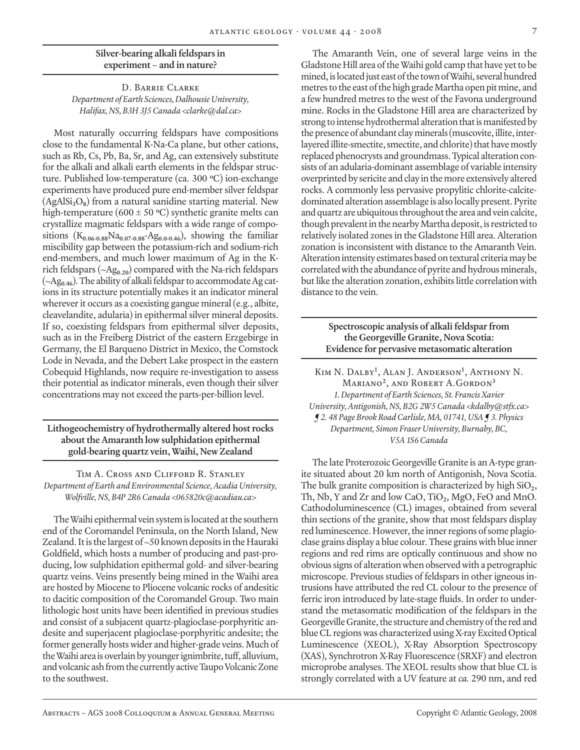# **Silver-bearing alkali feldspars in experiment – and in nature?**

#### D. Barrie Clarke *Department of Earth Sciences, Dalhousie University, Halifax, NS, B3H 3J5 Canada <clarke@dal.ca>*

Most naturally occurring feldspars have compositions close to the fundamental K-Na-Ca plane, but other cations, such as Rb, Cs, Pb, Ba, Sr, and Ag, can extensively substitute for the alkali and alkali earth elements in the feldspar structure. Published low-temperature (ca. 300 **<sup>o</sup>** C) ion-exchange experiments have produced pure end-member silver feldspar  $(AgAISi<sub>3</sub>O<sub>8</sub>)$  from a natural sanidine starting material. New high-temperature (600 ± 50 **<sup>o</sup>** C) synthetic granite melts can crystallize magmatic feldspars with a wide range of compositions  $(K_{0.06-0.88}Na_{0.07-0.88}-Ag_{0.0-0.46})$ , showing the familiar miscibility gap between the potassium-rich and sodium-rich end-members, and much lower maximum of Ag in the Krich feldspars (~Ag**0.20**) compared with the Na-rich feldspars (~Ag**0.46**). The ability of alkali feldspar to accommodate Ag cations in its structure potentially makes it an indicator mineral wherever it occurs as a coexisting gangue mineral (e.g., albite, cleavelandite, adularia) in epithermal silver mineral deposits. If so, coexisting feldspars from epithermal silver deposits, such as in the Freiberg District of the eastern Erzgebirge in Germany, the El Barqueno District in Mexico, the Comstock Lode in Nevada, and the Debert Lake prospect in the eastern Cobequid Highlands, now require re-investigation to assess their potential as indicator minerals, even though their silver concentrations may not exceed the parts-per-billion level.

# **Lithogeochemistry of hydrothermally altered host rocks about the Amaranth low sulphidation epithermal gold-bearing quartz vein, Waihi, New Zealand**

#### Tim A. Cross and Clifford R. Stanley *Department of Earth and Environmental Science, Acadia University, Wolfville, NS, B4P 2R6 Canada <065820c@acadiau.ca>*

The Waihi epithermal vein system is located at the southern end of the Coromandel Peninsula, on the North Island, New Zealand. It is the largest of ~50 known deposits in the Hauraki Goldfield, which hosts a number of producing and past-producing, low sulphidation epithermal gold- and silver-bearing quartz veins. Veins presently being mined in the Waihi area are hosted by Miocene to Pliocene volcanic rocks of andesitic to dacitic composition of the Coromandel Group. Two main lithologic host units have been identified in previous studies and consist of a subjacent quartz-plagioclase-porphyritic andesite and superjacent plagioclase-porphyritic andesite; the former generally hosts wider and higher-grade veins. Much of the Waihi area is overlain by younger ignimbrite, tuff, alluvium, and volcanic ash from the currently active Taupo Volcanic Zone to the southwest.

The Amaranth Vein, one of several large veins in the Gladstone Hill area of the Waihi gold camp that have yet to be mined, is located just east of the town of Waihi, several hundred metres to the east of the high grade Martha open pit mine, and a few hundred metres to the west of the Favona underground mine. Rocks in the Gladstone Hill area are characterized by strong to intense hydrothermal alteration that is manifested by the presence of abundant clay minerals (muscovite, illite, interlayered illite-smectite, smectite, and chlorite) that have mostly replaced phenocrysts and groundmass. Typical alteration consists of an adularia-dominant assemblage of variable intensity overprinted by sericite and clay in the more extensively altered rocks. A commonly less pervasive propylitic chlorite-calcitedominated alteration assemblage is also locally present. Pyrite and quartz are ubiquitous throughout the area and vein calcite, though prevalent in the nearby Martha deposit, is restricted to relatively isolated zones in the Gladstone Hill area. Alteration zonation is inconsistent with distance to the Amaranth Vein. Alteration intensity estimates based on textural criteria may be correlated with the abundance of pyrite and hydrous minerals, but like the alteration zonation, exhibits little correlation with distance to the vein.

#### **Spectroscopic analysis of alkali feldspar from the Georgeville Granite, Nova Scotia: Evidence for pervasive metasomatic alteration**

Kim N. Dalby**<sup>1</sup>** , Alan J. Anderson**<sup>1</sup>** , Anthony N. Mariano**<sup>2</sup>**, and Robert A.Gordon**<sup>3</sup>** *1. Department of Earth Sciences, St. Francis Xavier University, Antigonish, NS, B2G 2W5 Canada <kdalby@stfx.ca> ¶ 2. 48 Page Brook Road Carlisle, MA, 01741, USA ¶ 3. Physics Department, Simon Fraser University, Burnaby, BC, V5A 1S6 Canada*

The late Proterozoic Georgeville Granite is an A-type granite situated about 20 km north of Antigonish, Nova Scotia. The bulk granite composition is characterized by high SiO**2**, Th, Nb, Y and Zr and low CaO, TiO**2**, MgO, FeO and MnO. Cathodoluminescence (CL) images, obtained from several thin sections of the granite, show that most feldspars display red luminescence. However, the inner regions of some plagioclase grains display a blue colour. These grains with blue inner regions and red rims are optically continuous and show no obvious signs of alteration when observed with a petrographic microscope. Previous studies of feldspars in other igneous intrusions have attributed the red CL colour to the presence of ferric iron introduced by late-stage fluids. In order to understand the metasomatic modification of the feldspars in the Georgeville Granite, the structure and chemistry of the red and blue CL regions was characterized using X-ray Excited Optical Luminescence (XEOL), X-Ray Absorption Spectroscopy (XAS), Synchrotron X-Ray Fluorescence (SRXF) and electron microprobe analyses. The XEOL results show that blue CL is strongly correlated with a UV feature at *ca.* 290 nm, and red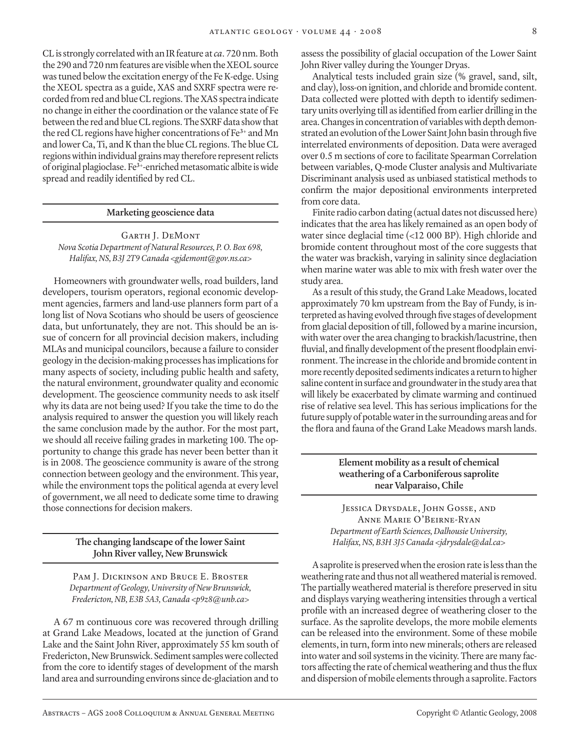CL is strongly correlated with an IR feature at *ca*. 720 nm. Both the 290 and 720 nm features are visible when the XEOL source was tuned below the excitation energy of the Fe K-edge. Using the XEOL spectra as a guide, XAS and SXRF spectra were recorded from red and blue CL regions. The XAS spectra indicate no change in either the coordination or the valance state of Fe between the red and blue CL regions. The SXRF data show that the red CL regions have higher concentrations of Fe**3+** and Mn and lower Ca, Ti, and K than the blue CL regions. The blue CL regions within individual grains may therefore represent relicts of original plagioclase. Fe**3+**-enriched metasomatic albite is wide spread and readily identified by red CL.

#### **Marketing geoscience data**

Garth J. DeMont *Nova Scotia Department of Natural Resources, P. O. Box 698, Halifax, NS, B3J 2T9 Canada <gjdemont@gov.ns.ca>*

Homeowners with groundwater wells, road builders, land developers, tourism operators, regional economic development agencies, farmers and land-use planners form part of a long list of Nova Scotians who should be users of geoscience data, but unfortunately, they are not. This should be an issue of concern for all provincial decision makers, including MLAs and municipal councilors, because a failure to consider geology in the decision-making processes has implications for many aspects of society, including public health and safety, the natural environment, groundwater quality and economic development. The geoscience community needs to ask itself why its data are not being used? If you take the time to do the analysis required to answer the question you will likely reach the same conclusion made by the author. For the most part, we should all receive failing grades in marketing 100. The opportunity to change this grade has never been better than it is in 2008. The geoscience community is aware of the strong connection between geology and the environment. This year, while the environment tops the political agenda at every level of government, we all need to dedicate some time to drawing those connections for decision makers.

#### **The changing landscape of the lower Saint John River valley, New Brunswick**

Pam J. Dickinson and Bruce E. Broster *Department of Geology, University of New Brunswick, Fredericton, NB, E3B 5A3, Canada <p9z8@unb.ca>*

A 67 m continuous core was recovered through drilling at Grand Lake Meadows, located at the junction of Grand Lake and the Saint John River, approximately 55 km south of Fredericton, New Brunswick. Sediment samples were collected from the core to identify stages of development of the marsh land area and surrounding environs since de-glaciation and to

assess the possibility of glacial occupation of the Lower Saint John River valley during the Younger Dryas.

Analytical tests included grain size (% gravel, sand, silt, and clay), loss-on ignition, and chloride and bromide content. Data collected were plotted with depth to identify sedimentary units overlying till as identified from earlier drilling in the area. Changes in concentration of variables with depth demonstrated an evolution of the Lower Saint John basin through five interrelated environments of deposition. Data were averaged over 0.5 m sections of core to facilitate Spearman Correlation between variables, Q-mode Cluster analysis and Multivariate Discriminant analysis used as unbiased statistical methods to confirm the major depositional environments interpreted from core data.

Finite radio carbon dating (actual dates not discussed here) indicates that the area has likely remained as an open body of water since deglacial time (<12 000 BP). High chloride and bromide content throughout most of the core suggests that the water was brackish, varying in salinity since deglaciation when marine water was able to mix with fresh water over the study area.

As a result of this study, the Grand Lake Meadows, located approximately 70 km upstream from the Bay of Fundy, is interpreted as having evolved through five stages of development from glacial deposition of till, followed by a marine incursion, with water over the area changing to brackish/lacustrine, then fluvial, and finally development of the present floodplain environment. The increase in the chloride and bromide content in more recently deposited sediments indicates a return to higher saline content in surface and groundwater in the study area that will likely be exacerbated by climate warming and continued rise of relative sea level. This has serious implications for the future supply of potable water in the surrounding areas and for the flora and fauna of the Grand Lake Meadows marsh lands.

> **Element mobility as a result of chemical weathering of a Carboniferous saprolite near Valparaiso, Chile**

Jessica Drysdale, John Gosse, and Anne Marie O'Beirne-Ryan *Department of Earth Sciences, Dalhousie University, Halifax, NS, B3H 3J5 Canada <jdrysdale@dal.ca>*

A saprolite is preserved when the erosion rate is less than the weathering rate and thus not all weathered material is removed. The partially weathered material is therefore preserved in situ and displays varying weathering intensities through a vertical profile with an increased degree of weathering closer to the surface. As the saprolite develops, the more mobile elements can be released into the environment. Some of these mobile elements, in turn, form into new minerals; others are released into water and soil systems in the vicinity. There are many factors affecting the rate of chemical weathering and thus the flux and dispersion of mobile elements through a saprolite. Factors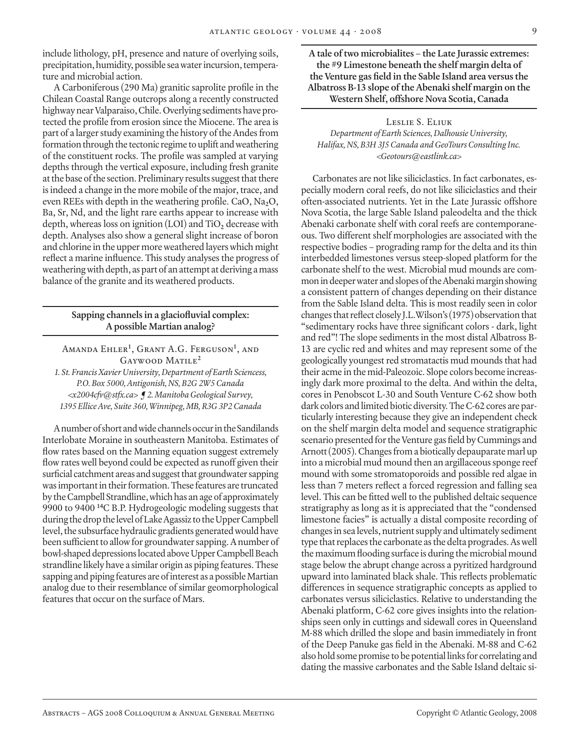include lithology, pH, presence and nature of overlying soils, precipitation, humidity, possible sea water incursion, temperature and microbial action.

A Carboniferous (290 Ma) granitic saprolite profile in the Chilean Coastal Range outcrops along a recently constructed highway near Valparaiso, Chile. Overlying sediments have protected the profile from erosion since the Miocene. The area is part of a larger study examining the history of the Andes from formation through the tectonic regime to uplift and weathering of the constituent rocks. The profile was sampled at varying depths through the vertical exposure, including fresh granite at the base of the section. Preliminary results suggest that there is indeed a change in the more mobile of the major, trace, and even REEs with depth in the weathering profile. CaO, Na<sub>2</sub>O, Ba, Sr, Nd, and the light rare earths appear to increase with depth, whereas loss on ignition (LOI) and TiO<sub>2</sub> decrease with depth. Analyses also show a general slight increase of boron and chlorine in the upper more weathered layers which might reflect a marine influence. This study analyses the progress of weathering with depth, as part of an attempt at deriving a mass balance of the granite and its weathered products.

# **Sapping channels in a glaciofluvial complex: A possible Martian analog?**

Amanda Ehler**<sup>1</sup>** , Grant A.G. Ferguson**<sup>1</sup>** , and Gaywood Matile**<sup>2</sup>**

*1. St. Francis Xavier University, Department of Earth Sciencess, P.O. Box 5000, Antigonish, NS, B2G 2W5 Canada <x2004cfv@stfx.ca> ¶ 2. Manitoba Geological Survey, 1395 Ellice Ave, Suite 360, Winnipeg, MB, R3G 3P2 Canada*

A number of short and wide channels occur in the Sandilands Interlobate Moraine in southeastern Manitoba. Estimates of flow rates based on the Manning equation suggest extremely flow rates well beyond could be expected as runoff given their surficial catchment areas and suggest that groundwater sapping was important in their formation. These features are truncated by the Campbell Strandline, which has an age of approximately 9900 to 9400 **<sup>14</sup>**C B.P. Hydrogeologic modeling suggests that during the drop the level of Lake Agassiz to the Upper Campbell level, the subsurface hydraulic gradients generated would have been sufficient to allow for groundwater sapping. A number of bowl-shaped depressions located above Upper Campbell Beach strandline likely have a similar origin as piping features. These sapping and piping features are of interest as a possible Martian analog due to their resemblance of similar geomorphological features that occur on the surface of Mars.

**A tale of two microbialites – the Late Jurassic extremes: the #9 Limestone beneath the shelf margin delta of the Venture gas field in the Sable Island area versus the Albatross B-13 slope of the Abenaki shelf margin on the Western Shelf, offshore Nova Scotia, Canada**

Leslie S. Eliuk *Department of Earth Sciences, Dalhousie University, Halifax, NS, B3H 3J5 Canada and GeoTours Consulting Inc. <Geotours@eastlink.ca>*

Carbonates are not like siliciclastics. In fact carbonates, especially modern coral reefs, do not like siliciclastics and their often-associated nutrients. Yet in the Late Jurassic offshore Nova Scotia, the large Sable Island paleodelta and the thick Abenaki carbonate shelf with coral reefs are contemporaneous. Two different shelf morphologies are associated with the respective bodies – prograding ramp for the delta and its thin interbedded limestones versus steep-sloped platform for the carbonate shelf to the west. Microbial mud mounds are common in deeper water and slopes of the Abenaki margin showing a consistent pattern of changes depending on their distance from the Sable Island delta. This is most readily seen in color changes that reflect closely J.L.Wilson's (1975) observation that "sedimentary rocks have three significant colors - dark, light and red"! The slope sediments in the most distal Albatross B-13 are cyclic red and whites and may represent some of the geologically youngest red stromatactis mud mounds that had their acme in the mid-Paleozoic. Slope colors become increasingly dark more proximal to the delta. And within the delta, cores in Penobscot L-30 and South Venture C-62 show both dark colors and limited biotic diversity. The C-62 cores are particularly interesting because they give an independent check on the shelf margin delta model and sequence stratigraphic scenario presented for the Venture gas field by Cummings and Arnott (2005). Changes from a biotically depauparate marl up into a microbial mud mound then an argillaceous sponge reef mound with some stromatoporoids and possible red algae in less than 7 meters reflect a forced regression and falling sea level. This can be fitted well to the published deltaic sequence stratigraphy as long as it is appreciated that the "condensed limestone facies" is actually a distal composite recording of changes in sea levels, nutrient supply and ultimately sediment type that replaces the carbonate as the delta progrades. As well the maximum flooding surface is during the microbial mound stage below the abrupt change across a pyritized hardground upward into laminated black shale. This reflects problematic differences in sequence stratigraphic concepts as applied to carbonates versus siliciclastics. Relative to understanding the Abenaki platform, C-62 core gives insights into the relationships seen only in cuttings and sidewall cores in Queensland M-88 which drilled the slope and basin immediately in front of the Deep Panuke gas field in the Abenaki. M-88 and C-62 also hold some promise to be potential links for correlating and dating the massive carbonates and the Sable Island deltaic si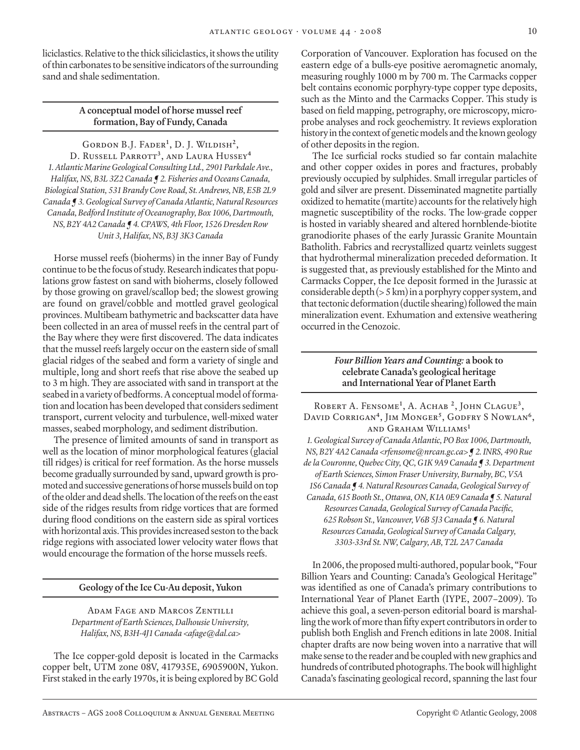liciclastics. Relative to the thick siliciclastics, it shows the utility of thin carbonates to be sensitive indicators of the surrounding sand and shale sedimentation.

# **A conceptual model of horse mussel reef formation, Bay of Fundy, Canada**

Gordon B.J. Fader**<sup>1</sup>** , D. J. Wildish**<sup>2</sup>**, D. Russell Parrott**<sup>3</sup>**, and Laura Hussey**<sup>4</sup>** *1. Atlantic Marine Geological Consulting Ltd., 2901 Parkdale Ave., Halifax, NS, B3L 3Z2 Canada ¶ 2. Fisheries and Oceans Canada, Biological Station, 531 Brandy Cove Road, St. Andrews, NB, E5B 2L9 Canada ¶ 3. Geological Survey of Canada Atlantic, Natural Resources Canada, Bedford Institute of Oceanography, Box 1006, Dartmouth, NS, B2Y 4A2 Canada ¶ 4. CPAWS, 4th Floor, 1526 Dresden Row Unit 3, Halifax, NS, B3J 3K3 Canada*

Horse mussel reefs (bioherms) in the inner Bay of Fundy continue to be the focus of study. Research indicates that populations grow fastest on sand with bioherms, closely followed by those growing on gravel/scallop bed; the slowest growing are found on gravel/cobble and mottled gravel geological provinces. Multibeam bathymetric and backscatter data have been collected in an area of mussel reefs in the central part of the Bay where they were first discovered. The data indicates that the mussel reefs largely occur on the eastern side of small glacial ridges of the seabed and form a variety of single and multiple, long and short reefs that rise above the seabed up to 3 m high. They are associated with sand in transport at the seabed in a variety of bedforms. A conceptual model of formation and location has been developed that considers sediment transport, current velocity and turbulence, well-mixed water masses, seabed morphology, and sediment distribution.

The presence of limited amounts of sand in transport as well as the location of minor morphological features (glacial till ridges) is critical for reef formation. As the horse mussels become gradually surrounded by sand, upward growth is promoted and successive generations of horse mussels build on top of the older and dead shells. The location of the reefs on the east side of the ridges results from ridge vortices that are formed during flood conditions on the eastern side as spiral vortices with horizontal axis. This provides increased seston to the back ridge regions with associated lower velocity water flows that would encourage the formation of the horse mussels reefs.

#### **Geology of the Ice Cu-Au deposit, Yukon**

Adam Fage and Marcos Zentilli *Department of Earth Sciences, Dalhousie University, Halifax, NS, B3H-4J1 Canada <afage@dal.ca>*

The Ice copper-gold deposit is located in the Carmacks copper belt, UTM zone 08V, 417935E, 6905900N, Yukon. First staked in the early 1970s, it is being explored by BC Gold

Corporation of Vancouver. Exploration has focused on the eastern edge of a bulls-eye positive aeromagnetic anomaly, measuring roughly 1000 m by 700 m. The Carmacks copper belt contains economic porphyry-type copper type deposits, such as the Minto and the Carmacks Copper. This study is based on field mapping, petrography, ore microscopy, microprobe analyses and rock geochemistry. It reviews exploration history in the context of genetic models and the known geology of other deposits in the region.

The Ice surficial rocks studied so far contain malachite and other copper oxides in pores and fractures, probably previously occupied by sulphides. Small irregular particles of gold and silver are present. Disseminated magnetite partially oxidized to hematite (martite) accounts for the relatively high magnetic susceptibility of the rocks. The low-grade copper is hosted in variably sheared and altered hornblende-biotite granodiorite phases of the early Jurassic Granite Mountain Batholith. Fabrics and recrystallized quartz veinlets suggest that hydrothermal mineralization preceded deformation. It is suggested that, as previously established for the Minto and Carmacks Copper, the Ice deposit formed in the Jurassic at considerable depth (> 5 km) in a porphyry copper system, and that tectonic deformation (ductile shearing) followed the main mineralization event. Exhumation and extensive weathering occurred in the Cenozoic.

# *Four Billion Years and Counting:* **a book to celebrate Canada's geological heritage and International Year of Planet Earth**

Robert A. Fensome**<sup>1</sup>** , A. Achab **<sup>2</sup>**, John Clague**<sup>3</sup>**, DAVID CORRIGAN<sup>4</sup>, JIM MONGER<sup>5</sup>, GODFRY S NOWLAN<sup>6</sup>, and Graham Williams**<sup>1</sup>** *1. Geological Surcey of Canada Atlantic, PO Box 1006, Dartmouth, NS, B2Y 4A2 Canada <rfensome@nrcan.gc.ca> ¶ 2. INRS, 490 Rue de la Couronne, Quebec City, QC, G1K 9A9 Canada ¶ 3. Department of Earth Sciences, Simon Fraser University, Burnaby, BC, V5A 1S6 Canada ¶ 4. Natural Resources Canada, Geological Survey of Canada, 615 Booth St., Ottawa, ON, K1A 0E9 Canada ¶ 5. Natural Resources Canada, Geological Survey of Canada Pacific, 625 Robson St., Vancouver, V6B 5J3 Canada ¶ 6. Natural Resources Canada, Geological Survey of Canada Calgary, 3303-33rd St. NW, Calgary, AB, T2L 2A7 Canada*

In 2006, the proposed multi-authored, popular book, "Four Billion Years and Counting: Canada's Geological Heritage" was identified as one of Canada's primary contributions to International Year of Planet Earth (IYPE, 2007–2009). To achieve this goal, a seven-person editorial board is marshalling the work of more than fifty expert contributors in order to publish both English and French editions in late 2008. Initial chapter drafts are now being woven into a narrative that will make sense to the reader and be coupled with new graphics and hundreds of contributed photographs. The book will highlight Canada's fascinating geological record, spanning the last four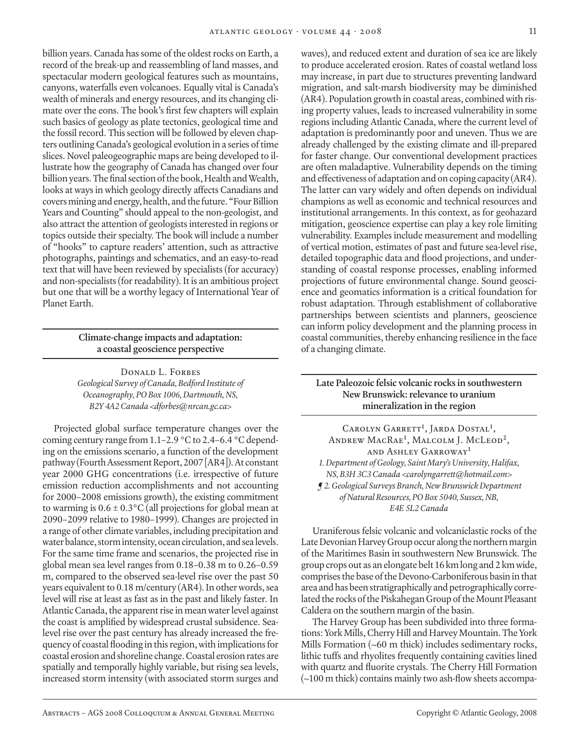billion years. Canada has some of the oldest rocks on Earth, a record of the break-up and reassembling of land masses, and spectacular modern geological features such as mountains, canyons, waterfalls even volcanoes. Equally vital is Canada's wealth of minerals and energy resources, and its changing climate over the eons. The book's first few chapters will explain such basics of geology as plate tectonics, geological time and the fossil record. This section will be followed by eleven chapters outlining Canada's geological evolution in a series of time slices. Novel paleogeographic maps are being developed to illustrate how the geography of Canada has changed over four billion years. The final section of the book, Health and Wealth, looks at ways in which geology directly affects Canadians and covers mining and energy, health, and the future. "Four Billion Years and Counting" should appeal to the non-geologist, and also attract the attention of geologists interested in regions or topics outside their specialty. The book will include a number of "hooks" to capture readers' attention, such as attractive photographs, paintings and schematics, and an easy-to-read text that will have been reviewed by specialists (for accuracy) and non-specialists (for readability). It is an ambitious project but one that will be a worthy legacy of International Year of Planet Earth.

# **Climate-change impacts and adaptation: a coastal geoscience perspective**

DONALD L. FORBES *Geological Survey of Canada, Bedford Institute of Oceanography, PO Box 1006, Dartmouth, NS, B2Y 4A2 Canada <dforbes@nrcan.gc.ca>*

Projected global surface temperature changes over the coming century range from 1.1–2.9 °C to 2.4–6.4 °C depending on the emissions scenario, a function of the development pathway (Fourth Assessment Report, 2007 [AR4]). At constant year 2000 GHG concentrations (i.e. irrespective of future emission reduction accomplishments and not accounting for 2000–2008 emissions growth), the existing commitment to warming is  $0.6 \pm 0.3$ °C (all projections for global mean at 2090–2099 relative to 1980–1999). Changes are projected in a range of other climate variables, including precipitation and water balance, storm intensity, ocean circulation, and sea levels. For the same time frame and scenarios, the projected rise in global mean sea level ranges from 0.18–0.38 m to 0.26–0.59 m, compared to the observed sea-level rise over the past 50 years equivalent to 0.18 m/century (AR4). In other words, sea level will rise at least as fast as in the past and likely faster. In Atlantic Canada, the apparent rise in mean water level against the coast is amplified by widespread crustal subsidence. Sealevel rise over the past century has already increased the frequency of coastal flooding in this region, with implications for coastal erosion and shoreline change. Coastal erosion rates are spatially and temporally highly variable, but rising sea levels, increased storm intensity (with associated storm surges and

waves), and reduced extent and duration of sea ice are likely to produce accelerated erosion. Rates of coastal wetland loss may increase, in part due to structures preventing landward migration, and salt-marsh biodiversity may be diminished (AR4). Population growth in coastal areas, combined with rising property values, leads to increased vulnerability in some regions including Atlantic Canada, where the current level of adaptation is predominantly poor and uneven. Thus we are already challenged by the existing climate and ill-prepared for faster change. Our conventional development practices are often maladaptive. Vulnerability depends on the timing and effectiveness of adaptation and on coping capacity (AR4). The latter can vary widely and often depends on individual champions as well as economic and technical resources and institutional arrangements. In this context, as for geohazard mitigation, geoscience expertise can play a key role limiting vulnerability. Examples include measurement and modelling of vertical motion, estimates of past and future sea-level rise, detailed topographic data and flood projections, and understanding of coastal response processes, enabling informed projections of future environmental change. Sound geoscience and geomatics information is a critical foundation for robust adaptation. Through establishment of collaborative partnerships between scientists and planners, geoscience can inform policy development and the planning process in coastal communities, thereby enhancing resilience in the face of a changing climate.

# **Late Paleozoic felsic volcanic rocks in southwestern New Brunswick: relevance to uranium mineralization in the region**

CAROLYN GARRETT<sup>1</sup>, JARDA DOSTAL<sup>1</sup>, Andrew MacRae**<sup>1</sup>** , Malcolm J. McLeod**<sup>2</sup>**, and Ashley Garroway**<sup>1</sup>** *1. Department of Geology, Saint Mary's University, Halifax, NS, B3H 3C3 Canada <carolyngarrett@hotmail.com> ¶ 2. Geological Surveys Branch, New Brunswick Department of Natural Resources, PO Box 5040, Sussex, NB, E4E 5L2 Canada*

Uraniferous felsic volcanic and volcaniclastic rocks of the Late Devonian Harvey Group occur along the northern margin of the Maritimes Basin in southwestern New Brunswick. The group crops out as an elongate belt 16 km long and 2 km wide, comprises the base of the Devono-Carboniferous basin in that area and has been stratigraphically and petrographically correlated the rocks of the Piskahegan Group of the Mount Pleasant Caldera on the southern margin of the basin.

The Harvey Group has been subdivided into three formations: York Mills, Cherry Hill and Harvey Mountain. The York Mills Formation (~60 m thick) includes sedimentary rocks, lithic tuffs and rhyolites frequently containing cavities lined with quartz and fluorite crystals. The Cherry Hill Formation (~100 m thick) contains mainly two ash-flow sheets accompa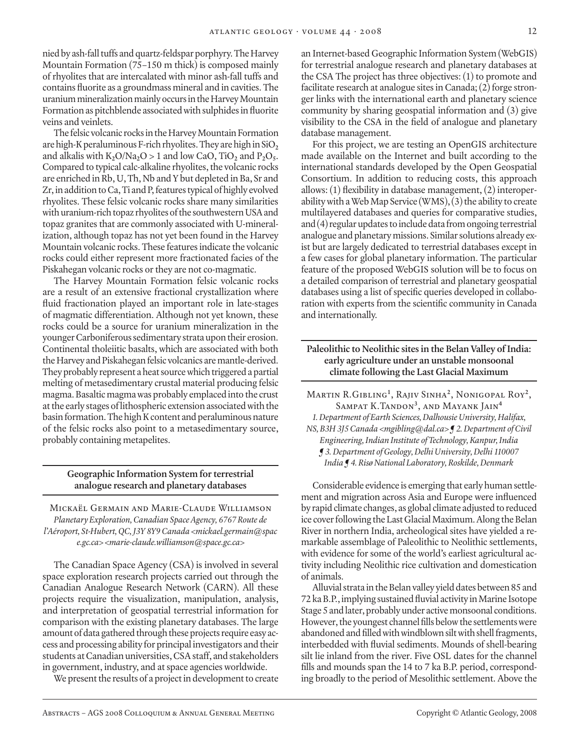nied by ash-fall tuffs and quartz-feldspar porphyry. The Harvey Mountain Formation (75–150 m thick) is composed mainly of rhyolites that are intercalated with minor ash-fall tuffs and contains fluorite as a groundmass mineral and in cavities. The uranium mineralization mainly occurs in the Harvey Mountain Formation as pitchblende associated with sulphides in fluorite veins and veinlets.

The felsic volcanic rocks in the Harvey Mountain Formation are high-K peraluminous F-rich rhyolites. They are high in  $SiO<sub>2</sub>$ and alkalis with  $K_2O/Na_2O > 1$  and low CaO, TiO<sub>2</sub> and  $P_2O_5$ . Compared to typical calc-alkaline rhyolites, the volcanic rocks are enriched in Rb, U, Th, Nb and Y but depleted in Ba, Sr and Zr, in addition to Ca, Ti and P, features typical of highly evolved rhyolites. These felsic volcanic rocks share many similarities with uranium-rich topaz rhyolites of the southwestern USA and topaz granites that are commonly associated with U-mineralization, although topaz has not yet been found in the Harvey Mountain volcanic rocks. These features indicate the volcanic rocks could either represent more fractionated facies of the Piskahegan volcanic rocks or they are not co-magmatic.

The Harvey Mountain Formation felsic volcanic rocks are a result of an extensive fractional crystallization where fluid fractionation played an important role in late-stages of magmatic differentiation. Although not yet known, these rocks could be a source for uranium mineralization in the younger Carboniferous sedimentary strata upon their erosion. Continental tholeiitic basalts, which are associated with both the Harvey and Piskahegan felsic volcanics are mantle-derived. They probably represent a heat source which triggered a partial melting of metasedimentary crustal material producing felsic magma. Basaltic magma was probably emplaced into the crust at the early stages of lithospheric extension associated with the basin formation. The high K content and peraluminous nature of the felsic rocks also point to a metasedimentary source, probably containing metapelites.

# **Geographic Information System for terrestrial analogue research and planetary databases**

Mickaël Germain and Marie-Claude Williamson *Planetary Exploration, Canadian Space Agency, 6767 Route de l'Aéroport, St-Hubert, QC, J3Y 8Y9 Canada <mickael.germain@spac e.gc.ca> <marie-claude.williamson@space.gc.ca>*

The Canadian Space Agency (CSA) is involved in several space exploration research projects carried out through the Canadian Analogue Research Network (CARN). All these projects require the visualization, manipulation, analysis, and interpretation of geospatial terrestrial information for comparison with the existing planetary databases. The large amount of data gathered through these projects require easy access and processing ability for principal investigators and their students at Canadian universities, CSA staff, and stakeholders in government, industry, and at space agencies worldwide.

We present the results of a project in development to create

an Internet-based Geographic Information System (WebGIS) for terrestrial analogue research and planetary databases at the CSA The project has three objectives: (1) to promote and facilitate research at analogue sites in Canada; (2) forge stronger links with the international earth and planetary science community by sharing geospatial information and (3) give visibility to the CSA in the field of analogue and planetary database management.

For this project, we are testing an OpenGIS architecture made available on the Internet and built according to the international standards developed by the Open Geospatial Consortium. In addition to reducing costs, this approach allows: (1) flexibility in database management, (2) interoperability with a Web Map Service (WMS), (3) the ability to create multilayered databases and queries for comparative studies, and (4) regular updates to include data from ongoing terrestrial analogue and planetary missions. Similar solutions already exist but are largely dedicated to terrestrial databases except in a few cases for global planetary information. The particular feature of the proposed WebGIS solution will be to focus on a detailed comparison of terrestrial and planetary geospatial databases using a list of specific queries developed in collaboration with experts from the scientific community in Canada and internationally.

# **Paleolithic to Neolithic sites in the Belan Valley of India: early agriculture under an unstable monsoonal climate following the Last Glacial Maximum**

Martin R.Gibling**<sup>1</sup>** , Rajiv Sinha**<sup>2</sup>**, Nonigopal Roy**<sup>2</sup>**, Sampat K.Tandon**<sup>3</sup>**, and Mayank Jain**<sup>4</sup>** *1. Department of Earth Sciences, Dalhousie University, Halifax, NS, B3H 3J5 Canada <mgibling@dal.ca> ¶ 2. Department of Civil Engineering, Indian Institute of Technology, Kanpur, India ¶ 3. Department of Geology, Delhi University, Delhi 110007 India ¶ 4. Risø National Laboratory, Roskilde, Denmark*

Considerable evidence is emerging that early human settlement and migration across Asia and Europe were influenced by rapid climate changes, as global climate adjusted to reduced ice cover following the Last Glacial Maximum. Along the Belan River in northern India, archeological sites have yielded a remarkable assemblage of Paleolithic to Neolithic settlements, with evidence for some of the world's earliest agricultural activity including Neolithic rice cultivation and domestication of animals.

Alluvial strata in the Belan valley yield dates between 85 and 72 ka B.P., implying sustained fluvial activity in Marine Isotope Stage 5 and later, probably under active monsoonal conditions. However, the youngest channel fills below the settlements were abandoned and filled with windblown silt with shell fragments, interbedded with fluvial sediments. Mounds of shell-bearing silt lie inland from the river. Five OSL dates for the channel fills and mounds span the 14 to 7 ka B.P. period, corresponding broadly to the period of Mesolithic settlement. Above the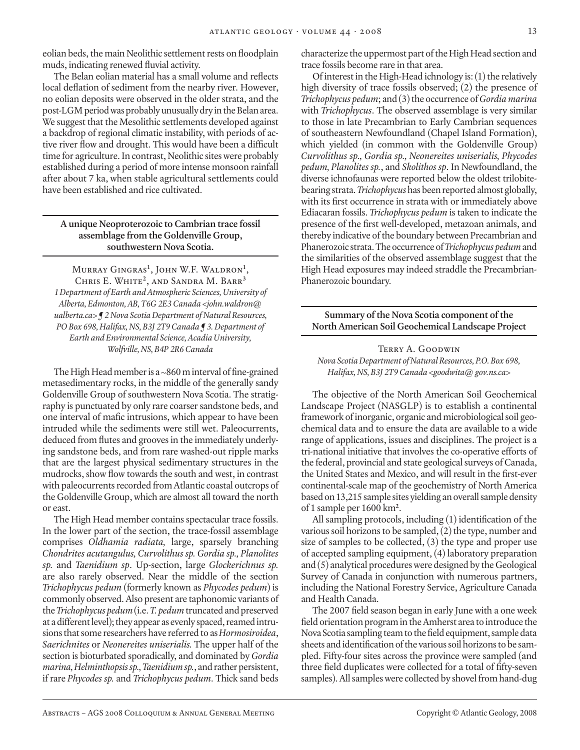eolian beds, the main Neolithic settlement rests on floodplain muds, indicating renewed fluvial activity.

The Belan eolian material has a small volume and reflects local deflation of sediment from the nearby river. However, no eolian deposits were observed in the older strata, and the post-LGM period was probably unusually dry in the Belan area. We suggest that the Mesolithic settlements developed against a backdrop of regional climatic instability, with periods of active river flow and drought. This would have been a difficult time for agriculture. In contrast, Neolithic sites were probably established during a period of more intense monsoon rainfall after about 7 ka, when stable agricultural settlements could have been established and rice cultivated.

# **A unique Neoproterozoic to Cambrian trace fossil assemblage from the Goldenville Group, southwestern Nova Scotia.**

Murray Gingras**<sup>1</sup>** , John W.F. Waldron**<sup>1</sup>** , Chris E. White**<sup>2</sup>**, and Sandra M. Barr**<sup>3</sup>** *1 Department of Earth and Atmospheric Sciences, University of Alberta, Edmonton, AB, T6G 2E3 Canada <john.waldron@ ualberta.ca> ¶ 2 Nova Scotia Department of Natural Resources, PO Box 698, Halifax, NS, B3J 2T9 Canada ¶ 3. Department of Earth and Environmental Science, Acadia University, Wolfville, NS, B4P 2R6 Canada*

The High Head member is a ~860 m interval of fine-grained metasedimentary rocks, in the middle of the generally sandy Goldenville Group of southwestern Nova Scotia. The stratigraphy is punctuated by only rare coarser sandstone beds, and one interval of mafic intrusions, which appear to have been intruded while the sediments were still wet. Paleocurrents, deduced from flutes and grooves in the immediately underlying sandstone beds, and from rare washed-out ripple marks that are the largest physical sedimentary structures in the mudrocks, show flow towards the south and west, in contrast with paleocurrents recorded from Atlantic coastal outcrops of the Goldenville Group, which are almost all toward the north or east.

The High Head member contains spectacular trace fossils. In the lower part of the section, the trace-fossil assemblage comprises *Oldhamia radiata,* large, sparsely branching *Chondrites acutangulus, Curvolithus sp. Gordia sp., Planolites sp.* and *Taenidium sp*. Up-section, large *Glockerichnus sp.* are also rarely observed. Near the middle of the section *Trichophycus pedum* (formerly known as *Phycodes pedum*) is commonly observed. Also present are taphonomic variants of the *Trichophycus pedum* (i.e. *T. pedum* truncated and preserved at a different level); they appear as evenly spaced, reamed intrusions that some researchers have referred to as *Hormosiroidea*, *Saerichnites* or *Neonereites uniserialis.* The upper half of the section is bioturbated sporadically, and dominated by *Gordia marina,Helminthopsis sp., Taenidium sp.*, and rather persistent, if rare *Phycodes sp.* and *Trichophycus pedum*. Thick sand beds

characterize the uppermost part of the High Head section and trace fossils become rare in that area.

Of interest in the High-Head ichnology is: (1) the relatively high diversity of trace fossils observed; (2) the presence of *Trichophycus pedum*; and (3) the occurrence of *Gordia marina* with *Trichophycus*. The observed assemblage is very similar to those in late Precambrian to Early Cambrian sequences of southeastern Newfoundland (Chapel Island Formation), which yielded (in common with the Goldenville Group) *Curvolithus sp., Gordia sp., Neonereites uniserialis, Phycodes pedum, Planolites sp.*, and *Skolithos sp*. In Newfoundland, the diverse ichnofaunas were reported below the oldest trilobitebearing strata. *Trichophycus* has been reported almost globally, with its first occurrence in strata with or immediately above Ediacaran fossils. *Trichophycus pedum* is taken to indicate the presence of the first well-developed, metazoan animals, and thereby indicative of the boundary between Precambrian and Phanerozoic strata. The occurrence of *Trichophycus pedum* and the similarities of the observed assemblage suggest that the High Head exposures may indeed straddle the Precambrian-Phanerozoic boundary.

**Summary of the Nova Scotia component of the North American Soil Geochemical Landscape Project**

# Terry A. Goodwin *Nova Scotia Department of Natural Resources, P.O. Box 698, Halifax, NS, B3J 2T9 Canada <goodwita@ gov.ns.ca>*

The objective of the North American Soil Geochemical Landscape Project (NASGLP) is to establish a continental framework of inorganic, organic and microbiological soil geochemical data and to ensure the data are available to a wide range of applications, issues and disciplines. The project is a tri-national initiative that involves the co-operative efforts of the federal, provincial and state geological surveys of Canada, the United States and Mexico, and will result in the first-ever continental-scale map of the geochemistry of North America based on 13,215 sample sites yielding an overall sample density of 1 sample per 1600 km**<sup>2</sup>** .

All sampling protocols, including (1) identification of the various soil horizons to be sampled,  $(2)$  the type, number and size of samples to be collected, (3) the type and proper use of accepted sampling equipment, (4) laboratory preparation and (5) analytical procedures were designed by the Geological Survey of Canada in conjunction with numerous partners, including the National Forestry Service, Agriculture Canada and Health Canada.

The 2007 field season began in early June with a one week field orientation program in the Amherst area to introduce the Nova Scotia sampling team to the field equipment, sample data sheets and identification of the various soil horizons to be sampled. Fifty-four sites across the province were sampled (and three field duplicates were collected for a total of fifty-seven samples). All samples were collected by shovel from hand-dug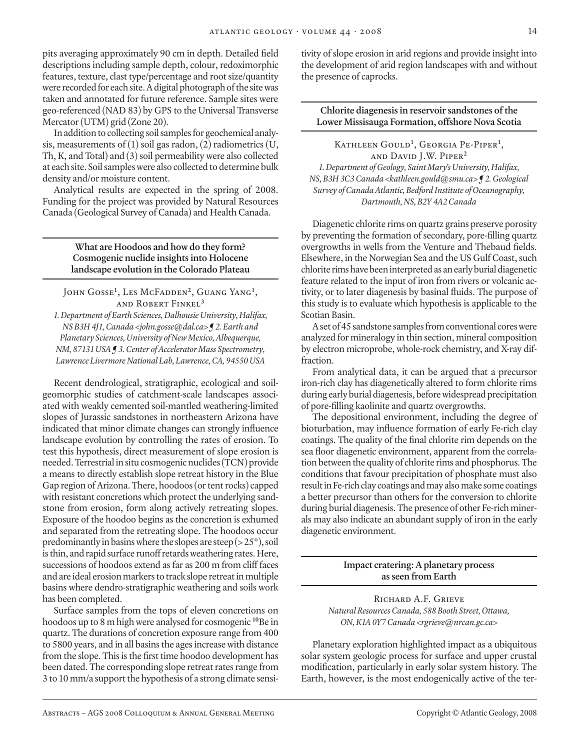pits averaging approximately 90 cm in depth. Detailed field descriptions including sample depth, colour, redoximorphic features, texture, clast type/percentage and root size/quantity were recorded for each site. A digital photograph of the site was taken and annotated for future reference. Sample sites were geo-referenced (NAD 83) by GPS to the Universal Transverse Mercator (UTM) grid (Zone 20).

In addition to collecting soil samples for geochemical analysis, measurements of  $(1)$  soil gas radon,  $(2)$  radiometrics  $(U,$ Th, K, and Total) and (3) soil permeability were also collected at each site. Soil samples were also collected to determine bulk density and/or moisture content.

Analytical results are expected in the spring of 2008. Funding for the project was provided by Natural Resources Canada (Geological Survey of Canada) and Health Canada.

> **What are Hoodoos and how do they form? Cosmogenic nuclide insights into Holocene landscape evolution in the Colorado Plateau**

John Gosse**<sup>1</sup>** , Les McFadden**<sup>2</sup>**, Guang Yang**<sup>1</sup>** , and Robert Finkel**<sup>3</sup>**

*1. Department of Earth Sciences, Dalhousie University, Halifax, NS B3H 4J1, Canada <john.gosse@dal.ca> ¶ 2. Earth and Planetary Sciences, University of New Mexico, Albequerque, NM, 87131 USA ¶ 3. Center of Accelerator Mass Spectrometry, Lawrence Livermore National Lab, Lawrence, CA, 94550 USA*

Recent dendrological, stratigraphic, ecological and soilgeomorphic studies of catchment-scale landscapes associated with weakly cemented soil-mantled weathering-limited slopes of Jurassic sandstones in northeastern Arizona have indicated that minor climate changes can strongly influence landscape evolution by controlling the rates of erosion. To test this hypothesis, direct measurement of slope erosion is needed. Terrestrial in situ cosmogenic nuclides (TCN) provide a means to directly establish slope retreat history in the Blue Gap region of Arizona. There, hoodoos (or tent rocks) capped with resistant concretions which protect the underlying sandstone from erosion, form along actively retreating slopes. Exposure of the hoodoo begins as the concretion is exhumed and separated from the retreating slope. The hoodoos occur predominantly in basins where the slopes are steep ( $>$  25 $^{\circ}$ ), soil is thin, and rapid surface runoff retards weathering rates. Here, successions of hoodoos extend as far as 200 m from cliff faces and are ideal erosion markers to track slope retreat in multiple basins where dendro-stratigraphic weathering and soils work has been completed.

Surface samples from the tops of eleven concretions on hoodoos up to 8 m high were analysed for cosmogenic **<sup>10</sup>**Be in quartz. The durations of concretion exposure range from 400 to 5800 years, and in all basins the ages increase with distance from the slope. This is the first time hoodoo development has been dated. The corresponding slope retreat rates range from 3 to 10 mm/a support the hypothesis of a strong climate sensitivity of slope erosion in arid regions and provide insight into the development of arid region landscapes with and without the presence of caprocks.

**Chlorite diagenesis in reservoir sandstones of the Lower Missisauga Formation, offshore Nova Scotia**

Kathleen Gould**<sup>1</sup>** , Georgia Pe-Piper**<sup>1</sup>** , and David J.W. Piper**<sup>2</sup>** *1. Department of Geology, Saint Mary's University, Halifax, NS, B3H 3C3 Canada <kathleen.gould@smu.ca> ¶ 2. Geological Survey of Canada Atlantic, Bedford Institute of Oceanography, Dartmouth, NS, B2Y 4A2 Canada*

Diagenetic chlorite rims on quartz grains preserve porosity by preventing the formation of secondary, pore-filling quartz overgrowths in wells from the Venture and Thebaud fields. Elsewhere, in the Norwegian Sea and the US Gulf Coast, such chlorite rims have been interpreted as an early burial diagenetic feature related to the input of iron from rivers or volcanic activity, or to later diagenesis by basinal fluids. The purpose of this study is to evaluate which hypothesis is applicable to the Scotian Basin.

A set of 45 sandstone samples from conventional cores were analyzed for mineralogy in thin section, mineral composition by electron microprobe, whole-rock chemistry, and X-ray diffraction.

From analytical data, it can be argued that a precursor iron-rich clay has diagenetically altered to form chlorite rims during early burial diagenesis, before widespread precipitation of pore-filling kaolinite and quartz overgrowths.

The depositional environment, including the degree of bioturbation, may influence formation of early Fe-rich clay coatings. The quality of the final chlorite rim depends on the sea floor diagenetic environment, apparent from the correlation between the quality of chlorite rims and phosphorus. The conditions that favour precipitation of phosphate must also result in Fe-rich clay coatings and may also make some coatings a better precursor than others for the conversion to chlorite during burial diagenesis. The presence of other Fe-rich minerals may also indicate an abundant supply of iron in the early diagenetic environment.

# **Impact cratering: A planetary process as seen from Earth**

RICHARD A.F. GRIEVE *Natural Resources Canada, 588 Booth Street, Ottawa, ON, K1A 0Y7 Canada <rgrieve@nrcan.gc.ca>*

Planetary exploration highlighted impact as a ubiquitous solar system geologic process for surface and upper crustal modification, particularly in early solar system history. The Earth, however, is the most endogenically active of the ter-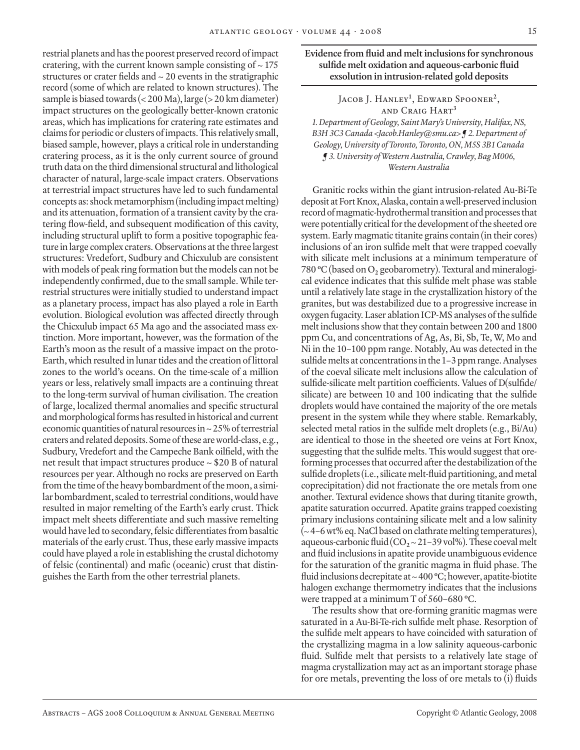restrial planets and has the poorest preserved record of impact cratering, with the current known sample consisting of  $\sim$  175 structures or crater fields and  $\sim$  20 events in the stratigraphic record (some of which are related to known structures). The sample is biased towards (< 200 Ma), large (> 20 km diameter) impact structures on the geologically better-known cratonic areas, which has implications for cratering rate estimates and claims for periodic or clusters of impacts. This relatively small, biased sample, however, plays a critical role in understanding cratering process, as it is the only current source of ground truth data on the third dimensional structural and lithological character of natural, large-scale impact craters. Observations at terrestrial impact structures have led to such fundamental concepts as: shock metamorphism (including impact melting) and its attenuation, formation of a transient cavity by the cratering flow-field, and subsequent modification of this cavity, including structural uplift to form a positive topographic feature in large complex craters. Observations at the three largest structures: Vredefort, Sudbury and Chicxulub are consistent with models of peak ring formation but the models can not be independently confirmed, due to the small sample. While terrestrial structures were initially studied to understand impact as a planetary process, impact has also played a role in Earth evolution. Biological evolution was affected directly through the Chicxulub impact 65 Ma ago and the associated mass extinction. More important, however, was the formation of the Earth's moon as the result of a massive impact on the proto-Earth, which resulted in lunar tides and the creation of littoral zones to the world's oceans. On the time-scale of a million years or less, relatively small impacts are a continuing threat to the long-term survival of human civilisation. The creation of large, localized thermal anomalies and specific structural and morphological forms has resulted in historical and current economic quantities of natural resources in ~ 25% of terrestrial craters and related deposits. Some of these are world-class, e.g., Sudbury, Vredefort and the Campeche Bank oilfield, with the net result that impact structures produce ~ \$20 B of natural resources per year. Although no rocks are preserved on Earth from the time of the heavy bombardment of the moon, a similar bombardment, scaled to terrestrial conditions, would have resulted in major remelting of the Earth's early crust. Thick impact melt sheets differentiate and such massive remelting would have led to secondary, felsic differentiates from basaltic materials of the early crust. Thus, these early massive impacts could have played a role in establishing the crustal dichotomy of felsic (continental) and mafic (oceanic) crust that distinguishes the Earth from the other terrestrial planets.

**Evidence from fluid and melt inclusions for synchronous sulfide melt oxidation and aqueous-carbonic fluid exsolution in intrusion-related gold deposits**

> Jacob J. Hanley**<sup>1</sup>** , Edward Spooner**<sup>2</sup>**, and Craig Hart**<sup>3</sup>**

*1. Department of Geology, Saint Mary's University, Halifax, NS, B3H 3C3 Canada <Jacob.Hanley@smu.ca> ¶ 2. Department of Geology, University of Toronto, Toronto, ON, M5S 3B1 Canada ¶ 3. University of Western Australia, Crawley, Bag M006, Western Australia*

Granitic rocks within the giant intrusion-related Au-Bi-Te deposit at Fort Knox, Alaska, contain a well-preserved inclusion record of magmatic-hydrothermal transition and processes that were potentially critical for the development of the sheeted ore system. Early magmatic titanite grains contain (in their cores) inclusions of an iron sulfide melt that were trapped coevally with silicate melt inclusions at a minimum temperature of 780 **<sup>o</sup>** C (based on O**2** geobarometry). Textural and mineralogical evidence indicates that this sulfide melt phase was stable until a relatively late stage in the crystallization history of the granites, but was destabilized due to a progressive increase in oxygen fugacity. Laser ablation ICP-MS analyses of the sulfide melt inclusions show that they contain between 200 and 1800 ppm Cu, and concentrations of Ag, As, Bi, Sb, Te, W, Mo and Ni in the 10–100 ppm range. Notably, Au was detected in the sulfide melts at concentrations in the 1–3 ppm range. Analyses of the coeval silicate melt inclusions allow the calculation of sulfide-silicate melt partition coefficients. Values of D(sulfide/ silicate) are between 10 and 100 indicating that the sulfide droplets would have contained the majority of the ore metals present in the system while they where stable. Remarkably, selected metal ratios in the sulfide melt droplets (e.g., Bi/Au) are identical to those in the sheeted ore veins at Fort Knox, suggesting that the sulfide melts. This would suggest that oreforming processes that occurred after the destabilization of the sulfide droplets (i.e., silicate melt-fluid partitioning, and metal coprecipitation) did not fractionate the ore metals from one another. Textural evidence shows that during titanite growth, apatite saturation occurred. Apatite grains trapped coexisting primary inclusions containing silicate melt and a low salinity (~ 4–6 wt% eq. NaCl based on clathrate melting temperatures), aqueous-carbonic fluid  $(CO_2 \sim 21-39 \,\mathrm{vol\%})$ . These coeval melt and fluid inclusions in apatite provide unambiguous evidence for the saturation of the granitic magma in fluid phase. The fluid inclusions decrepitate at ~ 400 **<sup>o</sup>** C; however, apatite-biotite halogen exchange thermometry indicates that the inclusions were trapped at a minimum T of 560–680 **<sup>o</sup>** C.

The results show that ore-forming granitic magmas were saturated in a Au-Bi-Te-rich sulfide melt phase. Resorption of the sulfide melt appears to have coincided with saturation of the crystallizing magma in a low salinity aqueous-carbonic fluid. Sulfide melt that persists to a relatively late stage of magma crystallization may act as an important storage phase for ore metals, preventing the loss of ore metals to (i) fluids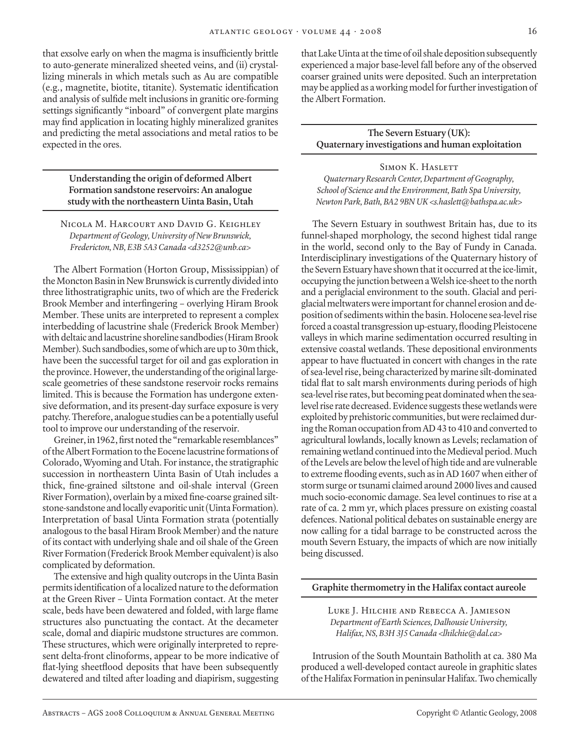that exsolve early on when the magma is insufficiently brittle to auto-generate mineralized sheeted veins, and (ii) crystallizing minerals in which metals such as Au are compatible (e.g., magnetite, biotite, titanite). Systematic identification and analysis of sulfide melt inclusions in granitic ore-forming settings significantly "inboard" of convergent plate margins may find application in locating highly mineralized granites and predicting the metal associations and metal ratios to be expected in the ores.

> **Understanding the origin of deformed Albert Formation sandstone reservoirs: An analogue study with the northeastern Uinta Basin, Utah**

Nicola M. Harcourt and David G. Keighley *Department of Geology, University of New Brunswick, Fredericton, NB, E3B 5A3 Canada <d3252@unb.ca>*

The Albert Formation (Horton Group, Mississippian) of the Moncton Basin in New Brunswick is currently divided into three lithostratigraphic units, two of which are the Frederick Brook Member and interfingering – overlying Hiram Brook Member. These units are interpreted to represent a complex interbedding of lacustrine shale (Frederick Brook Member) with deltaic and lacustrine shoreline sandbodies (Hiram Brook Member). Such sandbodies, some of which are up to 30m thick, have been the successful target for oil and gas exploration in the province. However, the understanding of the original largescale geometries of these sandstone reservoir rocks remains limited. This is because the Formation has undergone extensive deformation, and its present-day surface exposure is very patchy. Therefore, analogue studies can be a potentially useful tool to improve our understanding of the reservoir.

Greiner, in 1962, first noted the "remarkable resemblances" of the Albert Formation to the Eocene lacustrine formations of Colorado, Wyoming and Utah. For instance, the stratigraphic succession in northeastern Uinta Basin of Utah includes a thick, fine-grained siltstone and oil-shale interval (Green River Formation), overlain by a mixed fine-coarse grained siltstone-sandstone and locally evaporitic unit (Uinta Formation). Interpretation of basal Uinta Formation strata (potentially analogous to the basal Hiram Brook Member) and the nature of its contact with underlying shale and oil shale of the Green River Formation (Frederick Brook Member equivalent) is also complicated by deformation.

The extensive and high quality outcrops in the Uinta Basin permits identification of a localized nature to the deformation at the Green River – Uinta Formation contact. At the meter scale, beds have been dewatered and folded, with large flame structures also punctuating the contact. At the decameter scale, domal and diapiric mudstone structures are common. These structures, which were originally interpreted to represent delta-front clinoforms, appear to be more indicative of flat-lying sheetflood deposits that have been subsequently dewatered and tilted after loading and diapirism, suggesting that Lake Uinta at the time of oil shale deposition subsequently experienced a major base-level fall before any of the observed coarser grained units were deposited. Such an interpretation may be applied as a working model for further investigation of the Albert Formation.

**The Severn Estuary (UK): Quaternary investigations and human exploitation**

## SIMON K. HASLETT

*Quaternary Research Center, Department of Geography, School of Science and the Environment, Bath Spa University, Newton Park, Bath, BA2 9BN UK <s.haslett@bathspa.ac.uk>*

The Severn Estuary in southwest Britain has, due to its funnel-shaped morphology, the second highest tidal range in the world, second only to the Bay of Fundy in Canada. Interdisciplinary investigations of the Quaternary history of the Severn Estuary have shown that it occurred at the ice-limit, occupying the junction between a Welsh ice-sheet to the north and a periglacial environment to the south. Glacial and periglacial meltwaters were important for channel erosion and deposition of sediments within the basin. Holocene sea-level rise forced a coastal transgression up-estuary, flooding Pleistocene valleys in which marine sedimentation occurred resulting in extensive coastal wetlands. These depositional environments appear to have fluctuated in concert with changes in the rate of sea-level rise, being characterized by marine silt-dominated tidal flat to salt marsh environments during periods of high sea-level rise rates, but becoming peat dominated when the sealevel rise rate decreased. Evidence suggests these wetlands were exploited by prehistoric communities, but were reclaimed during the Roman occupation from AD 43 to 410 and converted to agricultural lowlands, locally known as Levels; reclamation of remaining wetland continued into the Medieval period. Much of the Levels are below the level of high tide and are vulnerable to extreme flooding events, such as in AD 1607 when either of storm surge or tsunami claimed around 2000 lives and caused much socio-economic damage. Sea level continues to rise at a rate of ca. 2 mm yr, which places pressure on existing coastal defences. National political debates on sustainable energy are now calling for a tidal barrage to be constructed across the mouth Severn Estuary, the impacts of which are now initially being discussed.

#### **Graphite thermometry in the Halifax contact aureole**

Luke J. Hilchie and Rebecca A. Jamieson *Department of Earth Sciences, Dalhousie University, Halifax, NS, B3H 3J5 Canada <lhilchie@dal.ca>*

Intrusion of the South Mountain Batholith at ca. 380 Ma produced a well-developed contact aureole in graphitic slates of the Halifax Formation in peninsular Halifax. Two chemically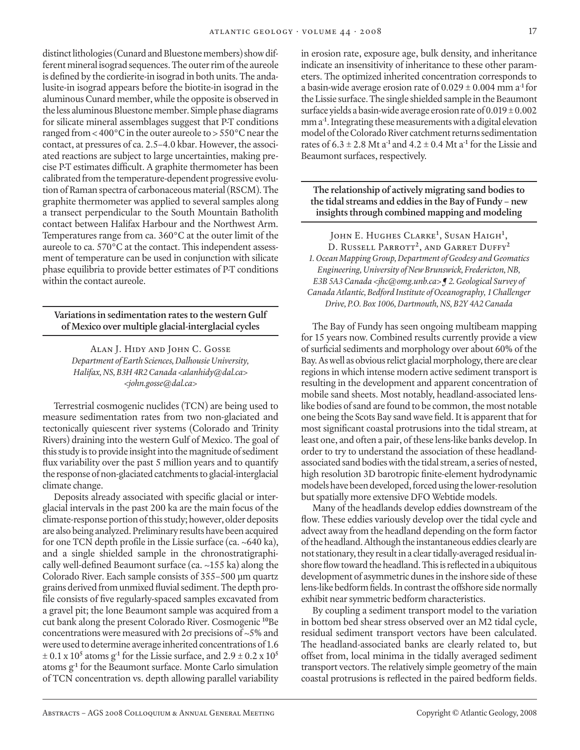distinct lithologies (Cunard and Bluestone members) show different mineral isograd sequences. The outer rim of the aureole is defined by the cordierite-in isograd in both units. The andalusite-in isograd appears before the biotite-in isograd in the aluminous Cunard member, while the opposite is observed in the less aluminous Bluestone member. Simple phase diagrams for silicate mineral assemblages suggest that P-T conditions ranged from < 400°C in the outer aureole to > 550°C near the contact, at pressures of ca. 2.5–4.0 kbar. However, the associated reactions are subject to large uncertainties, making precise P-T estimates difficult. A graphite thermometer has been calibrated from the temperature-dependent progressive evolution of Raman spectra of carbonaceous material (RSCM). The graphite thermometer was applied to several samples along a transect perpendicular to the South Mountain Batholith contact between Halifax Harbour and the Northwest Arm. Temperatures range from ca. 360°C at the outer limit of the aureole to ca. 570°C at the contact. This independent assessment of temperature can be used in conjunction with silicate phase equilibria to provide better estimates of P-T conditions within the contact aureole.

**Variations in sedimentation rates to the western Gulf of Mexico over multiple glacial-interglacial cycles**

Alan J. Hidy and John C. Gosse *Department of Earth Sciences, Dalhousie University, Halifax, NS, B3H 4R2 Canada <alanhidy@dal.ca> <john.gosse@dal.ca>*

Terrestrial cosmogenic nuclides (TCN) are being used to measure sedimentation rates from two non-glaciated and tectonically quiescent river systems (Colorado and Trinity Rivers) draining into the western Gulf of Mexico. The goal of this study is to provide insight into the magnitude of sediment flux variability over the past 5 million years and to quantify the response of non-glaciated catchments to glacial-interglacial climate change.

Deposits already associated with specific glacial or interglacial intervals in the past 200 ka are the main focus of the climate-response portion of this study; however, older deposits are also being analyzed. Preliminary results have been acquired for one TCN depth profile in the Lissie surface (ca. ~640 ka), and a single shielded sample in the chronostratigraphically well-defined Beaumont surface (ca. ~155 ka) along the Colorado River. Each sample consists of 355–500 µm quartz grains derived from unmixed fluvial sediment. The depth profile consists of five regularly-spaced samples excavated from a gravel pit; the lone Beaumont sample was acquired from a cut bank along the present Colorado River. Cosmogenic **<sup>10</sup>**Be concentrations were measured with 2σ precisions of ~5% and were used to determine average inherited concentrations of 1.6  $\pm$  0.1 x 10<sup>5</sup> atoms g<sup>-1</sup> for the Lissie surface, and 2.9  $\pm$  0.2 x 10<sup>5</sup> atoms g**-1** for the Beaumont surface. Monte Carlo simulation of TCN concentration vs. depth allowing parallel variability

in erosion rate, exposure age, bulk density, and inheritance indicate an insensitivity of inheritance to these other parameters. The optimized inherited concentration corresponds to a basin-wide average erosion rate of 0.029 ± 0.004 mm a**-1** for the Lissie surface. The single shielded sample in the Beaumont surface yields a basin-wide average erosion rate of  $0.019 \pm 0.002$ mm a**-1**. Integrating these measurements with a digital elevation model of the Colorado River catchment returns sedimentation rates of  $6.3 \pm 2.8$  Mt a<sup>-1</sup> and  $4.2 \pm 0.4$  Mt a<sup>-1</sup> for the Lissie and Beaumont surfaces, respectively.

**The relationship of actively migrating sand bodies to the tidal streams and eddies in the Bay of Fundy – new insights through combined mapping and modeling**

John E. Hughes Clarke<sup>1</sup>, Susan Haigh<sup>1</sup>, D. Russell Parrott**<sup>2</sup>**, and Garret Duffy**<sup>2</sup>** *1. Ocean Mapping Group, Department of Geodesy and Geomatics Engineering, University of New Brunswick, Fredericton, NB, E3B 5A3 Canada <jhc@omg.unb.ca> ¶ 2. Geological Survey of Canada Atlantic, Bedford Institute of Oceanography, 1 Challenger Drive, P.O. Box 1006, Dartmouth, NS, B2Y 4A2 Canada*

The Bay of Fundy has seen ongoing multibeam mapping for 15 years now. Combined results currently provide a view of surficial sediments and morphology over about 60% of the Bay. As well as obvious relict glacial morphology, there are clear regions in which intense modern active sediment transport is resulting in the development and apparent concentration of mobile sand sheets. Most notably, headland-associated lenslike bodies of sand are found to be common, the most notable one being the Scots Bay sand wave field. It is apparent that for most significant coastal protrusions into the tidal stream, at least one, and often a pair, of these lens-like banks develop. In order to try to understand the association of these headlandassociated sand bodies with the tidal stream, a series of nested, high resolution 3D barotropic finite-element hydrodynamic models have been developed, forced using the lower-resolution but spatially more extensive DFO Webtide models.

Many of the headlands develop eddies downstream of the flow. These eddies variously develop over the tidal cycle and advect away from the headland depending on the form factor of the headland. Although the instantaneous eddies clearly are not stationary, they result in a clear tidally-averaged residual inshore flow toward the headland. This is reflected in a ubiquitous development of asymmetric dunes in the inshore side of these lens-like bedform fields. In contrast the offshore side normally exhibit near symmetric bedform characteristics.

By coupling a sediment transport model to the variation in bottom bed shear stress observed over an M2 tidal cycle, residual sediment transport vectors have been calculated. The headland-associated banks are clearly related to, but offset from, local minima in the tidally averaged sediment transport vectors. The relatively simple geometry of the main coastal protrusions is reflected in the paired bedform fields.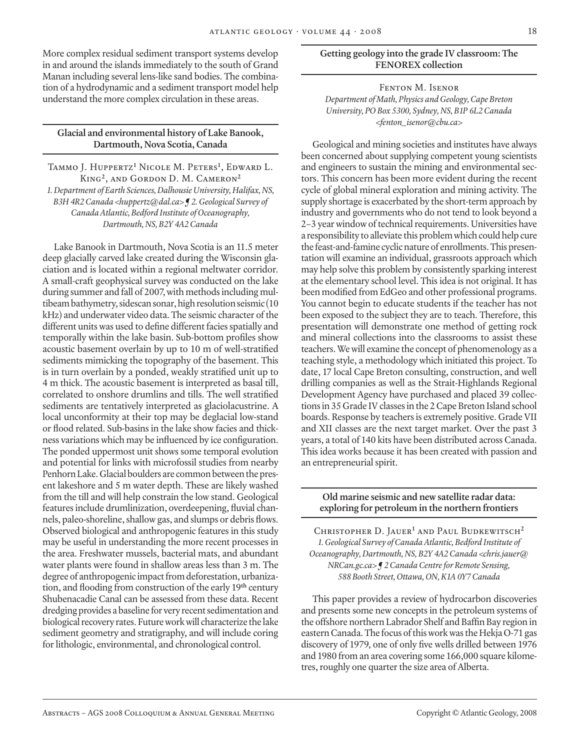More complex residual sediment transport systems develop in and around the islands immediately to the south of Grand Manan including several lens-like sand bodies. The combination of a hydrodynamic and a sediment transport model help understand the more complex circulation in these areas.

#### **Glacial and environmental history of Lake Banook, Dartmouth, Nova Scotia, Canada**

Tammo J. Huppertz**<sup>1</sup>** Nicole M. Peters**<sup>1</sup>** , Edward L. King**<sup>2</sup>**, and Gordon D. M. Cameron**<sup>2</sup>** *1. Department of Earth Sciences, Dalhousie University, Halifax, NS, B3H 4R2 Canada <huppertz@dal.ca> ¶ 2. Geological Survey of Canada Atlantic, Bedford Institute of Oceanography, Dartmouth, NS, B2Y 4A2 Canada*

Lake Banook in Dartmouth, Nova Scotia is an 11.5 meter deep glacially carved lake created during the Wisconsin glaciation and is located within a regional meltwater corridor. A small-craft geophysical survey was conducted on the lake during summer and fall of 2007, with methods including multibeam bathymetry, sidescan sonar, high resolution seismic (10 kHz) and underwater video data. The seismic character of the different units was used to define different facies spatially and temporally within the lake basin. Sub-bottom profiles show acoustic basement overlain by up to 10 m of well-stratified sediments mimicking the topography of the basement. This is in turn overlain by a ponded, weakly stratified unit up to 4 m thick. The acoustic basement is interpreted as basal till, correlated to onshore drumlins and tills. The well stratified sediments are tentatively interpreted as glaciolacustrine. A local unconformity at their top may be deglacial low-stand or flood related. Sub-basins in the lake show facies and thickness variations which may be influenced by ice configuration. The ponded uppermost unit shows some temporal evolution and potential for links with microfossil studies from nearby Penhorn Lake. Glacial boulders are common between the present lakeshore and 5 m water depth. These are likely washed from the till and will help constrain the low stand. Geological features include drumlinization, overdeepening, fluvial channels, paleo-shoreline, shallow gas, and slumps or debris flows. Observed biological and anthropogenic features in this study may be useful in understanding the more recent processes in the area. Freshwater mussels, bacterial mats, and abundant water plants were found in shallow areas less than 3 m. The degree of anthropogenic impact from deforestation, urbanization, and flooding from construction of the early 19**th** century Shubenacadie Canal can be assessed from these data. Recent dredging provides a baseline for very recent sedimentation and biological recovery rates. Future work will characterize the lake sediment geometry and stratigraphy, and will include coring for lithologic, environmental, and chronological control.

#### **Getting geology into the grade IV classroom: The FENOREX collection**

#### Fenton M. Isenor *Department of Math, Physics and Geology, Cape Breton University, PO Box 5300, Sydney, NS, B1P 6L2 Canada <fenton\_isenor@cbu.ca>*

Geological and mining societies and institutes have always been concerned about supplying competent young scientists and engineers to sustain the mining and environmental sectors. This concern has been more evident during the recent cycle of global mineral exploration and mining activity. The supply shortage is exacerbated by the short-term approach by industry and governments who do not tend to look beyond a 2–3 year window of technical requirements. Universities have a responsibility to alleviate this problem which could help cure the feast-and-famine cyclic nature of enrollments. This presentation will examine an individual, grassroots approach which may help solve this problem by consistently sparking interest at the elementary school level. This idea is not original. It has been modified from EdGeo and other professional programs. You cannot begin to educate students if the teacher has not been exposed to the subject they are to teach. Therefore, this presentation will demonstrate one method of getting rock and mineral collections into the classrooms to assist these teachers. We will examine the concept of phenomenology as a teaching style, a methodology which initiated this project. To date, 17 local Cape Breton consulting, construction, and well drilling companies as well as the Strait-Highlands Regional Development Agency have purchased and placed 39 collections in 35 Grade IV classes in the 2 Cape Breton Island school boards. Response by teachers is extremely positive. Grade VII and XII classes are the next target market. Over the past 3 years, a total of 140 kits have been distributed across Canada. This idea works because it has been created with passion and an entrepreneurial spirit.

#### **Old marine seismic and new satellite radar data: exploring for petroleum in the northern frontiers**

Christopher D. Jauer**<sup>1</sup>** and Paul Budkewitsch**<sup>2</sup>** *1. Geological Survey of Canada Atlantic, Bedford Institute of Oceanography, Dartmouth, NS, B2Y 4A2 Canada <chris.jauer@ NRCan.gc.ca> ¶ 2 Canada Centre for Remote Sensing, 588 Booth Street, Ottawa, ON, K1A 0Y7 Canada*

This paper provides a review of hydrocarbon discoveries and presents some new concepts in the petroleum systems of the offshore northern Labrador Shelf and Baffin Bay region in eastern Canada. The focus of this work was the Hekja O-71 gas discovery of 1979, one of only five wells drilled between 1976 and 1980 from an area covering some 166,000 square kilometres, roughly one quarter the size area of Alberta.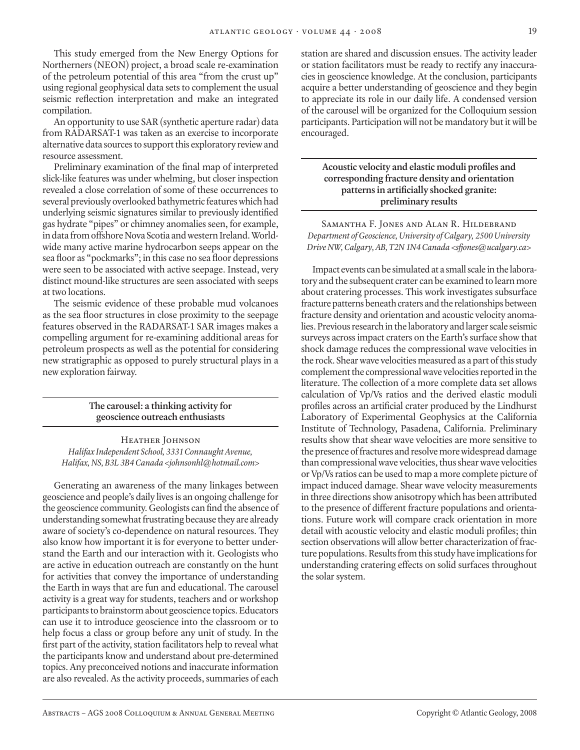This study emerged from the New Energy Options for Northerners (NEON) project, a broad scale re-examination of the petroleum potential of this area "from the crust up" using regional geophysical data sets to complement the usual seismic reflection interpretation and make an integrated compilation.

An opportunity to use SAR (synthetic aperture radar) data from RADARSAT-1 was taken as an exercise to incorporate alternative data sources to support this exploratory review and resource assessment.

Preliminary examination of the final map of interpreted slick-like features was under whelming, but closer inspection revealed a close correlation of some of these occurrences to several previously overlooked bathymetric features which had underlying seismic signatures similar to previously identified gas hydrate "pipes" or chimney anomalies seen, for example, in data from offshore Nova Scotia and western Ireland. Worldwide many active marine hydrocarbon seeps appear on the sea floor as "pockmarks"; in this case no sea floor depressions were seen to be associated with active seepage. Instead, very distinct mound-like structures are seen associated with seeps at two locations.

The seismic evidence of these probable mud volcanoes as the sea floor structures in close proximity to the seepage features observed in the RADARSAT-1 SAR images makes a compelling argument for re-examining additional areas for petroleum prospects as well as the potential for considering new stratigraphic as opposed to purely structural plays in a new exploration fairway.

> **The carousel: a thinking activity for geoscience outreach enthusiasts**

HEATHER JOHNSON *Halifax Independent School, 3331 Connaught Avenue, Halifax, NS, B3L 3B4 Canada <johnsonhl@hotmail.com>*

Generating an awareness of the many linkages between geoscience and people's daily lives is an ongoing challenge for the geoscience community. Geologists can find the absence of understanding somewhat frustrating because they are already aware of society's co-dependence on natural resources. They also know how important it is for everyone to better understand the Earth and our interaction with it. Geologists who are active in education outreach are constantly on the hunt for activities that convey the importance of understanding the Earth in ways that are fun and educational. The carousel activity is a great way for students, teachers and or workshop participants to brainstorm about geoscience topics. Educators can use it to introduce geoscience into the classroom or to help focus a class or group before any unit of study. In the first part of the activity, station facilitators help to reveal what the participants know and understand about pre-determined topics. Any preconceived notions and inaccurate information are also revealed. As the activity proceeds, summaries of each

station are shared and discussion ensues. The activity leader or station facilitators must be ready to rectify any inaccuracies in geoscience knowledge. At the conclusion, participants acquire a better understanding of geoscience and they begin to appreciate its role in our daily life. A condensed version of the carousel will be organized for the Colloquium session participants. Participation will not be mandatory but it will be encouraged.

# **Acoustic velocity and elastic moduli profiles and corresponding fracture density and orientation patterns in artificially shocked granite: preliminary results**

Samantha F. Jones and Alan R. Hildebrand *Department of Geoscience, University of Calgary, 2500 University Drive NW, Calgary, AB, T2N 1N4 Canada <sfjones@ucalgary.ca>*

Impact events can be simulated at a small scale in the laboratory and the subsequent crater can be examined to learn more about cratering processes. This work investigates subsurface fracture patterns beneath craters and the relationships between fracture density and orientation and acoustic velocity anomalies. Previous research in the laboratory and larger scale seismic surveys across impact craters on the Earth's surface show that shock damage reduces the compressional wave velocities in the rock. Shear wave velocities measured as a part of this study complement the compressional wave velocities reported in the literature. The collection of a more complete data set allows calculation of Vp/Vs ratios and the derived elastic moduli profiles across an artificial crater produced by the Lindhurst Laboratory of Experimental Geophysics at the California Institute of Technology, Pasadena, California. Preliminary results show that shear wave velocities are more sensitive to the presence of fractures and resolve more widespread damage than compressional wave velocities, thus shear wave velocities or Vp/Vs ratios can be used to map a more complete picture of impact induced damage. Shear wave velocity measurements in three directions show anisotropy which has been attributed to the presence of different fracture populations and orientations. Future work will compare crack orientation in more detail with acoustic velocity and elastic moduli profiles; thin section observations will allow better characterization of fracture populations. Results from this study have implications for understanding cratering effects on solid surfaces throughout the solar system.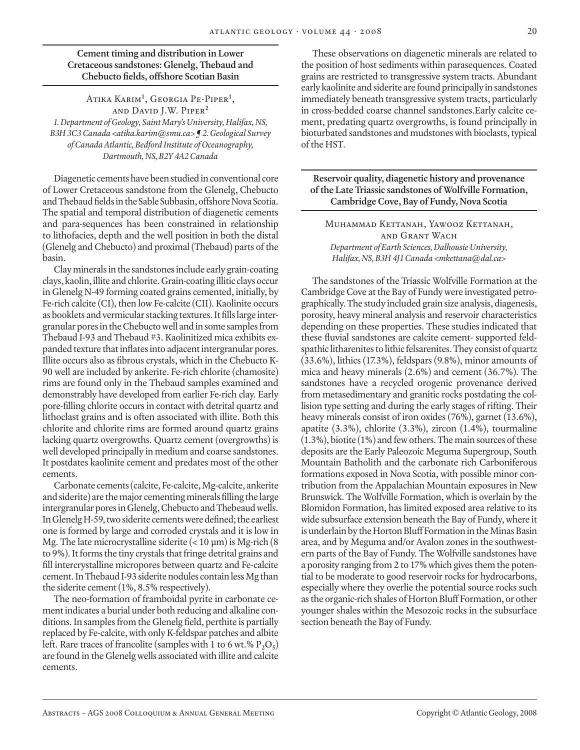**Cement timing and distribution in Lower Cretaceous sandstones: Glenelg, Thebaud and Chebucto fields, offshore Scotian Basin**

Atika Karim**<sup>1</sup>** , Georgia Pe-Piper**<sup>1</sup>** , and David J.W. Piper**<sup>2</sup>** *1. Department of Geology, Saint Mary's University, Halifax, NS,* 

*B3H 3C3 Canada <atika.karim@smu.ca> ¶ 2. Geological Survey of Canada Atlantic, Bedford Institute of Oceanography, Dartmouth, NS, B2Y 4A2 Canada*

Diagenetic cements have been studied in conventional core of Lower Cretaceous sandstone from the Glenelg, Chebucto and Thebaud fields in the Sable Subbasin, offshore Nova Scotia. The spatial and temporal distribution of diagenetic cements and para-sequences has been constrained in relationship to lithofacies, depth and the well position in both the distal (Glenelg and Chebucto) and proximal (Thebaud) parts of the basin.

Clay minerals in the sandstones include early grain-coating clays, kaolin, illite and chlorite. Grain-coating illitic clays occur in Glenelg N-49 forming coated grains cemented, initially, by Fe-rich calcite (CI), then low Fe-calcite (CII). Kaolinite occurs as booklets and vermicular stacking textures. It fills large intergranular pores in the Chebucto well and in some samples from Thebaud I-93 and Thebaud #3. Kaolinitized mica exhibits expanded texture that inflates into adjacent intergranular pores. Illite occurs also as fibrous crystals, which in the Chebucto K-90 well are included by ankerite. Fe-rich chlorite (chamosite) rims are found only in the Thebaud samples examined and demonstrably have developed from earlier Fe-rich clay. Early pore-filling chlorite occurs in contact with detrital quartz and lithoclast grains and is often associated with illite. Both this chlorite and chlorite rims are formed around quartz grains lacking quartz overgrowths. Quartz cement (overgrowths) is well developed principally in medium and coarse sandstones. It postdates kaolinite cement and predates most of the other cements.

Carbonate cements (calcite, Fe-calcite, Mg-calcite, ankerite and siderite) are the major cementing minerals filling the large intergranular pores in Glenelg, Chebucto and Thebeaud wells. In Glenelg H-59, two siderite cements were defined; the earliest one is formed by large and corroded crystals and it is low in Mg. The late microcrystalline siderite  $(< 10 \text{ µm})$  is Mg-rich  $(8$ to 9%). It forms the tiny crystals that fringe detrital grains and fill intercrystalline micropores between quartz and Fe-calcite cement. In Thebaud I-93 siderite nodules contain less Mg than the siderite cement (1%, 8.5% respectively).

The neo-formation of framboidal pyrite in carbonate cement indicates a burial under both reducing and alkaline conditions. In samples from the Glenelg field, perthite is partially replaced by Fe-calcite, with only K-feldspar patches and albite left. Rare traces of francolite (samples with 1 to 6 wt.%  $P_2O_5$ ) are found in the Glenelg wells associated with illite and calcite cements.

These observations on diagenetic minerals are related to the position of host sediments within parasequences. Coated grains are restricted to transgressive system tracts. Abundant early kaolinite and siderite are found principally in sandstones immediately beneath transgressive system tracts, particularly in cross-bedded coarse channel sandstones.Early calcite cement, predating quartz overgrowths, is found principally in bioturbated sandstones and mudstones with bioclasts, typical of the HST.

**Reservoir quality, diagenetic history and provenance of the Late Triassic sandstones of Wolfville Formation, Cambridge Cove, Bay of Fundy, Nova Scotia**

Muhammad Kettanah, Yawooz Kettanah, and Grant Wach *Department of Earth Sciences, Dalhousie University, Halifax, NS, B3H 4J1 Canada <mkettana@dal.ca>*

The sandstones of the Triassic Wolfville Formation at the Cambridge Cove at the Bay of Fundy were investigated petrographically. The study included grain size analysis, diagenesis, porosity, heavy mineral analysis and reservoir characteristics depending on these properties. These studies indicated that these fluvial sandstones are calcite cement- supported feldspathic litharenites to lithic felsarenites. They consist of quartz (33.6%), lithics (17.3%), feldspars (9.8%), minor amounts of mica and heavy minerals (2.6%) and cement (36.7%). The sandstones have a recycled orogenic provenance derived from metasedimentary and granitic rocks postdating the collision type setting and during the early stages of rifting. Their heavy minerals consist of iron oxides (76%), garnet (13.6%), apatite (3.3%), chlorite (3.3%), zircon (1.4%), tourmaline (1.3%), biotite (1%) and few others. The main sources of these deposits are the Early Paleozoic Meguma Supergroup, South Mountain Batholith and the carbonate rich Carboniferous formations exposed in Nova Scotia, with possible minor contribution from the Appalachian Mountain exposures in New Brunswick. The Wolfville Formation, which is overlain by the Blomidon Formation, has limited exposed area relative to its wide subsurface extension beneath the Bay of Fundy, where it is underlain by the Horton Bluff Formation in the Minas Basin area, and by Meguma and/or Avalon zones in the southwestern parts of the Bay of Fundy. The Wolfville sandstones have a porosity ranging from 2 to 17% which gives them the potential to be moderate to good reservoir rocks for hydrocarbons, especially where they overlie the potential source rocks such as the organic-rich shales of Horton Bluff Formation, or other younger shales within the Mesozoic rocks in the subsurface section beneath the Bay of Fundy.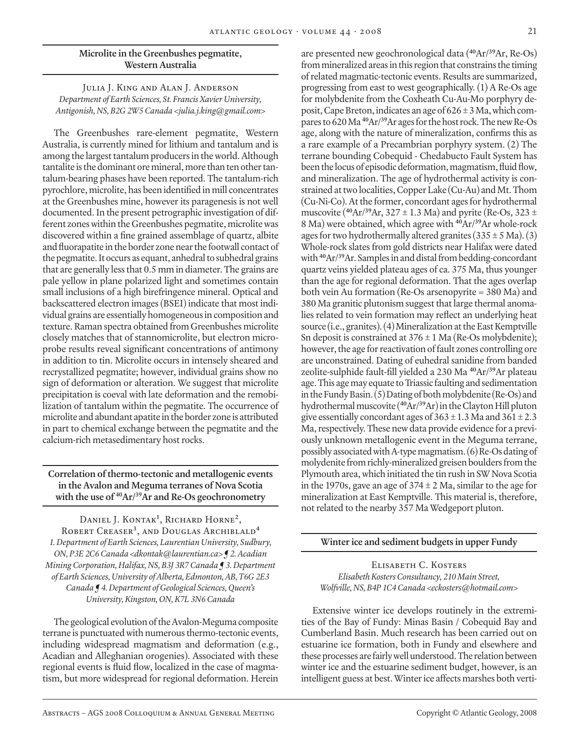# **Microlite in the Greenbushes pegmatite, Western Australia**

Julia J. King and Alan J. Anderson *Department of Earth Sciences, St. Francis Xavier University, Antigonish, NS, B2G 2W5 Canada <julia.j.king@gmail.com>*

The Greenbushes rare-element pegmatite, Western Australia, is currently mined for lithium and tantalum and is among the largest tantalum producers in the world. Although tantalite is the dominant ore mineral, more than ten other tantalum-bearing phases have been reported. The tantalum-rich pyrochlore, microlite, has been identified in mill concentrates at the Greenbushes mine, however its paragenesis is not well documented. In the present petrographic investigation of different zones within the Greenbushes pegmatite, microlite was discovered within a fine grained assemblage of quartz, albite and fluorapatite in the border zone near the footwall contact of the pegmatite. It occurs as equant, anhedral to subhedral grains that are generally less that 0.5 mm in diameter. The grains are pale yellow in plane polarized light and sometimes contain small inclusions of a high birefringence mineral. Optical and backscattered electron images (BSEI) indicate that most individual grains are essentially homogeneous in composition and texture. Raman spectra obtained from Greenbushes microlite closely matches that of stannomicrolite, but electron microprobe results reveal significant concentrations of antimony in addition to tin. Microlite occurs in intensely sheared and recrystallized pegmatite; however, individual grains show no sign of deformation or alteration. We suggest that microlite precipitation is coeval with late deformation and the remobilization of tantalum within the pegmatite. The occurrence of microlite and abundant apatite in the border zone is attributed in part to chemical exchange between the pegmatite and the calcium-rich metasedimentary host rocks.

**Correlation of thermo-tectonic and metallogenic events in the Avalon and Meguma terranes of Nova Scotia with the use of 40Ar/39Ar and Re-Os geochronometry**

Daniel J. Kontak**<sup>1</sup>** , Richard Horne**<sup>2</sup>**, Robert Creaser**<sup>3</sup>**, and Douglas Archiblald**<sup>4</sup>** *1. Department of Earth Sciences, Laurentian University, Sudbury, ON, P3E 2C6 Canada <dkontak@laurentian.ca> ¶ 2. Acadian Mining Corporation, Halifax, NS, B3J 3R7 Canada ¶ 3. Department of Earth Sciences, University of Alberta, Edmonton, AB, T6G 2E3 Canada ¶ 4. Department of Geological Sciences, Queen's University, Kingston, ON, K7L 3N6 Canada*

The geological evolution of the Avalon-Meguma composite terrane is punctuated with numerous thermo-tectonic events, including widespread magmatism and deformation (e.g., Acadian and Alleghanian orogenies). Associated with these regional events is fluid flow, localized in the case of magmatism, but more widespread for regional deformation. Herein

are presented new geochronological data (**<sup>40</sup>**Ar/**<sup>39</sup>**Ar, Re-Os) from mineralized areas in this region that constrains the timing of related magmatic-tectonic events. Results are summarized, progressing from east to west geographically. (1) A Re-Os age for molybdenite from the Coxheath Cu-Au-Mo porphyry deposit, Cape Breton, indicates an age of  $626 \pm 3$  Ma, which compares to 620 Ma **<sup>40</sup>**Ar/**<sup>39</sup>**Ar ages for the host rock. The new Re-Os age, along with the nature of mineralization, confirms this as a rare example of a Precambrian porphyry system. (2) The terrane bounding Cobequid - Chedabucto Fault System has been the locus of episodic deformation, magmatism, fluid flow, and mineralization. The age of hydrothermal activity is constrained at two localities, Copper Lake (Cu-Au) and Mt. Thom (Cu-Ni-Co). At the former, concordant ages for hydrothermal muscovite (**<sup>40</sup>**Ar/**<sup>39</sup>**Ar, 327 ± 1.3 Ma) and pyrite (Re-Os, 323 ± 8 Ma) were obtained, which agree with **<sup>40</sup>**Ar/**<sup>39</sup>**Ar whole-rock ages for two hydrothermally altered granites  $(335 \pm 5 \text{ Ma})$ . (3) Whole-rock slates from gold districts near Halifax were dated with **<sup>40</sup>**Ar/**<sup>39</sup>**Ar. Samples in and distal from bedding-concordant quartz veins yielded plateau ages of ca. 375 Ma, thus younger than the age for regional deformation. That the ages overlap both vein Au formation (Re-Os arsenopyrite = 380 Ma) and 380 Ma granitic plutonism suggest that large thermal anomalies related to vein formation may reflect an underlying heat source (i.e., granites). (4) Mineralization at the East Kemptville Sn deposit is constrained at  $376 \pm 1$  Ma (Re-Os molybdenite); however, the age for reactivation of fault zones controlling ore are unconstrained. Dating of euhedral sanidine from banded zeolite-sulphide fault-fill yielded a 230 Ma **<sup>40</sup>**Ar/**<sup>39</sup>**Ar plateau age. This age may equate to Triassic faulting and sedimentation in the Fundy Basin. (5) Dating of both molybdenite (Re-Os) and hydrothermal muscovite (**<sup>40</sup>**Ar/**<sup>39</sup>**Ar) in the Clayton Hill pluton give essentially concordant ages of  $363 \pm 1.3$  Ma and  $361 \pm 2.3$ Ma, respectively. These new data provide evidence for a previously unknown metallogenic event in the Meguma terrane, possibly associated with A-type magmatism. (6) Re-Os dating of molydenite from richly-mineralized greisen boulders from the Plymouth area, which initiated the tin rush in SW Nova Scotia in the 1970s, gave an age of  $374 \pm 2$  Ma, similar to the age for mineralization at East Kemptville. This material is, therefore, not related to the nearby 357 Ma Wedgeport pluton.

#### **Winter ice and sediment budgets in upper Fundy**

Elisabeth C. Kosters *Elisabeth Kosters Consultancy, 210 Main Street, Wolfville, NS, B4P 1C4 Canada <eckosters@hotmail.com>*

Extensive winter ice develops routinely in the extremities of the Bay of Fundy: Minas Basin / Cobequid Bay and Cumberland Basin. Much research has been carried out on estuarine ice formation, both in Fundy and elsewhere and these processes are fairly well understood. The relation between winter ice and the estuarine sediment budget, however, is an intelligent guess at best. Winter ice affects marshes both verti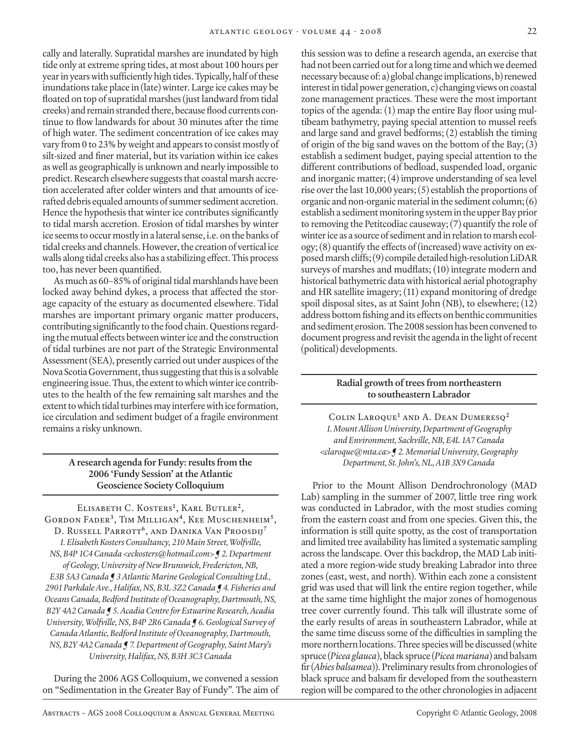cally and laterally. Supratidal marshes are inundated by high tide only at extreme spring tides, at most about 100 hours per year in years with sufficiently high tides. Typically, half of these inundations take place in (late) winter. Large ice cakes may be floated on top of supratidal marshes (just landward from tidal creeks) and remain stranded there, because flood currents continue to flow landwards for about 30 minutes after the time of high water. The sediment concentration of ice cakes may vary from 0 to 23% by weight and appears to consist mostly of silt-sized and finer material, but its variation within ice cakes as well as geographically is unknown and nearly impossible to predict. Research elsewhere suggests that coastal marsh accretion accelerated after colder winters and that amounts of icerafted debris equaled amounts of summer sediment accretion. Hence the hypothesis that winter ice contributes significantly to tidal marsh accretion. Erosion of tidal marshes by winter ice seems to occur mostly in a lateral sense, i.e. on the banks of tidal creeks and channels. However, the creation of vertical ice walls along tidal creeks also has a stabilizing effect. This process too, has never been quantified.

As much as 60–85% of original tidal marshlands have been locked away behind dykes, a process that affected the storage capacity of the estuary as documented elsewhere. Tidal marshes are important primary organic matter producers, contributing significantly to the food chain. Questions regarding the mutual effects between winter ice and the construction of tidal turbines are not part of the Strategic Environmental Assessment (SEA), presently carried out under auspices of the Nova Scotia Government, thus suggesting that this is a solvable engineering issue. Thus, the extent to which winter ice contributes to the health of the few remaining salt marshes and the extent to which tidal turbines may interfere with ice formation, ice circulation and sediment budget of a fragile environment remains a risky unknown.

> **A research agenda for Fundy: results from the 2006 'Fundy Session' at the Atlantic Geoscience Society Colloquium**

Elisabeth C. Kosters**<sup>1</sup>** , Karl Butler**<sup>2</sup>**, Gordon Fader**<sup>3</sup>**, Tim Milligan**<sup>4</sup>**, Kee Muschenheim**<sup>5</sup>**, D. Russell Parrott**<sup>6</sup>**, and Danika Van Proosdij**<sup>7</sup>** *1. Elisabeth Kosters Consultancy, 210 Main Street, Wolfville, NS, B4P 1C4 Canada <eckosters@hotmail.com> ¶ 2. Department of Geology, University of New Brunswick, Fredericton, NB, E3B 5A3 Canada ¶ 3 Atlantic Marine Geological Consulting Ltd., 2901 Parkdale Ave., Halifax, NS, B3L 3Z2 Canada ¶ 4. Fisheries and Oceans Canada, Bedford Institute of Oceanography, Dartmouth, NS, B2Y 4A2 Canada ¶ 5. Acadia Centre for Estuarine Research, Acadia University, Wolfville, NS, B4P 2R6 Canada ¶ 6. Geological Survey of Canada Atlantic, Bedford Institute of Oceanography, Dartmouth, NS, B2Y 4A2 Canada ¶ 7. Department of Geography, Saint Mary's University, Halifax, NS, B3H 3C3 Canada*

During the 2006 AGS Colloquium, we convened a session on "Sedimentation in the Greater Bay of Fundy". The aim of this session was to define a research agenda, an exercise that had not been carried out for a long time and which we deemed necessary because of: a) global change implications, b) renewed interest in tidal power generation, c) changing views on coastal zone management practices. These were the most important topics of the agenda: (1) map the entire Bay floor using multibeam bathymetry, paying special attention to mussel reefs and large sand and gravel bedforms; (2) establish the timing of origin of the big sand waves on the bottom of the Bay;  $(3)$ establish a sediment budget, paying special attention to the different contributions of bedload, suspended load, organic and inorganic matter; (4) improve understanding of sea level rise over the last 10,000 years; (5) establish the proportions of organic and non-organic material in the sediment column; (6) establish a sediment monitoring system in the upper Bay prior to removing the Petitcodiac causeway; (7) quantify the role of winter ice as a source of sediment and in relation to marsh ecology; (8) quantify the effects of (increased) wave activity on exposed marsh cliffs; (9) compile detailed high-resolution LiDAR surveys of marshes and mudflats; (10) integrate modern and historical bathymetric data with historical aerial photography and HR satellite imagery; (11) expand monitoring of dredge spoil disposal sites, as at Saint John (NB), to elsewhere; (12) address bottom fishing and its effects on benthic communities and sediment erosion. The 2008 session has been convened to document progress and revisit the agenda in the light of recent (political) developments.

# **Radial growth of trees from northeastern to southeastern Labrador**

Colin Laroque<sup>1</sup> and A. Dean Dumeresq<sup>2</sup> *1. Mount Allison University, Department of Geography and Environment, Sackville, NB, E4L 1A7 Canada <claroque@mta.ca> ¶ 2. Memorial University, Geography Department, St. John's, NL, A1B 3X9 Canada*

Prior to the Mount Allison Dendrochronology (MAD Lab) sampling in the summer of 2007, little tree ring work was conducted in Labrador, with the most studies coming from the eastern coast and from one species. Given this, the information is still quite spotty, as the cost of transportation and limited tree availability has limited a systematic sampling across the landscape. Over this backdrop, the MAD Lab initiated a more region-wide study breaking Labrador into three zones (east, west, and north). Within each zone a consistent grid was used that will link the entire region together, while at the same time highlight the major zones of homogenous tree cover currently found. This talk will illustrate some of the early results of areas in southeastern Labrador, while at the same time discuss some of the difficulties in sampling the more northern locations. Three species will be discussed (white spruce (*Picea glauca*), black spruce (*Picea mariana*) and balsam fir (*Abies balsamea*)). Preliminary results from chronologies of black spruce and balsam fir developed from the southeastern region will be compared to the other chronologies in adjacent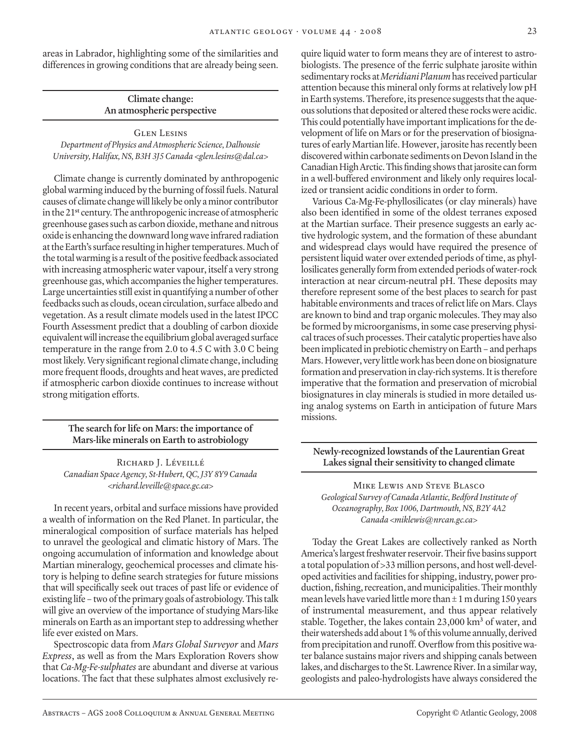areas in Labrador, highlighting some of the similarities and differences in growing conditions that are already being seen.

> **Climate change: An atmospheric perspective**

Glen Lesins *Department of Physics and Atmospheric Science, Dalhousie University, Halifax, NS, B3H 3J5 Canada <glen.lesins@dal.ca>*

Climate change is currently dominated by anthropogenic global warming induced by the burning of fossil fuels. Natural causes of climate change will likely be only a minor contributor in the 21**st** century. The anthropogenic increase of atmospheric greenhouse gases such as carbon dioxide, methane and nitrous oxide is enhancing the downward long wave infrared radiation at the Earth's surface resulting in higher temperatures. Much of the total warming is a result of the positive feedback associated with increasing atmospheric water vapour, itself a very strong greenhouse gas, which accompanies the higher temperatures. Large uncertainties still exist in quantifying a number of other feedbacks such as clouds, ocean circulation, surface albedo and vegetation. As a result climate models used in the latest IPCC Fourth Assessment predict that a doubling of carbon dioxide equivalent will increase the equilibrium global averaged surface temperature in the range from 2.0 to 4.5 C with 3.0 C being most likely. Very significant regional climate change, including more frequent floods, droughts and heat waves, are predicted if atmospheric carbon dioxide continues to increase without strong mitigation efforts.

> **The search for life on Mars: the importance of Mars-like minerals on Earth to astrobiology**

RICHARD J. LÉVEILLÉ *Canadian Space Agency, St-Hubert, QC, J3Y 8Y9 Canada <richard.leveille@space.gc.ca>*

In recent years, orbital and surface missions have provided a wealth of information on the Red Planet. In particular, the mineralogical composition of surface materials has helped to unravel the geological and climatic history of Mars. The ongoing accumulation of information and knowledge about Martian mineralogy, geochemical processes and climate history is helping to define search strategies for future missions that will specifically seek out traces of past life or evidence of existing life – two of the primary goals of astrobiology. This talk will give an overview of the importance of studying Mars-like minerals on Earth as an important step to addressing whether life ever existed on Mars.

Spectroscopic data from *Mars Global Surveyor* and *Mars Express*, as well as from the Mars Exploration Rovers show that *Ca-Mg-Fe-sulphates* are abundant and diverse at various locations. The fact that these sulphates almost exclusively require liquid water to form means they are of interest to astrobiologists. The presence of the ferric sulphate jarosite within sedimentary rocks at *Meridiani Planum* has received particular attention because this mineral only forms at relatively low pH in Earth systems. Therefore, its presence suggests that the aqueous solutions that deposited or altered these rocks were acidic. This could potentially have important implications for the development of life on Mars or for the preservation of biosignatures of early Martian life. However, jarosite has recently been discovered within carbonate sediments on Devon Island in the Canadian High Arctic. This finding shows that jarosite can form in a well-buffered environment and likely only requires localized or transient acidic conditions in order to form.

Various Ca-Mg-Fe-phyllosilicates (or clay minerals) have also been identified in some of the oldest terranes exposed at the Martian surface. Their presence suggests an early active hydrologic system, and the formation of these abundant and widespread clays would have required the presence of persistent liquid water over extended periods of time, as phyllosilicates generally form from extended periods of water-rock interaction at near circum-neutral pH. These deposits may therefore represent some of the best places to search for past habitable environments and traces of relict life on Mars. Clays are known to bind and trap organic molecules. They may also be formed by microorganisms, in some case preserving physical traces of such processes. Their catalytic properties have also been implicated in prebiotic chemistry on Earth – and perhaps Mars. However, very little work has been done on biosignature formation and preservation in clay-rich systems. It is therefore imperative that the formation and preservation of microbial biosignatures in clay minerals is studied in more detailed using analog systems on Earth in anticipation of future Mars missions.

**Newly-recognized lowstands of the Laurentian Great Lakes signal their sensitivity to changed climate**

Mike Lewis and Steve Blasco *Geological Survey of Canada Atlantic, Bedford Institute of Oceanography, Box 1006, Dartmouth, NS, B2Y 4A2 Canada <miklewis@nrcan.gc.ca>*

Today the Great Lakes are collectively ranked as North America's largest freshwater reservoir. Their five basins support a total population of >33 million persons, and host well-developed activities and facilities for shipping, industry, power production, fishing, recreation, and municipalities. Their monthly mean levels have varied little more than  $\pm$  1 m during 150 years of instrumental measurement, and thus appear relatively stable. Together, the lakes contain 23,000 km<sup>3</sup> of water, and their watersheds add about 1 % of this volume annually, derived from precipitation and runoff. Overflow from this positive water balance sustains major rivers and shipping canals between lakes, and discharges to the St. Lawrence River. In a similar way, geologists and paleo-hydrologists have always considered the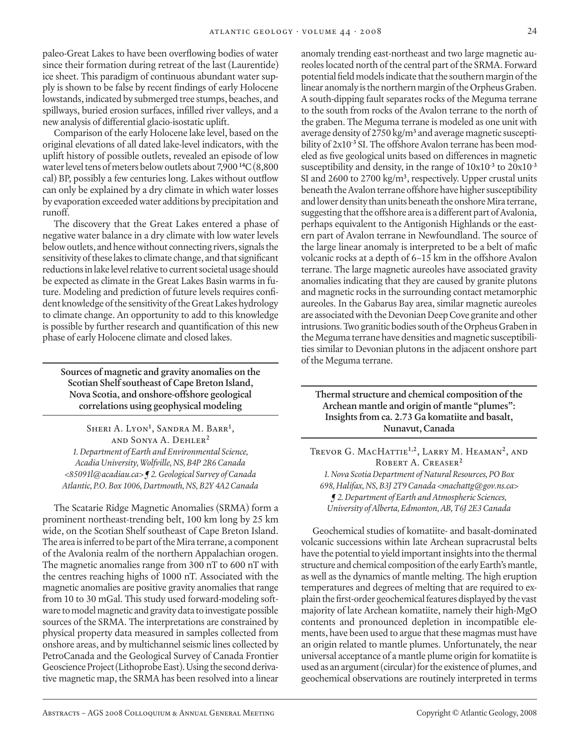paleo-Great Lakes to have been overflowing bodies of water since their formation during retreat of the last (Laurentide) ice sheet. This paradigm of continuous abundant water supply is shown to be false by recent findings of early Holocene lowstands, indicated by submerged tree stumps, beaches, and spillways, buried erosion surfaces, infilled river valleys, and a new analysis of differential glacio-isostatic uplift.

Comparison of the early Holocene lake level, based on the original elevations of all dated lake-level indicators, with the uplift history of possible outlets, revealed an episode of low water level tens of meters below outlets about 7,900 **<sup>14</sup>**C (8,800 cal) BP, possibly a few centuries long. Lakes without outflow can only be explained by a dry climate in which water losses by evaporation exceeded water additions by precipitation and runoff.

The discovery that the Great Lakes entered a phase of negative water balance in a dry climate with low water levels below outlets, and hence without connecting rivers, signals the sensitivity of these lakes to climate change, and that significant reductions in lake level relative to current societal usage should be expected as climate in the Great Lakes Basin warms in future. Modeling and prediction of future levels requires confident knowledge of the sensitivity of the Great Lakes hydrology to climate change. An opportunity to add to this knowledge is possible by further research and quantification of this new phase of early Holocene climate and closed lakes.

**Sources of magnetic and gravity anomalies on the Scotian Shelf southeast of Cape Breton Island, Nova Scotia, and onshore-offshore geological correlations using geophysical modeling**

Sheri A. Lyon**<sup>1</sup>** , Sandra M. Barr**<sup>1</sup>** , and Sonya A. Dehler**<sup>2</sup>** *1. Department of Earth and Environmental Science, Acadia University, Wolfville, NS, B4P 2R6 Canada <85091l@acadiau.ca> ¶ 2. Geological Survey of Canada Atlantic, P.O. Box 1006, Dartmouth, NS, B2Y 4A2 Canada*

The Scatarie Ridge Magnetic Anomalies (SRMA) form a prominent northeast-trending belt, 100 km long by 25 km wide, on the Scotian Shelf southeast of Cape Breton Island. The area is inferred to be part of the Mira terrane, a component of the Avalonia realm of the northern Appalachian orogen. The magnetic anomalies range from 300 nT to 600 nT with the centres reaching highs of 1000 nT. Associated with the magnetic anomalies are positive gravity anomalies that range from 10 to 30 mGal. This study used forward-modeling software to model magnetic and gravity data to investigate possible sources of the SRMA. The interpretations are constrained by physical property data measured in samples collected from onshore areas, and by multichannel seismic lines collected by PetroCanada and the Geological Survey of Canada Frontier Geoscience Project (Lithoprobe East). Using the second derivative magnetic map, the SRMA has been resolved into a linear

anomaly trending east-northeast and two large magnetic aureoles located north of the central part of the SRMA. Forward potential field models indicate that the southern margin of the linear anomaly is the northern margin of the Orpheus Graben. A south-dipping fault separates rocks of the Meguma terrane to the south from rocks of the Avalon terrane to the north of the graben. The Meguma terrane is modeled as one unit with average density of 2750 kg/m**<sup>3</sup>** and average magnetic susceptibility of 2x10**-3** SI. The offshore Avalon terrane has been modeled as five geological units based on differences in magnetic susceptibility and density, in the range of 10x10**-3** to 20x10**-3** SI and 2600 to 2700 kg/m**<sup>3</sup>** , respectively. Upper crustal units beneath the Avalon terrane offshore have higher susceptibility and lower density than units beneath the onshore Mira terrane, suggesting that the offshore area is a different part of Avalonia, perhaps equivalent to the Antigonish Highlands or the eastern part of Avalon terrane in Newfoundland. The source of the large linear anomaly is interpreted to be a belt of mafic volcanic rocks at a depth of 6–15 km in the offshore Avalon terrane. The large magnetic aureoles have associated gravity anomalies indicating that they are caused by granite plutons and magnetic rocks in the surrounding contact metamorphic aureoles. In the Gabarus Bay area, similar magnetic aureoles are associated with the Devonian Deep Cove granite and other intrusions. Two granitic bodies south of the Orpheus Graben in the Meguma terrane have densities and magnetic susceptibilities similar to Devonian plutons in the adjacent onshore part of the Meguma terrane.

**Thermal structure and chemical composition of the Archean mantle and origin of mantle "plumes": Insights from ca. 2.73 Ga komatiite and basalt, Nunavut, Canada**

Trevor G. MacHattie**1,2**, Larry M. Heaman**<sup>2</sup>**, and Robert A. Creaser**<sup>2</sup>** *1. Nova Scotia Department of Natural Resources, PO Box 698, Halifax, NS, B3J 2T9 Canada <machattg@gov.ns.ca> ¶ 2. Department of Earth and Atmospheric Sciences, University of Alberta, Edmonton, AB, T6J 2E3 Canada*

Geochemical studies of komatiite- and basalt-dominated volcanic successions within late Archean supracrustal belts have the potential to yield important insights into the thermal structure and chemical composition of the early Earth's mantle, as well as the dynamics of mantle melting. The high eruption temperatures and degrees of melting that are required to explain the first-order geochemical features displayed by the vast majority of late Archean komatiite, namely their high-MgO contents and pronounced depletion in incompatible elements, have been used to argue that these magmas must have an origin related to mantle plumes. Unfortunately, the near universal acceptance of a mantle plume origin for komatiite is used as an argument (circular) for the existence of plumes, and geochemical observations are routinely interpreted in terms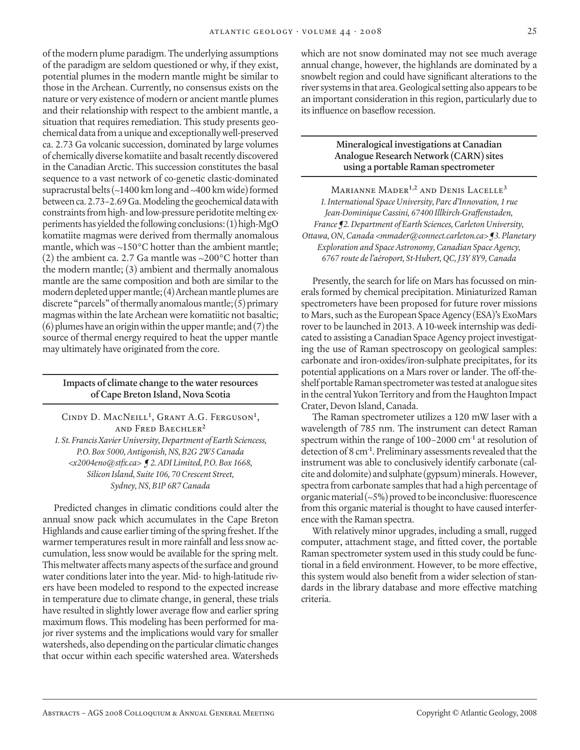of the modern plume paradigm. The underlying assumptions of the paradigm are seldom questioned or why, if they exist, potential plumes in the modern mantle might be similar to those in the Archean. Currently, no consensus exists on the nature or very existence of modern or ancient mantle plumes and their relationship with respect to the ambient mantle, a situation that requires remediation. This study presents geochemical data from a unique and exceptionally well-preserved ca. 2.73 Ga volcanic succession, dominated by large volumes of chemically diverse komatiite and basalt recently discovered in the Canadian Arctic. This succession constitutes the basal sequence to a vast network of co-genetic clastic-dominated supracrustal belts (~1400 km long and ~400 km wide) formed between ca. 2.73–2.69 Ga. Modeling the geochemical data with constraints from high- and low-pressure peridotite melting experiments has yielded the following conclusions: (1) high-MgO komatiite magmas were derived from thermally anomalous mantle, which was ~150°C hotter than the ambient mantle; (2) the ambient ca. 2.7 Ga mantle was  $\sim$ 200 $^{\circ}$ C hotter than the modern mantle; (3) ambient and thermally anomalous mantle are the same composition and both are similar to the modern depleted upper mantle; (4) Archean mantle plumes are discrete "parcels" of thermally anomalous mantle; (5) primary magmas within the late Archean were komatiitic not basaltic; (6) plumes have an origin within the upper mantle; and (7) the source of thermal energy required to heat the upper mantle may ultimately have originated from the core.

# **Impacts of climate change to the water resources of Cape Breton Island, Nova Scotia**

Cindy D. MacNeill**<sup>1</sup>** , Grant A.G. Ferguson**<sup>1</sup>** , and Fred Baechler**<sup>2</sup>** *1. St. Francis Xavier University, Department of Earth Sciencess, P.O. Box 5000, Antigonish, NS, B2G 2W5 Canada <x2004eno@stfx.ca> ¶ 2. ADI Limited, P.O. Box 1668, Silicon Island, Suite 106, 70 Crescent Street, Sydney, NS, B1P 6R7 Canada*

Predicted changes in climatic conditions could alter the annual snow pack which accumulates in the Cape Breton Highlands and cause earlier timing of the spring freshet. If the warmer temperatures result in more rainfall and less snow accumulation, less snow would be available for the spring melt. This meltwater affects many aspects of the surface and ground water conditions later into the year. Mid- to high-latitude rivers have been modeled to respond to the expected increase in temperature due to climate change, in general, these trials have resulted in slightly lower average flow and earlier spring maximum flows. This modeling has been performed for major river systems and the implications would vary for smaller watersheds, also depending on the particular climatic changes that occur within each specific watershed area. Watersheds which are not snow dominated may not see much average annual change, however, the highlands are dominated by a snowbelt region and could have significant alterations to the river systems in that area. Geological setting also appears to be an important consideration in this region, particularly due to its influence on baseflow recession.

#### **Mineralogical investigations at Canadian Analogue Research Network (CARN) sites using a portable Raman spectrometer**

Marianne Mader**1,2** and Denis Lacelle**<sup>3</sup>** *1. International Space University, Parc d'Innovation, 1 rue Jean-Dominique Cassini, 67400 Illkirch-Graffenstaden, France ¶2. Department of Earth Sciences, Carleton University, Ottawa, ON, Canada <mmader@connect.carleton.ca> ¶3. Planetary Exploration and Space Astronomy, Canadian Space Agency, 6767 route de l'aéroport, St-Hubert, QC, J3Y 8Y9, Canada*

Presently, the search for life on Mars has focussed on minerals formed by chemical precipitation. Miniaturized Raman spectrometers have been proposed for future rover missions to Mars, such as the European Space Agency (ESA)'s ExoMars rover to be launched in 2013. A 10-week internship was dedicated to assisting a Canadian Space Agency project investigating the use of Raman spectroscopy on geological samples: carbonate and iron-oxides/iron-sulphate precipitates, for its potential applications on a Mars rover or lander. The off-theshelf portable Raman spectrometer was tested at analogue sites in the central Yukon Territory and from the Haughton Impact Crater, Devon Island, Canada.

The Raman spectrometer utilizes a 120 mW laser with a wavelength of 785 nm. The instrument can detect Raman spectrum within the range of 100–2000 cm**-1** at resolution of detection of 8 cm**-1**. Preliminary assessments revealed that the instrument was able to conclusively identify carbonate (calcite and dolomite) and sulphate (gypsum) minerals. However, spectra from carbonate samples that had a high percentage of organic material  $({}_{\sim}5\%)$  proved to be inconclusive: fluorescence from this organic material is thought to have caused interference with the Raman spectra.

With relatively minor upgrades, including a small, rugged computer, attachment stage, and fitted cover, the portable Raman spectrometer system used in this study could be functional in a field environment. However, to be more effective, this system would also benefit from a wider selection of standards in the library database and more effective matching criteria.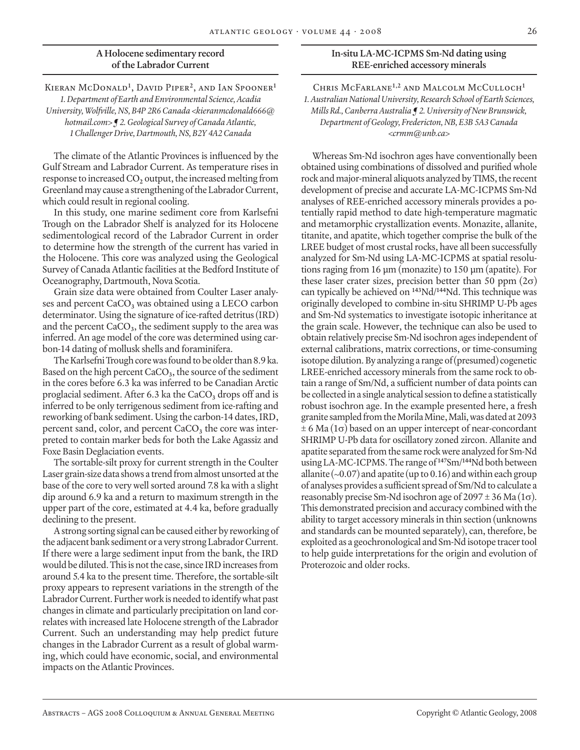# **A Holocene sedimentary record of the Labrador Current**

Kieran McDonald**<sup>1</sup>** , David Piper**<sup>2</sup>**, and Ian Spooner**<sup>1</sup>** *1. Department of Earth and Environmental Science, Acadia University, Wolfville, NS, B4P 2R6 Canada <kieranmcdonald666@ hotmail.com> ¶ 2. Geological Survey of Canada Atlantic, 1 Challenger Drive, Dartmouth, NS, B2Y 4A2 Canada*

The climate of the Atlantic Provinces is influenced by the Gulf Stream and Labrador Current. As temperature rises in response to increased CO**2** output, the increased melting from Greenland may cause a strengthening of the Labrador Current, which could result in regional cooling.

In this study, one marine sediment core from Karlsefni Trough on the Labrador Shelf is analyzed for its Holocene sedimentological record of the Labrador Current in order to determine how the strength of the current has varied in the Holocene. This core was analyzed using the Geological Survey of Canada Atlantic facilities at the Bedford Institute of Oceanography, Dartmouth, Nova Scotia.

Grain size data were obtained from Coulter Laser analyses and percent CaCO<sub>3</sub> was obtained using a LECO carbon determinator. Using the signature of ice-rafted detritus (IRD) and the percent CaCO**3**, the sediment supply to the area was inferred. An age model of the core was determined using carbon-14 dating of mollusk shells and foraminifera.

The Karlsefni Trough core was found to be older than 8.9 ka. Based on the high percent CaCO**3**, the source of the sediment in the cores before 6.3 ka was inferred to be Canadian Arctic proglacial sediment. After 6.3 ka the  $CaCO<sub>3</sub>$  drops off and is inferred to be only terrigenous sediment from ice-rafting and reworking of bank sediment. Using the carbon-14 dates, IRD, percent sand, color, and percent CaCO<sub>3</sub> the core was interpreted to contain marker beds for both the Lake Agassiz and Foxe Basin Deglaciation events.

The sortable-silt proxy for current strength in the Coulter Laser grain-size data shows a trend from almost unsorted at the base of the core to very well sorted around 7.8 ka with a slight dip around 6.9 ka and a return to maximum strength in the upper part of the core, estimated at 4.4 ka, before gradually declining to the present.

A strong sorting signal can be caused either by reworking of the adjacent bank sediment or a very strong Labrador Current. If there were a large sediment input from the bank, the IRD would be diluted. This is not the case, since IRD increases from around 5.4 ka to the present time. Therefore, the sortable-silt proxy appears to represent variations in the strength of the Labrador Current. Further work is needed to identify what past changes in climate and particularly precipitation on land correlates with increased late Holocene strength of the Labrador Current. Such an understanding may help predict future changes in the Labrador Current as a result of global warming, which could have economic, social, and environmental impacts on the Atlantic Provinces.

#### **In-situ LA-MC-ICPMS Sm-Nd dating using REE-enriched accessory minerals**

Chris McFarlane**1,2** and Malcolm McCulloch**<sup>1</sup>** *1. Australian National University, Research School of Earth Sciences, Mills Rd., Canberra Australia ¶ 2. University of New Brunswick, Department of Geology, Fredericton, NB, E3B 5A3 Canada <crmm@unb.ca>*

Whereas Sm-Nd isochron ages have conventionally been obtained using combinations of dissolved and purified whole rock and major-mineral aliquots analyzed by TIMS, the recent development of precise and accurate LA-MC-ICPMS Sm-Nd analyses of REE-enriched accessory minerals provides a potentially rapid method to date high-temperature magmatic and metamorphic crystallization events. Monazite, allanite, titanite, and apatite, which together comprise the bulk of the LREE budget of most crustal rocks, have all been successfully analyzed for Sm-Nd using LA-MC-ICPMS at spatial resolutions raging from 16 µm (monazite) to 150 µm (apatite). For these laser crater sizes, precision better than 50 ppm  $(2\sigma)$ can typically be achieved on **<sup>143</sup>**Nd/**<sup>144</sup>**Nd. This technique was originally developed to combine in-situ SHRIMP U-Pb ages and Sm-Nd systematics to investigate isotopic inheritance at the grain scale. However, the technique can also be used to obtain relatively precise Sm-Nd isochron ages independent of external calibrations, matrix corrections, or time-consuming isotope dilution. By analyzing a range of (presumed) cogenetic LREE-enriched accessory minerals from the same rock to obtain a range of Sm/Nd, a sufficient number of data points can be collected in a single analytical session to define a statistically robust isochron age. In the example presented here, a fresh granite sampled from the Morila Mine, Mali, was dated at 2093  $\pm$  6 Ma (1 $\sigma$ ) based on an upper intercept of near-concordant SHRIMP U-Pb data for oscillatory zoned zircon. Allanite and apatite separated from the same rock were analyzed for Sm-Nd using LA-MC-ICPMS. The range of **<sup>147</sup>**Sm/**<sup>144</sup>**Nd both between allanite ( $\sim$ 0.07) and apatite (up to 0.16) and within each group of analyses provides a sufficient spread of Sm/Nd to calculate a reasonably precise Sm-Nd isochron age of  $2097 \pm 36$  Ma $(1\sigma)$ . This demonstrated precision and accuracy combined with the ability to target accessory minerals in thin section (unknowns and standards can be mounted separately), can, therefore, be exploited as a geochronological and Sm-Nd isotope tracer tool to help guide interpretations for the origin and evolution of Proterozoic and older rocks.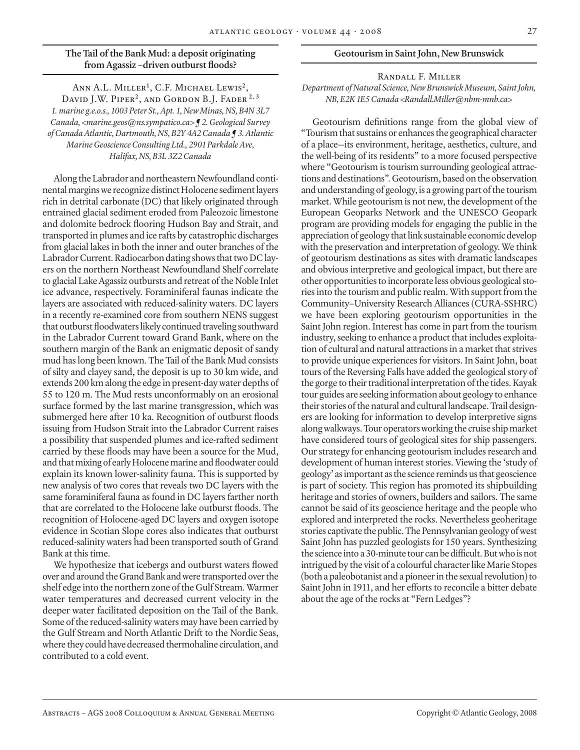# **The Tail of the Bank Mud: a deposit originating from Agassiz –driven outburst floods?**

Ann A.L. Miller**<sup>1</sup>** , C.F. Michael Lewis**<sup>2</sup>**, David J.W. Piper**<sup>2</sup>**, and Gordon B.J. Fader **2, 3** *1. marine g.e.o.s., 1003 Peter St., Apt. 1, New Minas, NS, B4N 3L7 Canada, <marine.geos@ns.sympatico.ca> ¶ 2. Geological Survey of Canada Atlantic, Dartmouth, NS, B2Y 4A2 Canada ¶ 3. Atlantic Marine Geoscience Consulting Ltd., 2901 Parkdale Ave, Halifax, NS, B3L 3Z2 Canada*

Along the Labrador and northeastern Newfoundland continental margins we recognize distinct Holocene sediment layers rich in detrital carbonate (DC) that likely originated through entrained glacial sediment eroded from Paleozoic limestone and dolomite bedrock flooring Hudson Bay and Strait, and transported in plumes and ice rafts by catastrophic discharges from glacial lakes in both the inner and outer branches of the Labrador Current. Radiocarbon dating shows that two DC layers on the northern Northeast Newfoundland Shelf correlate to glacial Lake Agassiz outbursts and retreat of the Noble Inlet ice advance, respectively. Foraminiferal faunas indicate the layers are associated with reduced-salinity waters. DC layers in a recently re-examined core from southern NENS suggest that outburst floodwaters likely continued traveling southward in the Labrador Current toward Grand Bank, where on the southern margin of the Bank an enigmatic deposit of sandy mud has long been known. The Tail of the Bank Mud consists of silty and clayey sand, the deposit is up to 30 km wide, and extends 200 km along the edge in present-day water depths of 55 to 120 m. The Mud rests unconformably on an erosional surface formed by the last marine transgression, which was submerged here after 10 ka. Recognition of outburst floods issuing from Hudson Strait into the Labrador Current raises a possibility that suspended plumes and ice-rafted sediment carried by these floods may have been a source for the Mud, and that mixing of early Holocene marine and floodwater could explain its known lower-salinity fauna. This is supported by new analysis of two cores that reveals two DC layers with the same foraminiferal fauna as found in DC layers farther north that are correlated to the Holocene lake outburst floods. The recognition of Holocene-aged DC layers and oxygen isotope evidence in Scotian Slope cores also indicates that outburst reduced-salinity waters had been transported south of Grand Bank at this time.

We hypothesize that icebergs and outburst waters flowed over and around the Grand Bank and were transported over the shelf edge into the northern zone of the Gulf Stream. Warmer water temperatures and decreased current velocity in the deeper water facilitated deposition on the Tail of the Bank. Some of the reduced-salinity waters may have been carried by the Gulf Stream and North Atlantic Drift to the Nordic Seas, where they could have decreased thermohaline circulation, and contributed to a cold event.

#### **Geotourism in Saint John, New Brunswick**

# Randall F. Miller *Department of Natural Science, New Brunswick Museum, Saint John, NB, E2K 1E5 Canada <Randall.Miller@nbm-mnb.ca>*

Geotourism definitions range from the global view of "Tourism that sustains or enhances the geographical character of a place—its environment, heritage, aesthetics, culture, and the well-being of its residents" to a more focused perspective where "Geotourism is tourism surrounding geological attractions and destinations". Geotourism, based on the observation and understanding of geology, is a growing part of the tourism market. While geotourism is not new, the development of the European Geoparks Network and the UNESCO Geopark program are providing models for engaging the public in the appreciation of geology that link sustainable economic develop with the preservation and interpretation of geology. We think of geotourism destinations as sites with dramatic landscapes and obvious interpretive and geological impact, but there are other opportunities to incorporate less obvious geological stories into the tourism and public realm. With support from the Community–University Research Alliances (CURA-SSHRC) we have been exploring geotourism opportunities in the Saint John region. Interest has come in part from the tourism industry, seeking to enhance a product that includes exploitation of cultural and natural attractions in a market that strives to provide unique experiences for visitors. In Saint John, boat tours of the Reversing Falls have added the geological story of the gorge to their traditional interpretation of the tides. Kayak tour guides are seeking information about geology to enhance their stories of the natural and cultural landscape. Trail designers are looking for information to develop interpretive signs along walkways. Tour operators working the cruise ship market have considered tours of geological sites for ship passengers. Our strategy for enhancing geotourism includes research and development of human interest stories. Viewing the 'study of geology' as important as the science reminds us that geoscience is part of society. This region has promoted its shipbuilding heritage and stories of owners, builders and sailors. The same cannot be said of its geoscience heritage and the people who explored and interpreted the rocks. Nevertheless geoheritage stories captivate the public. The Pennsylvanian geology of west Saint John has puzzled geologists for 150 years. Synthesizing the science into a 30-minute tour can be difficult. But who is not intrigued by the visit of a colourful character like Marie Stopes (both a paleobotanist and a pioneer in the sexual revolution) to Saint John in 1911, and her efforts to reconcile a bitter debate about the age of the rocks at "Fern Ledges"?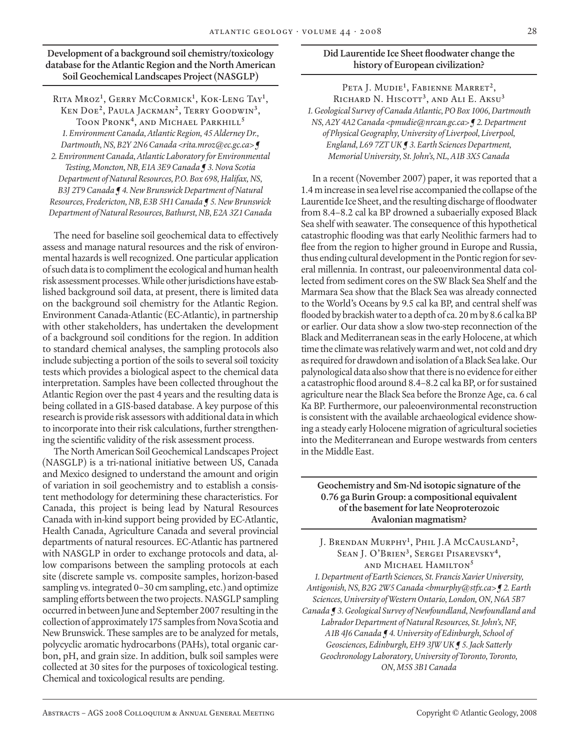# **Development of a background soil chemistry/toxicology database for the Atlantic Region and the North American Soil Geochemical Landscapes Project (NASGLP)**

Rita Mroz**<sup>1</sup>** , Gerry McCormick**<sup>1</sup>** , Kok-Leng Tay**<sup>1</sup>** , Ken Doe**<sup>2</sup>**, Paula Jackman**<sup>2</sup>**, Terry Goodwin**<sup>3</sup>**, Toon Pronk**<sup>4</sup>**, and Michael Parkhill**<sup>5</sup>** *1. Environment Canada, Atlantic Region, 45 Alderney Dr., Dartmouth, NS, B2Y 2N6 Canada <rita.mroz@ec.gc.ca> ¶* 

*2. Environment Canada, Atlantic Laboratory for Environmental Testing, Moncton, NB, E1A 3E9 Canada ¶ 3. Nova Scotia Department of Natural Resources, P.O. Box 698, Halifax, NS, B3J 2T9 Canada ¶ 4. New Brunswick Department of Natural Resources, Fredericton, NB, E3B 5H1 Canada ¶ 5. New Brunswick Department of Natural Resources, Bathurst, NB, E2A 3Z1 Canada*

The need for baseline soil geochemical data to effectively assess and manage natural resources and the risk of environmental hazards is well recognized. One particular application of such data is to compliment the ecological and human health risk assessment processes. While other jurisdictions have established background soil data, at present, there is limited data on the background soil chemistry for the Atlantic Region. Environment Canada-Atlantic (EC-Atlantic), in partnership with other stakeholders, has undertaken the development of a background soil conditions for the region. In addition to standard chemical analyses, the sampling protocols also include subjecting a portion of the soils to several soil toxicity tests which provides a biological aspect to the chemical data interpretation. Samples have been collected throughout the Atlantic Region over the past 4 years and the resulting data is being collated in a GIS-based database. A key purpose of this research is provide risk assessors with additional data in which to incorporate into their risk calculations, further strengthening the scientific validity of the risk assessment process.

The North American Soil Geochemical Landscapes Project (NASGLP) is a tri-national initiative between US, Canada and Mexico designed to understand the amount and origin of variation in soil geochemistry and to establish a consistent methodology for determining these characteristics. For Canada, this project is being lead by Natural Resources Canada with in-kind support being provided by EC-Atlantic, Health Canada, Agriculture Canada and several provincial departments of natural resources. EC-Atlantic has partnered with NASGLP in order to exchange protocols and data, allow comparisons between the sampling protocols at each site (discrete sample vs. composite samples, horizon-based sampling vs. integrated 0–30 cm sampling, etc.) and optimize sampling efforts between the two projects. NASGLP sampling occurred in between June and September 2007 resulting in the collection of approximately 175 samples from Nova Scotia and New Brunswick. These samples are to be analyzed for metals, polycyclic aromatic hydrocarbons (PAHs), total organic carbon, pH, and grain size. In addition, bulk soil samples were collected at 30 sites for the purposes of toxicological testing. Chemical and toxicological results are pending.

# **Did Laurentide Ice Sheet floodwater change the history of European civilization?**

Peta J. Mudie**<sup>1</sup>** , Fabienne Marret**<sup>2</sup>**, Richard N. Hiscott**<sup>3</sup>**, and Ali E. Aksu**<sup>3</sup>** *1. Geological Survey of Canada Atlantic, PO Box 1006, Dartmouth NS, A2Y 4A2 Canada <pmudie@nrcan.gc.ca> ¶ 2. Department of Physical Geography, University of Liverpool, Liverpool, England, L69 7ZT UK ¶ 3. Earth Sciences Department, Memorial University, St. John's, NL, A1B 3X5 Canada*

In a recent (November 2007) paper, it was reported that a 1.4 m increase in sea level rise accompanied the collapse of the Laurentide Ice Sheet, and the resulting discharge of floodwater from 8.4–8.2 cal ka BP drowned a subaerially exposed Black Sea shelf with seawater. The consequence of this hypothetical catastrophic flooding was that early Neolithic farmers had to flee from the region to higher ground in Europe and Russia, thus ending cultural development in the Pontic region for several millennia. In contrast, our paleoenvironmental data collected from sediment cores on the SW Black Sea Shelf and the Marmara Sea show that the Black Sea was already connected to the World's Oceans by 9.5 cal ka BP, and central shelf was flooded by brackish water to a depth of ca. 20 m by 8.6 cal ka BP or earlier. Our data show a slow two-step reconnection of the Black and Mediterranean seas in the early Holocene, at which time the climate was relatively warm and wet, not cold and dry as required for drawdown and isolation of a Black Sea lake. Our palynological data also show that there is no evidence for either a catastrophic flood around 8.4–8.2 cal ka BP, or for sustained agriculture near the Black Sea before the Bronze Age, ca. 6 cal Ka BP. Furthermore, our paleoenvironmental reconstruction is consistent with the available archaeological evidence showing a steady early Holocene migration of agricultural societies into the Mediterranean and Europe westwards from centers in the Middle East.

# **Geochemistry and Sm-Nd isotopic signature of the 0.76 ga Burin Group: a compositional equivalent of the basement for late Neoproterozoic Avalonian magmatism?**

J. Brendan Murphy**<sup>1</sup>** , Phil J.A McCausland**<sup>2</sup>**, Sean J. O'Brien**<sup>3</sup>**, Sergei Pisarevsky**<sup>4</sup>**, and Michael Hamilton**<sup>5</sup>** *1. Department of Earth Sciences, St. Francis Xavier University, Antigonish, NS, B2G 2W5 Canada <bmurphy@stfx.ca> ¶ 2. Earth Sciences, University of Western Ontario, London, ON, N6A 5B7 Canada ¶ 3. Geological Survey of Newfoundland, Newfoundland and Labrador Department of Natural Resources, St. John's, NF, A1B 4J6 Canada ¶ 4. University of Edinburgh, School of Geosciences, Edinburgh, EH9 3JW UK ¶ 5. Jack Satterly Geochronology Laboratory, University of Toronto, Toronto, ON, M5S 3B1 Canada*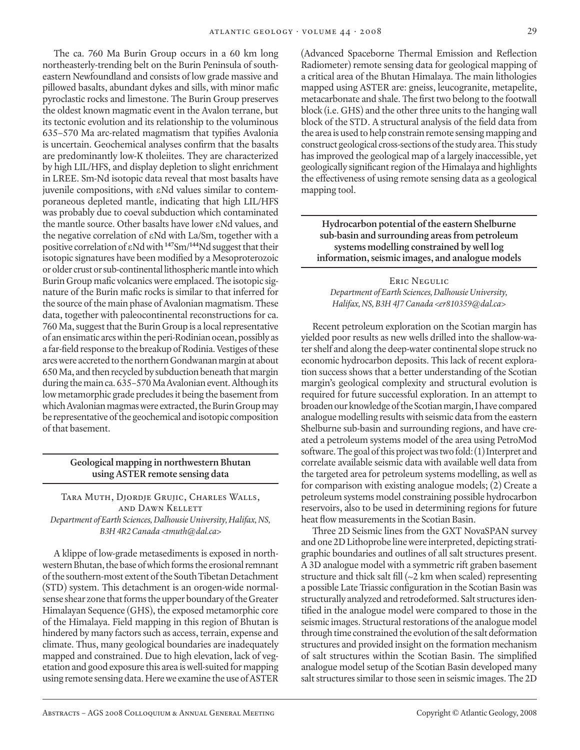The ca. 760 Ma Burin Group occurs in a 60 km long northeasterly-trending belt on the Burin Peninsula of southeastern Newfoundland and consists of low grade massive and pillowed basalts, abundant dykes and sills, with minor mafic pyroclastic rocks and limestone. The Burin Group preserves the oldest known magmatic event in the Avalon terrane, but its tectonic evolution and its relationship to the voluminous 635–570 Ma arc-related magmatism that typifies Avalonia is uncertain. Geochemical analyses confirm that the basalts are predominantly low-K tholeiites. They are characterized by high LIL/HFS, and display depletion to slight enrichment in LREE. Sm-Nd isotopic data reveal that most basalts have juvenile compositions, with εNd values similar to contemporaneous depleted mantle, indicating that high LIL/HFS was probably due to coeval subduction which contaminated the mantle source. Other basalts have lower εNd values, and the negative correlation of εNd with La/Sm, together with a positive correlation of εNd with **<sup>147</sup>**Sm/**<sup>144</sup>**Nd suggest that their isotopic signatures have been modified by a Mesoproterozoic or older crust or sub-continental lithospheric mantle into which Burin Group mafic volcanics were emplaced. The isotopic signature of the Burin mafic rocks is similar to that inferred for the source of the main phase of Avalonian magmatism. These data, together with paleocontinental reconstructions for ca. 760 Ma, suggest that the Burin Group is a local representative of an ensimatic arcs within the peri-Rodinian ocean, possibly as a far-field response to the breakup of Rodinia. Vestiges of these arcs were accreted to the northern Gondwanan margin at about 650 Ma, and then recycled by subduction beneath that margin during the main ca. 635–570 Ma Avalonian event. Although its low metamorphic grade precludes it being the basement from which Avalonian magmas were extracted, the Burin Group may be representative of the geochemical and isotopic composition of that basement.

# **Geological mapping in northwestern Bhutan using ASTER remote sensing data**

Tara Muth, Djordje Grujic, Charles Walls, and Dawn Kellett *Department of Earth Sciences, Dalhousie University, Halifax, NS, B3H 4R2 Canada <tmuth@dal.ca>*

A klippe of low-grade metasediments is exposed in northwestern Bhutan, the base of which forms the erosional remnant of the southern-most extent of the South Tibetan Detachment (STD) system. This detachment is an orogen-wide normalsense shear zone that forms the upper boundary of the Greater Himalayan Sequence (GHS), the exposed metamorphic core of the Himalaya. Field mapping in this region of Bhutan is hindered by many factors such as access, terrain, expense and climate. Thus, many geological boundaries are inadequately mapped and constrained. Due to high elevation, lack of vegetation and good exposure this area is well-suited for mapping using remote sensing data. Here we examine the use of ASTER

(Advanced Spaceborne Thermal Emission and Reflection Radiometer) remote sensing data for geological mapping of a critical area of the Bhutan Himalaya. The main lithologies mapped using ASTER are: gneiss, leucogranite, metapelite, metacarbonate and shale. The first two belong to the footwall block (i.e. GHS) and the other three units to the hanging wall block of the STD. A structural analysis of the field data from the area is used to help constrain remote sensing mapping and construct geological cross-sections of the study area. This study has improved the geological map of a largely inaccessible, yet geologically significant region of the Himalaya and highlights the effectiveness of using remote sensing data as a geological mapping tool.

**Hydrocarbon potential of the eastern Shelburne sub-basin and surrounding areas from petroleum systems modelling constrained by well log information, seismic images, and analogue models**

Eric Negulic *Department of Earth Sciences, Dalhousie University, Halifax, NS, B3H 4J7 Canada <er810359@dal.ca>*

Recent petroleum exploration on the Scotian margin has yielded poor results as new wells drilled into the shallow-water shelf and along the deep-water continental slope struck no economic hydrocarbon deposits. This lack of recent exploration success shows that a better understanding of the Scotian margin's geological complexity and structural evolution is required for future successful exploration. In an attempt to broaden our knowledge of the Scotian margin, I have compared analogue modelling results with seismic data from the eastern Shelburne sub-basin and surrounding regions, and have created a petroleum systems model of the area using PetroMod software. The goal of this project was two fold: (1) Interpret and correlate available seismic data with available well data from the targeted area for petroleum systems modelling, as well as for comparison with existing analogue models; (2) Create a petroleum systems model constraining possible hydrocarbon reservoirs, also to be used in determining regions for future heat flow measurements in the Scotian Basin.

Three 2D Seismic lines from the GXT NovaSPAN survey and one 2D Lithoprobe line were interpreted, depicting stratigraphic boundaries and outlines of all salt structures present. A 3D analogue model with a symmetric rift graben basement structure and thick salt fill  $(\sim 2 \text{ km when scaled})$  representing a possible Late Triassic configuration in the Scotian Basin was structurally analyzed and retrodeformed. Salt structures identified in the analogue model were compared to those in the seismic images. Structural restorations of the analogue model through time constrained the evolution of the salt deformation structures and provided insight on the formation mechanism of salt structures within the Scotian Basin. The simplified analogue model setup of the Scotian Basin developed many salt structures similar to those seen in seismic images. The 2D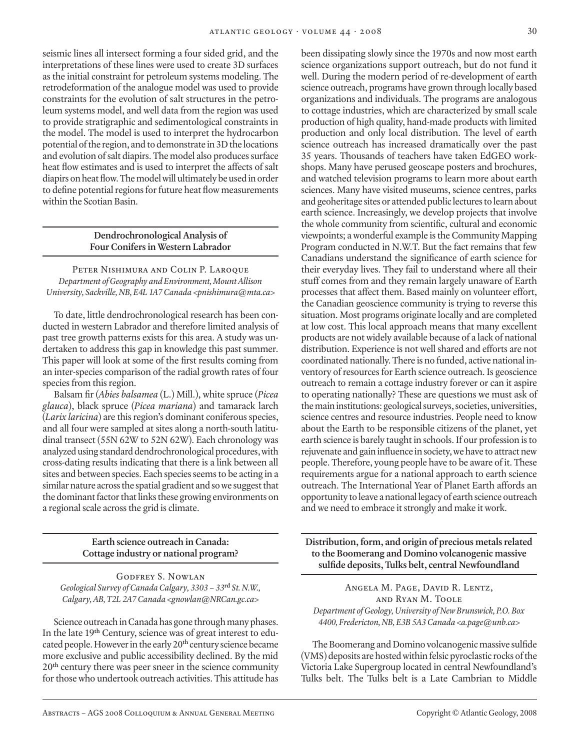seismic lines all intersect forming a four sided grid, and the interpretations of these lines were used to create 3D surfaces as the initial constraint for petroleum systems modeling. The retrodeformation of the analogue model was used to provide constraints for the evolution of salt structures in the petroleum systems model, and well data from the region was used to provide stratigraphic and sedimentological constraints in the model. The model is used to interpret the hydrocarbon potential of the region, and to demonstrate in 3D the locations and evolution of salt diapirs. The model also produces surface heat flow estimates and is used to interpret the affects of salt diapirs on heat flow. The model will ultimately be used in order to define potential regions for future heat flow measurements within the Scotian Basin.

# **Dendrochronological Analysis of Four Conifers in Western Labrador**

Peter Nishimura and Colin P. Laroque *Department of Geography and Environment, Mount Allison University, Sackville, NB, E4L 1A7 Canada <pnishimura@mta.ca>*

To date, little dendrochronological research has been conducted in western Labrador and therefore limited analysis of past tree growth patterns exists for this area. A study was undertaken to address this gap in knowledge this past summer. This paper will look at some of the first results coming from an inter-species comparison of the radial growth rates of four species from this region.

Balsam fir (*Abies balsamea* (L.) Mill.), white spruce (*Picea glauca*), black spruce (*Picea mariana*) and tamarack larch (*Larix laricina*) are this region's dominant coniferous species, and all four were sampled at sites along a north-south latitudinal transect (55N 62W to 52N 62W). Each chronology was analyzed using standard dendrochronological procedures, with cross-dating results indicating that there is a link between all sites and between species. Each species seems to be acting in a similar nature across the spatial gradient and so we suggest that the dominant factor that links these growing environments on a regional scale across the grid is climate.

# **Earth science outreach in Canada: Cottage industry or national program?**

Godfrey S. Nowlan *Geological Survey of Canada Calgary, 3303 – 33***rd** *St. N.W., Calgary, AB, T2L 2A7 Canada <gnowlan@NRCan.gc.ca>*

Science outreach in Canada has gone through many phases. In the late 19**th** Century, science was of great interest to educated people. However in the early 20**th** century science became more exclusive and public accessibility declined. By the mid 20**th** century there was peer sneer in the science community for those who undertook outreach activities. This attitude has been dissipating slowly since the 1970s and now most earth science organizations support outreach, but do not fund it well. During the modern period of re-development of earth science outreach, programs have grown through locally based organizations and individuals. The programs are analogous to cottage industries, which are characterized by small scale production of high quality, hand-made products with limited production and only local distribution. The level of earth science outreach has increased dramatically over the past 35 years. Thousands of teachers have taken EdGEO workshops. Many have perused geoscape posters and brochures, and watched television programs to learn more about earth sciences. Many have visited museums, science centres, parks and geoheritage sites or attended public lectures to learn about earth science. Increasingly, we develop projects that involve the whole community from scientific, cultural and economic viewpoints; a wonderful example is the Community Mapping Program conducted in N.W.T. But the fact remains that few Canadians understand the significance of earth science for their everyday lives. They fail to understand where all their stuff comes from and they remain largely unaware of Earth processes that affect them. Based mainly on volunteer effort, the Canadian geoscience community is trying to reverse this situation. Most programs originate locally and are completed at low cost. This local approach means that many excellent products are not widely available because of a lack of national distribution. Experience is not well shared and efforts are not coordinated nationally. There is no funded, active national inventory of resources for Earth science outreach. Is geoscience outreach to remain a cottage industry forever or can it aspire to operating nationally? These are questions we must ask of the main institutions: geological surveys, societies, universities, science centres and resource industries. People need to know about the Earth to be responsible citizens of the planet, yet earth science is barely taught in schools. If our profession is to rejuvenate and gain influence in society, we have to attract new people. Therefore, young people have to be aware of it. These requirements argue for a national approach to earth science outreach. The International Year of Planet Earth affords an opportunity to leave a national legacy of earth science outreach and we need to embrace it strongly and make it work.

**Distribution, form, and origin of precious metals related to the Boomerang and Domino volcanogenic massive sulfide deposits, Tulks belt, central Newfoundland**

Angela M. Page, David R. Lentz, and Ryan M. Toole *Department of Geology, University of New Brunswick, P.O. Box 4400, Fredericton, NB, E3B 5A3 Canada <a.page@unb.ca>*

The Boomerang and Domino volcanogenic massive sulfide (VMS) deposits are hosted within felsic pyroclastic rocks of the Victoria Lake Supergroup located in central Newfoundland's Tulks belt. The Tulks belt is a Late Cambrian to Middle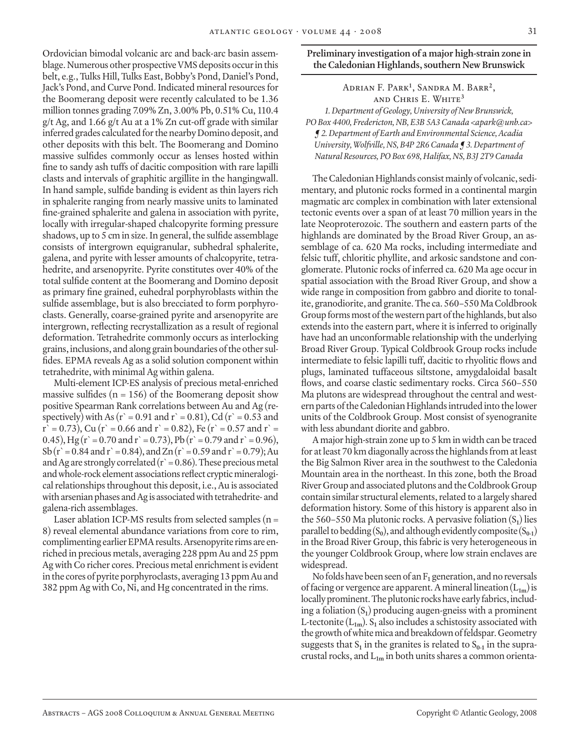Ordovician bimodal volcanic arc and back-arc basin assemblage. Numerous other prospective VMS deposits occur in this belt, e.g., Tulks Hill, Tulks East, Bobby's Pond, Daniel's Pond, Jack's Pond, and Curve Pond. Indicated mineral resources for the Boomerang deposit were recently calculated to be 1.36 million tonnes grading 7.09% Zn, 3.00% Pb, 0.51% Cu, 110.4  $g/t$  Ag, and 1.66 g/t Au at a 1% Zn cut-off grade with similar inferred grades calculated for the nearby Domino deposit, and other deposits with this belt. The Boomerang and Domino massive sulfides commonly occur as lenses hosted within fine to sandy ash tuffs of dacitic composition with rare lapilli clasts and intervals of graphitic argillite in the hangingwall. In hand sample, sulfide banding is evident as thin layers rich in sphalerite ranging from nearly massive units to laminated fine-grained sphalerite and galena in association with pyrite, locally with irregular-shaped chalcopyrite forming pressure shadows, up to 5 cm in size. In general, the sulfide assemblage consists of intergrown equigranular, subhedral sphalerite, galena, and pyrite with lesser amounts of chalcopyrite, tetrahedrite, and arsenopyrite. Pyrite constitutes over 40% of the total sulfide content at the Boomerang and Domino deposit as primary fine grained, euhedral porphyroblasts within the sulfide assemblage, but is also brecciated to form porphyroclasts. Generally, coarse-grained pyrite and arsenopyrite are intergrown, reflecting recrystallization as a result of regional deformation. Tetrahedrite commonly occurs as interlocking grains, inclusions, and along grain boundaries of the other sulfides. EPMA reveals Ag as a solid solution component within tetrahedrite, with minimal Ag within galena.

Multi-element ICP-ES analysis of precious metal-enriched massive sulfides ( $n = 156$ ) of the Boomerang deposit show positive Spearman Rank correlations between Au and Ag (respectively) with As ( $r = 0.91$  and  $r = 0.81$ ), Cd ( $r = 0.53$  and  $r = 0.73$ ), Cu (r = 0.66 and r = 0.82), Fe (r = 0.57 and r = 0.45), Hg (r` = 0.70 and r` = 0.73), Pb (r` = 0.79 and r` = 0.96), Sb (r` = 0.84 and r` = 0.84), and Zn (r` = 0.59 and r` = 0.79); Au and Ag are strongly correlated ( $r = 0.86$ ). These precious metal and whole-rock element associations reflect cryptic mineralogical relationships throughout this deposit, i.e., Au is associated with arsenian phases and Ag is associated with tetrahedrite- and galena-rich assemblages.

Laser ablation ICP-MS results from selected samples  $(n =$ 8) reveal elemental abundance variations from core to rim, complimenting earlier EPMA results. Arsenopyrite rims are enriched in precious metals, averaging 228 ppm Au and 25 ppm Ag with Co richer cores. Precious metal enrichment is evident in the cores of pyrite porphyroclasts, averaging 13 ppm Au and 382 ppm Ag with Co, Ni, and Hg concentrated in the rims.

# **Preliminary investigation of a major high-strain zone in the Caledonian Highlands, southern New Brunswick**

Adrian F. Park**<sup>1</sup>** , Sandra M. Barr**<sup>2</sup>**, and Chris E. White**<sup>3</sup>** *1. Department of Geology, University of New Brunswick, PO Box 4400, Fredericton, NB, E3B 5A3 Canada <apark@unb.ca> ¶ 2. Department of Earth and Environmental Science, Acadia University, Wolfville, NS, B4P 2R6 Canada ¶ 3. Department of Natural Resources, PO Box 698, Halifax, NS, B3J 2T9 Canada*

The Caledonian Highlands consist mainly of volcanic, sedimentary, and plutonic rocks formed in a continental margin magmatic arc complex in combination with later extensional tectonic events over a span of at least 70 million years in the late Neoproterozoic. The southern and eastern parts of the highlands are dominated by the Broad River Group, an assemblage of ca. 620 Ma rocks, including intermediate and felsic tuff, chloritic phyllite, and arkosic sandstone and conglomerate. Plutonic rocks of inferred ca. 620 Ma age occur in spatial association with the Broad River Group, and show a wide range in composition from gabbro and diorite to tonalite, granodiorite, and granite. The ca. 560–550 Ma Coldbrook Group forms most of the western part of the highlands, but also extends into the eastern part, where it is inferred to originally have had an unconformable relationship with the underlying Broad River Group. Typical Coldbrook Group rocks include intermediate to felsic lapilli tuff, dacitic to rhyolitic flows and plugs, laminated tuffaceous siltstone, amygdaloidal basalt flows, and coarse clastic sedimentary rocks. Circa 560–550 Ma plutons are widespread throughout the central and western parts of the Caledonian Highlands intruded into the lower units of the Coldbrook Group. Most consist of syenogranite with less abundant diorite and gabbro.

A major high-strain zone up to 5 km in width can be traced for at least 70 km diagonally across the highlands from at least the Big Salmon River area in the southwest to the Caledonia Mountain area in the northeast. In this zone, both the Broad River Group and associated plutons and the Coldbrook Group contain similar structural elements, related to a largely shared deformation history. Some of this history is apparent also in the 560–550 Ma plutonic rocks. A pervasive foliation  $(S_1)$  lies parallel to bedding  $(S_0)$ , and although evidently composite  $(S_{0-1})$ in the Broad River Group, this fabric is very heterogeneous in the younger Coldbrook Group, where low strain enclaves are widespread.

No folds have been seen of an F**1** generation, and no reversals of facing or vergence are apparent. A mineral lineation (L**1m**) is locally prominent. The plutonic rocks have early fabrics, including a foliation (S**1**) producing augen-gneiss with a prominent L-tectonite  $(L_{1m})$ .  $S_1$  also includes a schistosity associated with the growth of white mica and breakdown of feldspar. Geometry suggests that  $S_1$  in the granites is related to  $S_{0-1}$  in the supracrustal rocks, and L**1m** in both units shares a common orienta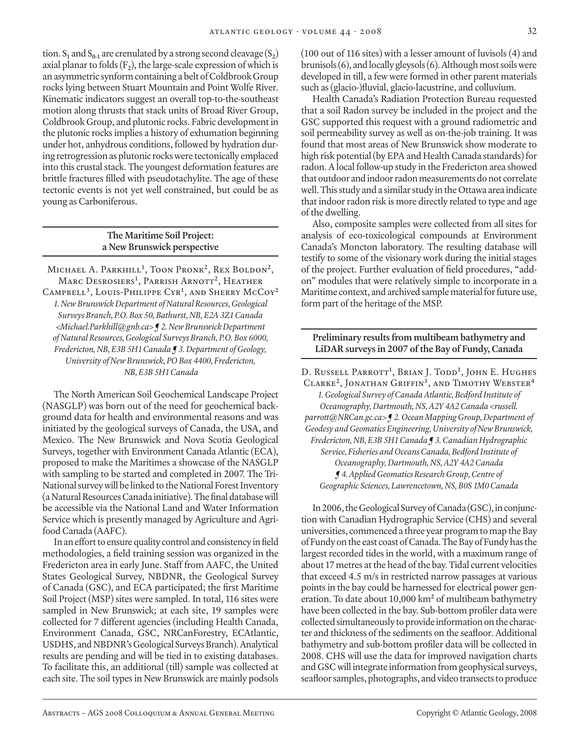tion.  $S_1$  and  $S_{0-1}$  are crenulated by a strong second cleavage  $(S_2)$ axial planar to folds  $(F_2)$ , the large-scale expression of which is an asymmetric synform containing a belt of Coldbrook Group rocks lying between Stuart Mountain and Point Wolfe River. Kinematic indicators suggest an overall top-to-the-southeast motion along thrusts that stack units of Broad River Group, Coldbrook Group, and plutonic rocks. Fabric development in the plutonic rocks implies a history of exhumation beginning under hot, anhydrous conditions, followed by hydration during retrogression as plutonic rocks were tectonically emplaced into this crustal stack. The youngest deformation features are brittle fractures filled with pseudotachylite. The age of these tectonic events is not yet well constrained, but could be as young as Carboniferous.

# **The Maritime Soil Project: a New Brunswick perspective**

Michael A. Parkhill**<sup>1</sup>** , Toon Pronk**<sup>2</sup>**, Rex Boldon**<sup>2</sup>**, Marc Desrosiers**<sup>1</sup>** , Parrish Arnott**<sup>2</sup>**, Heather Campbell**<sup>3</sup>**, Louis-Philippe Cyr**<sup>1</sup>** , and Sherry McCoy**<sup>2</sup>** *1. New Brunswick Department of Natural Resources, Geological Surveys Branch, P.O. Box 50, Bathurst, NB, E2A 3Z1 Canada <Michael.Parkhill@gnb.ca> ¶ 2. New Brunswick Department of Natural Resources, Geological Surveys Branch, P.O. Box 6000, Fredericton, NB, E3B 5H1 Canada ¶ 3. Department of Geology, University of New Brunswick, PO Box 4400, Fredericton, NB, E3B 5H1 Canada*

The North American Soil Geochemical Landscape Project (NASGLP) was born out of the need for geochemical background data for health and environmental reasons and was initiated by the geological surveys of Canada, the USA, and Mexico. The New Brunswick and Nova Scotia Geological Surveys, together with Environment Canada Atlantic (ECA), proposed to make the Maritimes a showcase of the NASGLP with sampling to be started and completed in 2007. The Tri-National survey will be linked to the National Forest Inventory (a Natural Resources Canada initiative). The final database will be accessible via the National Land and Water Information Service which is presently managed by Agriculture and Agrifood Canada (AAFC).

In an effort to ensure quality control and consistency in field methodologies, a field training session was organized in the Fredericton area in early June. Staff from AAFC, the United States Geological Survey, NBDNR, the Geological Survey of Canada (GSC), and ECA participated; the first Maritime Soil Project (MSP) sites were sampled. In total, 116 sites were sampled in New Brunswick; at each site, 19 samples were collected for 7 different agencies (including Health Canada, Environment Canada, GSC, NRCanForestry, ECAtlantic, USDHS, and NBDNR's Geological Surveys Branch). Analytical results are pending and will be tied in to existing databases. To facilitate this, an additional (till) sample was collected at each site. The soil types in New Brunswick are mainly podsols

(100 out of 116 sites) with a lesser amount of luvisols (4) and brunisols (6), and locally gleysols (6). Although most soils were developed in till, a few were formed in other parent materials such as (glacio-)fluvial, glacio-lacustrine, and colluvium.

Health Canada's Radiation Protection Bureau requested that a soil Radon survey be included in the project and the GSC supported this request with a ground radiometric and soil permeability survey as well as on-the-job training. It was found that most areas of New Brunswick show moderate to high risk potential (by EPA and Health Canada standards) for radon. A local follow-up study in the Fredericton area showed that outdoor and indoor radon measurements do not correlate well. This study and a similar study in the Ottawa area indicate that indoor radon risk is more directly related to type and age of the dwelling.

Also, composite samples were collected from all sites for analysis of eco-toxicological compounds at Environment Canada's Moncton laboratory. The resulting database will testify to some of the visionary work during the initial stages of the project. Further evaluation of field procedures, "addon" modules that were relatively simple to incorporate in a Maritime context, and archived sample material for future use, form part of the heritage of the MSP.

#### **Preliminary results from multibeam bathymetry and LiDAR surveys in 2007 of the Bay of Fundy, Canada**

D. Russell Parrott**<sup>1</sup>** , Brian J. Todd**<sup>1</sup>** , John E. Hughes Clarke**<sup>2</sup>**, Jonathan Griffin**<sup>3</sup>**, and Timothy Webster**<sup>4</sup>** *1. Geological Survey of Canada Atlantic, Bedford Institute of Oceanography, Dartmouth, NS, A2Y 4A2 Canada <russell. parrott@NRCan.gc.ca> ¶ 2. Ocean Mapping Group, Department of Geodesy and Geomatics Engineering, University of New Brunswick, Fredericton, NB, E3B 5H1 Canada ¶ 3. Canadian Hydrographic Service, Fisheries and Oceans Canada, Bedford Institute of Oceanography, Dartmouth, NS, A2Y 4A2 Canada ¶ 4. Applied Geomatics Research Group, Centre of Geographic Sciences, Lawrencetown, NS, B0S 1M0 Canada*

In 2006, the Geological Survey of Canada (GSC), in conjunction with Canadian Hydrographic Service (CHS) and several universities, commenced a three year program to map the Bay of Fundy on the east coast of Canada. The Bay of Fundy has the largest recorded tides in the world, with a maximum range of about 17 metres at the head of the bay. Tidal current velocities that exceed 4.5 m/s in restricted narrow passages at various points in the bay could be harnessed for electrical power generation. To date about 10,000 km<sup>2</sup> of multibeam bathymetry have been collected in the bay. Sub-bottom profiler data were collected simultaneously to provide information on the character and thickness of the sediments on the seafloor. Additional bathymetry and sub-bottom profiler data will be collected in 2008. CHS will use the data for improved navigation charts and GSC will integrate information from geophysical surveys, seafloor samples, photographs, and video transects to produce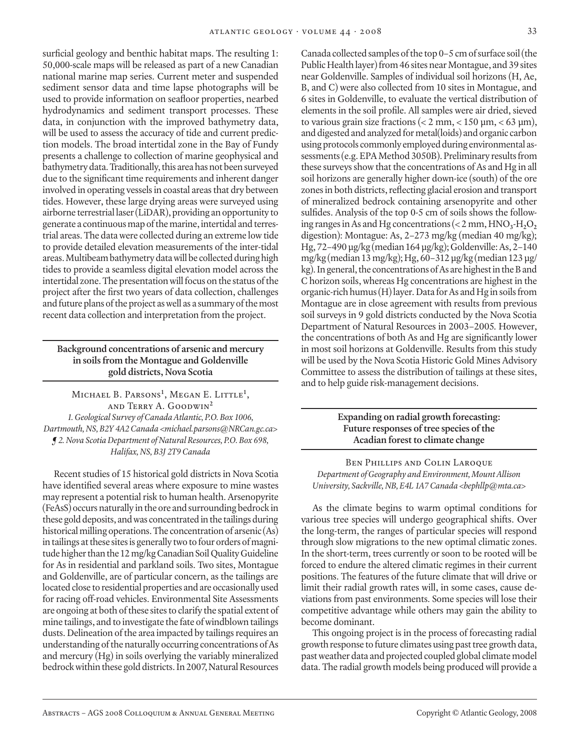surficial geology and benthic habitat maps. The resulting 1: 50,000-scale maps will be released as part of a new Canadian national marine map series. Current meter and suspended sediment sensor data and time lapse photographs will be used to provide information on seafloor properties, nearbed hydrodynamics and sediment transport processes. These data, in conjunction with the improved bathymetry data, will be used to assess the accuracy of tide and current prediction models. The broad intertidal zone in the Bay of Fundy presents a challenge to collection of marine geophysical and bathymetry data. Traditionally, this area has not been surveyed due to the significant time requirements and inherent danger involved in operating vessels in coastal areas that dry between tides. However, these large drying areas were surveyed using airborne terrestrial laser (LiDAR), providing an opportunity to generate a continuous map of the marine, intertidal and terrestrial areas. The data were collected during an extreme low tide to provide detailed elevation measurements of the inter-tidal areas. Multibeam bathymetry data will be collected during high tides to provide a seamless digital elevation model across the intertidal zone. The presentation will focus on the status of the project after the first two years of data collection, challenges and future plans of the project as well as a summary of the most recent data collection and interpretation from the project.

# **Background concentrations of arsenic and mercury in soils from the Montague and Goldenville gold districts, Nova Scotia**

Michael B. Parsons**<sup>1</sup>** , Megan E. Little**<sup>1</sup>** , and Terry A. Goodwin**<sup>2</sup>** *1. Geological Survey of Canada Atlantic, P.O. Box 1006, Dartmouth, NS, B2Y 4A2 Canada <michael.parsons@NRCan.gc.ca> ¶ 2. Nova Scotia Department of Natural Resources, P.O. Box 698, Halifax, NS, B3J 2T9 Canada*

Recent studies of 15 historical gold districts in Nova Scotia have identified several areas where exposure to mine wastes may represent a potential risk to human health. Arsenopyrite (FeAsS) occurs naturally in the ore and surrounding bedrock in these gold deposits, and was concentrated in the tailings during historical milling operations. The concentration of arsenic (As) in tailings at these sites is generally two to four orders of magnitude higher than the 12 mg/kg Canadian Soil Quality Guideline for As in residential and parkland soils. Two sites, Montague and Goldenville, are of particular concern, as the tailings are located close to residential properties and are occasionally used for racing off-road vehicles. Environmental Site Assessments are ongoing at both of these sites to clarify the spatial extent of mine tailings, and to investigate the fate of windblown tailings dusts. Delineation of the area impacted by tailings requires an understanding of the naturally occurring concentrations of As and mercury (Hg) in soils overlying the variably mineralized bedrock within these gold districts. In 2007, Natural Resources

Canada collected samples of the top 0–5 cm of surface soil (the Public Health layer) from 46 sites near Montague, and 39 sites near Goldenville. Samples of individual soil horizons (H, Ae, B, and C) were also collected from 10 sites in Montague, and 6 sites in Goldenville, to evaluate the vertical distribution of elements in the soil profile. All samples were air dried, sieved to various grain size fractions ( $\lt 2$  mm,  $\lt 150$  µm,  $\lt 63$  µm), and digested and analyzed for metal(loids) and organic carbon using protocols commonly employed during environmental assessments (e.g. EPA Method 3050B). Preliminary results from these surveys show that the concentrations of As and Hg in all soil horizons are generally higher down-ice (south) of the ore zones in both districts, reflecting glacial erosion and transport of mineralized bedrock containing arsenopyrite and other sulfides. Analysis of the top 0-5 cm of soils shows the following ranges in As and Hg concentrations ( $< 2$  mm,  $HNO<sub>3</sub>-H<sub>2</sub>O<sub>2</sub>$ digestion): Montague: As, 2–273 mg/kg (median 40 mg/kg); Hg, 72–490 µg/kg (median 164 µg/kg); Goldenville: As, 2–140 mg/kg (median 13 mg/kg); Hg, 60–312 µg/kg (median 123 µg/ kg). In general, the concentrations of As are highest in the B and C horizon soils, whereas Hg concentrations are highest in the organic-rich humus (H) layer. Data for As and Hg in soils from Montague are in close agreement with results from previous soil surveys in 9 gold districts conducted by the Nova Scotia Department of Natural Resources in 2003–2005. However, the concentrations of both As and Hg are significantly lower in most soil horizons at Goldenville. Results from this study will be used by the Nova Scotia Historic Gold Mines Advisory Committee to assess the distribution of tailings at these sites, and to help guide risk-management decisions.

# **Expanding on radial growth forecasting: Future responses of tree species of the Acadian forest to climate change**

BEN PHILLIPS AND COLIN LAROQUE *Department of Geography and Environment, Mount Allison University, Sackville, NB, E4L 1A7 Canada <bephllp@mta.ca>*

As the climate begins to warm optimal conditions for various tree species will undergo geographical shifts. Over the long-term, the ranges of particular species will respond through slow migrations to the new optimal climatic zones. In the short-term, trees currently or soon to be rooted will be forced to endure the altered climatic regimes in their current positions. The features of the future climate that will drive or limit their radial growth rates will, in some cases, cause deviations from past environments. Some species will lose their competitive advantage while others may gain the ability to become dominant.

This ongoing project is in the process of forecasting radial growth response to future climates using past tree growth data, past weather data and projected coupled global climate model data. The radial growth models being produced will provide a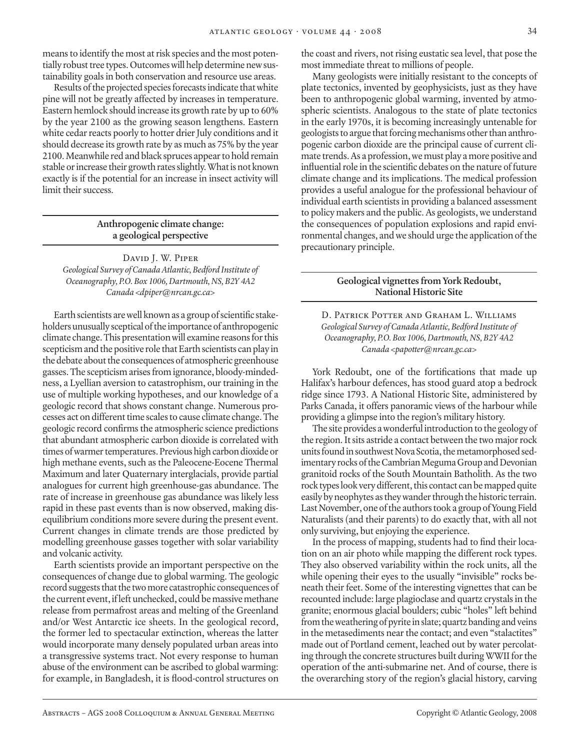means to identify the most at risk species and the most potentially robust tree types. Outcomes will help determine new sustainability goals in both conservation and resource use areas.

Results of the projected species forecasts indicate that white pine will not be greatly affected by increases in temperature. Eastern hemlock should increase its growth rate by up to 60% by the year 2100 as the growing season lengthens. Eastern white cedar reacts poorly to hotter drier July conditions and it should decrease its growth rate by as much as 75% by the year 2100. Meanwhile red and black spruces appear to hold remain stable or increase their growth rates slightly. What is not known exactly is if the potential for an increase in insect activity will limit their success.

# **Anthropogenic climate change: a geological perspective**

David J. W. Piper *Geological Survey of Canada Atlantic, Bedford Institute of Oceanography, P.O. Box 1006, Dartmouth, NS, B2Y 4A2 Canada <dpiper@nrcan.gc.ca>*

Earth scientists are well known as a group of scientific stakeholders unusually sceptical of the importance of anthropogenic climate change. This presentation will examine reasons for this scepticism and the positive role that Earth scientists can play in the debate about the consequences of atmospheric greenhouse gasses. The scepticism arises from ignorance, bloody-mindedness, a Lyellian aversion to catastrophism, our training in the use of multiple working hypotheses, and our knowledge of a geologic record that shows constant change. Numerous processes act on different time scales to cause climate change. The geologic record confirms the atmospheric science predictions that abundant atmospheric carbon dioxide is correlated with times of warmer temperatures. Previous high carbon dioxide or high methane events, such as the Paleocene-Eocene Thermal Maximum and later Quaternary interglacials, provide partial analogues for current high greenhouse-gas abundance. The rate of increase in greenhouse gas abundance was likely less rapid in these past events than is now observed, making disequilibrium conditions more severe during the present event. Current changes in climate trends are those predicted by modelling greenhouse gasses together with solar variability and volcanic activity.

Earth scientists provide an important perspective on the consequences of change due to global warming. The geologic record suggests that the two more catastrophic consequences of the current event, if left unchecked, could be massive methane release from permafrost areas and melting of the Greenland and/or West Antarctic ice sheets. In the geological record, the former led to spectacular extinction, whereas the latter would incorporate many densely populated urban areas into a transgressive systems tract. Not every response to human abuse of the environment can be ascribed to global warming: for example, in Bangladesh, it is flood-control structures on

the coast and rivers, not rising eustatic sea level, that pose the most immediate threat to millions of people.

Many geologists were initially resistant to the concepts of plate tectonics, invented by geophysicists, just as they have been to anthropogenic global warming, invented by atmospheric scientists. Analogous to the state of plate tectonics in the early 1970s, it is becoming increasingly untenable for geologists to argue that forcing mechanisms other than anthropogenic carbon dioxide are the principal cause of current climate trends. As a profession, we must play a more positive and influential role in the scientific debates on the nature of future climate change and its implications. The medical profession provides a useful analogue for the professional behaviour of individual earth scientists in providing a balanced assessment to policy makers and the public. As geologists, we understand the consequences of population explosions and rapid environmental changes, and we should urge the application of the precautionary principle.

# **Geological vignettes from York Redoubt, National Historic Site**

D. Patrick Potter and Graham L. Williams *Geological Survey of Canada Atlantic, Bedford Institute of Oceanography, P.O. Box 1006, Dartmouth, NS, B2Y 4A2 Canada <papotter@nrcan.gc.ca>*

York Redoubt, one of the fortifications that made up Halifax's harbour defences, has stood guard atop a bedrock ridge since 1793. A National Historic Site, administered by Parks Canada, it offers panoramic views of the harbour while providing a glimpse into the region's military history.

The site provides a wonderful introduction to the geology of the region. It sits astride a contact between the two major rock units found in southwest Nova Scotia, the metamorphosed sedimentary rocks of the Cambrian Meguma Group and Devonian granitoid rocks of the South Mountain Batholith. As the two rock types look very different, this contact can be mapped quite easily by neophytes as they wander through the historic terrain. Last November, one of the authors took a group of Young Field Naturalists (and their parents) to do exactly that, with all not only surviving, but enjoying the experience.

In the process of mapping, students had to find their location on an air photo while mapping the different rock types. They also observed variability within the rock units, all the while opening their eyes to the usually "invisible" rocks beneath their feet. Some of the interesting vignettes that can be recounted include: large plagioclase and quartz crystals in the granite; enormous glacial boulders; cubic "holes" left behind from the weathering of pyrite in slate; quartz banding and veins in the metasediments near the contact; and even "stalactites" made out of Portland cement, leached out by water percolating through the concrete structures built during WWII for the operation of the anti-submarine net. And of course, there is the overarching story of the region's glacial history, carving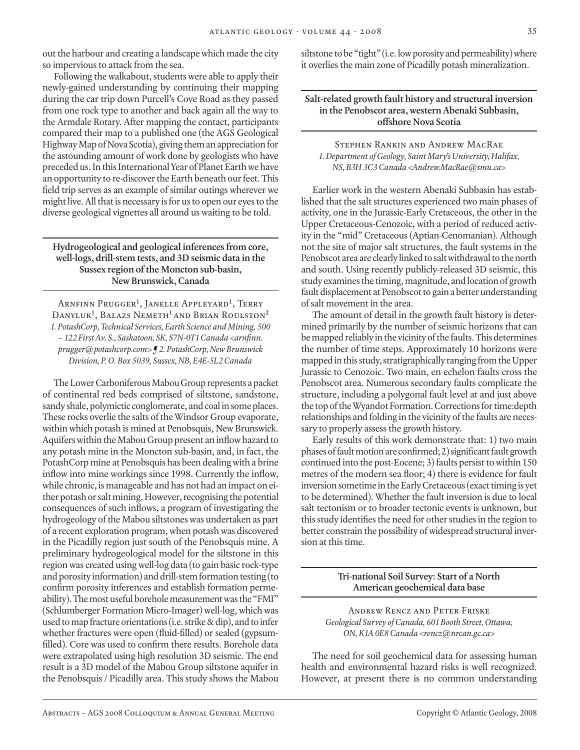out the harbour and creating a landscape which made the city so impervious to attack from the sea.

Following the walkabout, students were able to apply their newly-gained understanding by continuing their mapping during the car trip down Purcell's Cove Road as they passed from one rock type to another and back again all the way to the Armdale Rotary. After mapping the contact, participants compared their map to a published one (the AGS Geological Highway Map of Nova Scotia), giving them an appreciation for the astounding amount of work done by geologists who have preceded us. In this International Year of Planet Earth we have an opportunity to re-discover the Earth beneath our feet. This field trip serves as an example of similar outings wherever we might live. All that is necessary is for us to open our eyes to the diverse geological vignettes all around us waiting to be told.

# **Hydrogeological and geological inferences from core, well-logs, drill-stem tests, and 3D seismic data in the Sussex region of the Moncton sub-basin, New Brunswick, Canada**

Arnfinn Prugger**<sup>1</sup>** , Janelle Appleyard**<sup>1</sup>** , Terry Danyluk**<sup>1</sup>** , Balazs Nemeth**<sup>1</sup>**and Brian Roulston**<sup>2</sup>** *1. PotashCorp, Technical Services, Earth Science and Mining, 500 – 122 First Av. S., Saskatoon, SK, S7N-0T1 Canada <arnfinn. prugger@potashcorp.com> ¶ 2. PotashCorp, New Brunswick Division, P. O. Box 5039, Sussex, NB, E4E-5L2 Canada*

The Lower Carboniferous Mabou Group represents a packet of continental red beds comprised of siltstone, sandstone, sandy shale, polymictic conglomerate, and coal in some places. These rocks overlie the salts of the Windsor Group evaporate, within which potash is mined at Penobsquis, New Brunswick. Aquifers within the Mabou Group present an inflow hazard to any potash mine in the Moncton sub-basin, and, in fact, the PotashCorp mine at Penobsquis has been dealing with a brine inflow into mine workings since 1998. Currently the inflow, while chronic, is manageable and has not had an impact on either potash or salt mining. However, recognising the potential consequences of such inflows, a program of investigating the hydrogeology of the Mabou siltstones was undertaken as part of a recent exploration program, when potash was discovered in the Picadilly region just south of the Penobsquis mine. A preliminary hydrogeological model for the siltstone in this region was created using well-log data (to gain basic rock-type and porosity information) and drill-stem formation testing (to confirm porosity inferences and establish formation permeability). The most useful borehole measurement was the "FMI" (Schlumberger Formation Micro-Imager) well-log, which was used to map fracture orientations (i.e. strike & dip), and to infer whether fractures were open (fluid-filled) or sealed (gypsumfilled). Core was used to confirm there results. Borehole data were extrapolated using high resolution 3D seismic. The end result is a 3D model of the Mabou Group siltstone aquifer in the Penobsquis / Picadilly area. This study shows the Mabou

siltstone to be "tight" (i.e. low porosity and permeability) where it overlies the main zone of Picadilly potash mineralization.

**Salt-related growth fault history and structural inversion in the Penobscot area, western Abenaki Subbasin, offshore Nova Scotia**

Stephen Rankin and Andrew MacRae *1. Department of Geology, Saint Mary's University, Halifax, NS, B3H 3C3 Canada <Andrew.MacRae@smu.ca>*

Earlier work in the western Abenaki Subbasin has established that the salt structures experienced two main phases of activity, one in the Jurassic-Early Cretaceous, the other in the Upper Cretaceous-Cenozoic, with a period of reduced activity in the "mid" Cretaceous (Aptian-Cenomanian). Although not the site of major salt structures, the fault systems in the Penobscot area are clearly linked to salt withdrawal to the north and south. Using recently publicly-released 3D seismic, this study examines the timing, magnitude, and location of growth fault displacement at Penobscot to gain a better understanding of salt movement in the area.

The amount of detail in the growth fault history is determined primarily by the number of seismic horizons that can be mapped reliably in the vicinity of the faults. This determines the number of time steps. Approximately 10 horizons were mapped in this study, stratigraphically ranging from the Upper Jurassic to Cenozoic. Two main, en echelon faults cross the Penobscot area. Numerous secondary faults complicate the structure, including a polygonal fault level at and just above the top of the Wyandot Formation. Corrections for time:depth relationships and folding in the vicinity of the faults are necessary to properly assess the growth history.

Early results of this work demonstrate that: 1) two main phases of fault motion are confirmed; 2) significant fault growth continued into the post-Eocene; 3) faults persist to within 150 metres of the modern sea floor; 4) there is evidence for fault inversion sometime in the Early Cretaceous (exact timing is yet to be determined). Whether the fault inversion is due to local salt tectonism or to broader tectonic events is unknown, but this study identifies the need for other studies in the region to better constrain the possibility of widespread structural inversion at this time.

# **Tri-national Soil Survey: Start of a North American geochemical data base**

Andrew Rencz and Peter Friske *Geological Survey of Canada, 601 Booth Street, Ottawa, ON, K1A 0E8 Canada <rencz@nrcan.gc.ca>*

The need for soil geochemical data for assessing human health and environmental hazard risks is well recognized. However, at present there is no common understanding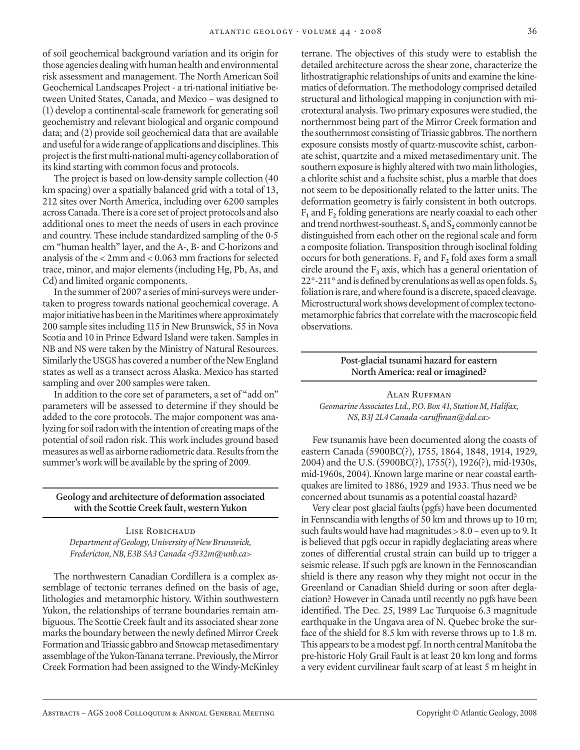of soil geochemical background variation and its origin for those agencies dealing with human health and environmental risk assessment and management. The North American Soil Geochemical Landscapes Project - a tri-national initiative between United States, Canada, and Mexico – was designed to (1) develop a continental-scale framework for generating soil geochemistry and relevant biological and organic compound data; and (2) provide soil geochemical data that are available and useful for a wide range of applications and disciplines. This project is the first multi-national multi-agency collaboration of its kind starting with common focus and protocols.

The project is based on low-density sample collection (40 km spacing) over a spatially balanced grid with a total of 13, 212 sites over North America, including over 6200 samples across Canada. There is a core set of project protocols and also additional ones to meet the needs of users in each province and country. These include standardized sampling of the 0-5 cm "human health" layer, and the A-, B- and C-horizons and analysis of the < 2mm and < 0.063 mm fractions for selected trace, minor, and major elements (including Hg, Pb, As, and Cd) and limited organic components.

In the summer of 2007 a series of mini-surveys were undertaken to progress towards national geochemical coverage. A major initiative has been in the Maritimes where approximately 200 sample sites including 115 in New Brunswick, 55 in Nova Scotia and 10 in Prince Edward Island were taken. Samples in NB and NS were taken by the Ministry of Natural Resources. Similarly the USGS has covered a number of the New England states as well as a transect across Alaska. Mexico has started sampling and over 200 samples were taken.

In addition to the core set of parameters, a set of "add on" parameters will be assessed to determine if they should be added to the core protocols. The major component was analyzing for soil radon with the intention of creating maps of the potential of soil radon risk. This work includes ground based measures as well as airborne radiometric data. Results from the summer's work will be available by the spring of 2009.

**Geology and architecture of deformation associated with the Scottie Creek fault, western Yukon**

Lise Robichaud *Department of Geology, University of New Brunswick, Fredericton, NB, E3B 5A3 Canada <f332m@unb.ca>*

The northwestern Canadian Cordillera is a complex assemblage of tectonic terranes defined on the basis of age, lithologies and metamorphic history. Within southwestern Yukon, the relationships of terrane boundaries remain ambiguous. The Scottie Creek fault and its associated shear zone marks the boundary between the newly defined Mirror Creek Formation and Triassic gabbro and Snowcap metasedimentary assemblage of the Yukon-Tanana terrane. Previously, the Mirror Creek Formation had been assigned to the Windy-McKinley

terrane. The objectives of this study were to establish the detailed architecture across the shear zone, characterize the lithostratigraphic relationships of units and examine the kinematics of deformation. The methodology comprised detailed structural and lithological mapping in conjunction with microtextural analysis. Two primary exposures were studied, the northernmost being part of the Mirror Creek formation and the southernmost consisting of Triassic gabbros. The northern exposure consists mostly of quartz-muscovite schist, carbonate schist, quartzite and a mixed metasedimentary unit. The southern exposure is highly altered with two main lithologies, a chlorite schist and a fuchsite schist, plus a marble that does not seem to be depositionally related to the latter units. The deformation geometry is fairly consistent in both outcrops. F**1** and F**2** folding generations are nearly coaxial to each other and trend northwest-southeast.  $S_1$  and  $S_2$  commonly cannot be distinguished from each other on the regional scale and form a composite foliation. Transposition through isoclinal folding occurs for both generations.  $F_1$  and  $F_2$  fold axes form a small circle around the  $F_3$  axis, which has a general orientation of  $22^\circ$ -211° and is defined by crenulations as well as open folds. S<sub>3</sub> foliation is rare, and where found is a discrete, spaced cleavage. Microstructural work shows development of complex tectonometamorphic fabrics that correlate with the macroscopic field observations.

#### **Post-glacial tsunami hazard for eastern North America: real or imagined?**

Alan Ruffman *Geomarine Associates Ltd., P.O. Box 41, Station M, Halifax, NS, B3J 2L4 Canada <aruffman@dal.ca>*

Few tsunamis have been documented along the coasts of eastern Canada (5900BC(?), 1755, 1864, 1848, 1914, 1929, 2004) and the U.S. (5900BC(?), 1755(?), 1926(?), mid-1930s, mid-1960s, 2004). Known large marine or near coastal earthquakes are limited to 1886, 1929 and 1933. Thus need we be concerned about tsunamis as a potential coastal hazard?

Very clear post glacial faults (pgfs) have been documented in Fennscandia with lengths of 50 km and throws up to 10 m; such faults would have had magnitudes > 8.0 – even up to 9. It is believed that pgfs occur in rapidly deglaciating areas where zones of differential crustal strain can build up to trigger a seismic release. If such pgfs are known in the Fennoscandian shield is there any reason why they might not occur in the Greenland or Canadian Shield during or soon after deglaciation? However in Canada until recently no pgfs have been identified. The Dec. 25, 1989 Lac Turquoise 6.3 magnitude earthquake in the Ungava area of N. Quebec broke the surface of the shield for 8.5 km with reverse throws up to 1.8 m. This appears to be a modest pgf. In north central Manitoba the pre-historic Holy Grail Fault is at least 20 km long and forms a very evident curvilinear fault scarp of at least 5 m height in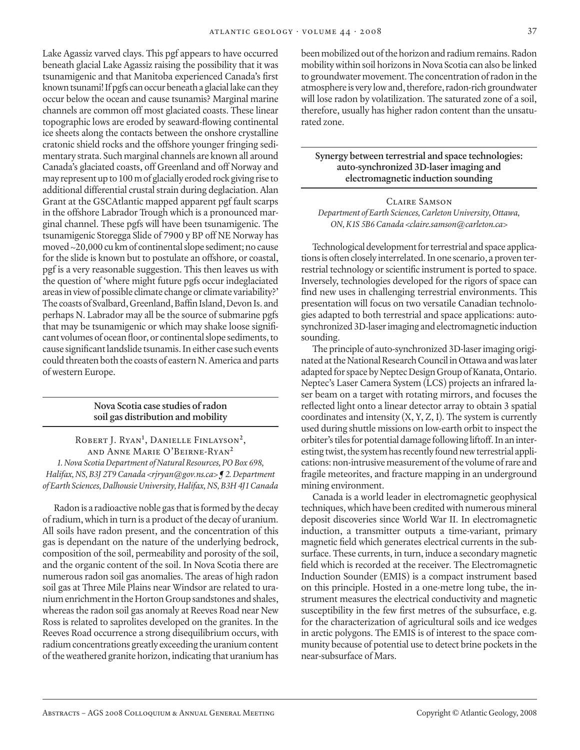Lake Agassiz varved clays. This pgf appears to have occurred beneath glacial Lake Agassiz raising the possibility that it was tsunamigenic and that Manitoba experienced Canada's first known tsunami! If pgfs can occur beneath a glacial lake can they occur below the ocean and cause tsunamis? Marginal marine channels are common off most glaciated coasts. These linear topographic lows are eroded by seaward-flowing continental ice sheets along the contacts between the onshore crystalline cratonic shield rocks and the offshore younger fringing sedimentary strata. Such marginal channels are known all around Canada's glaciated coasts, off Greenland and off Norway and may represent up to 100 m of glacially eroded rock giving rise to additional differential crustal strain during deglaciation. Alan Grant at the GSCAtlantic mapped apparent pgf fault scarps in the offshore Labrador Trough which is a pronounced marginal channel. These pgfs will have been tsunamigenic. The tsunamigenic Storegga Slide of 7900 y BP off NE Norway has moved ~20,000 cu km of continental slope sediment; no cause for the slide is known but to postulate an offshore, or coastal, pgf is a very reasonable suggestion. This then leaves us with the question of 'where might future pgfs occur indeglaciated areas in view of possible climate change or climate variability?' The coasts of Svalbard, Greenland, Baffin Island, Devon Is. and perhaps N. Labrador may all be the source of submarine pgfs that may be tsunamigenic or which may shake loose significant volumes of ocean floor, or continental slope sediments, to cause significant landslide tsunamis. In either case such events could threaten both the coasts of eastern N. America and parts of western Europe.

# **Nova Scotia case studies of radon soil gas distribution and mobility**

Robert J. Ryan**<sup>1</sup>** , Danielle Finlayson**<sup>2</sup>**, and Anne Marie O'Beirne-Ryan**<sup>2</sup>** *1. Nova Scotia Department of Natural Resources, PO Box 698, Halifax, NS, B3J 2T9 Canada <rjryan@gov.ns.ca> ¶ 2. Department of Earth Sciences, Dalhousie University, Halifax, NS, B3H 4J1 Canada*

Radon is a radioactive noble gas that is formed by the decay of radium, which in turn is a product of the decay of uranium. All soils have radon present, and the concentration of this gas is dependant on the nature of the underlying bedrock, composition of the soil, permeability and porosity of the soil, and the organic content of the soil. In Nova Scotia there are numerous radon soil gas anomalies. The areas of high radon soil gas at Three Mile Plains near Windsor are related to uranium enrichment in the Horton Group sandstones and shales, whereas the radon soil gas anomaly at Reeves Road near New Ross is related to saprolites developed on the granites. In the Reeves Road occurrence a strong disequilibrium occurs, with radium concentrations greatly exceeding the uranium content of the weathered granite horizon, indicating that uranium has

been mobilized out of the horizon and radium remains. Radon mobility within soil horizons in Nova Scotia can also be linked to groundwater movement. The concentration of radon in the atmosphere is very low and, therefore, radon-rich groundwater will lose radon by volatilization. The saturated zone of a soil, therefore, usually has higher radon content than the unsaturated zone.

# **Synergy between terrestrial and space technologies: auto-synchronized 3D-laser imaging and electromagnetic induction sounding**

# Claire Samson *Department of Earth Sciences, Carleton University, Ottawa, ON, K1S 5B6 Canada <claire.samson@carleton.ca>*

Technological development for terrestrial and space applications is often closely interrelated. In one scenario, a proven terrestrial technology or scientific instrument is ported to space. Inversely, technologies developed for the rigors of space can find new uses in challenging terrestrial environments. This presentation will focus on two versatile Canadian technologies adapted to both terrestrial and space applications: autosynchronized 3D-laser imaging and electromagnetic induction sounding.

The principle of auto-synchronized 3D-laser imaging originated at the National Research Council in Ottawa and was later adapted for space by Neptec Design Group of Kanata, Ontario. Neptec's Laser Camera System (LCS) projects an infrared laser beam on a target with rotating mirrors, and focuses the reflected light onto a linear detector array to obtain 3 spatial coordinates and intensity  $(X, Y, Z, I)$ . The system is currently used during shuttle missions on low-earth orbit to inspect the orbiter's tiles for potential damage following liftoff. In an interesting twist, the system has recently found new terrestrial applications: non-intrusive measurement of the volume of rare and fragile meteorites, and fracture mapping in an underground mining environment.

Canada is a world leader in electromagnetic geophysical techniques, which have been credited with numerous mineral deposit discoveries since World War II. In electromagnetic induction, a transmitter outputs a time-variant, primary magnetic field which generates electrical currents in the subsurface. These currents, in turn, induce a secondary magnetic field which is recorded at the receiver. The Electromagnetic Induction Sounder (EMIS) is a compact instrument based on this principle. Hosted in a one-metre long tube, the instrument measures the electrical conductivity and magnetic susceptibility in the few first metres of the subsurface, e.g. for the characterization of agricultural soils and ice wedges in arctic polygons. The EMIS is of interest to the space community because of potential use to detect brine pockets in the near-subsurface of Mars.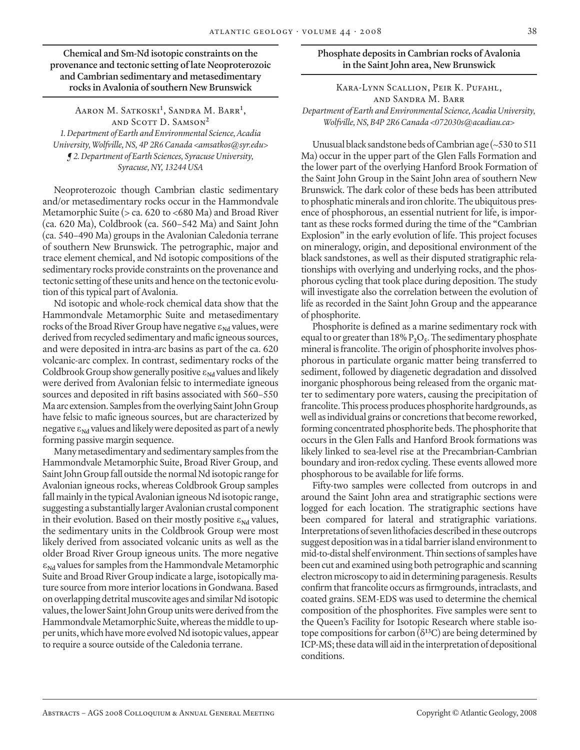**Chemical and Sm-Nd isotopic constraints on the provenance and tectonic setting of late Neoproterozoic and Cambrian sedimentary and metasedimentary rocks in Avalonia of southern New Brunswick**

Aaron M. Satkoski**<sup>1</sup>** , Sandra M. Barr**<sup>1</sup>** , and Scott D. Samson**<sup>2</sup>** *1. Department of Earth and Environmental Science, Acadia University, Wolfville, NS, 4P 2R6 Canada <amsatkos@syr.edu> ¶ 2. Department of Earth Sciences, Syracuse University, Syracuse, NY, 13244 USA*

Neoproterozoic though Cambrian clastic sedimentary and/or metasedimentary rocks occur in the Hammondvale Metamorphic Suite (> ca. 620 to <680 Ma) and Broad River (ca. 620 Ma), Coldbrook (ca. 560–542 Ma) and Saint John (ca. 540–490 Ma) groups in the Avalonian Caledonia terrane of southern New Brunswick. The petrographic, major and trace element chemical, and Nd isotopic compositions of the sedimentary rocks provide constraints on the provenance and tectonic setting of these units and hence on the tectonic evolution of this typical part of Avalonia.

Nd isotopic and whole-rock chemical data show that the Hammondvale Metamorphic Suite and metasedimentary rocks of the Broad River Group have negative ε<sub>Nd</sub> values, were derived from recycled sedimentary and mafic igneous sources, and were deposited in intra-arc basins as part of the ca. 620 volcanic-arc complex. In contrast, sedimentary rocks of the Coldbrook Group show generally positive ε<sub>Nd</sub> values and likely were derived from Avalonian felsic to intermediate igneous sources and deposited in rift basins associated with 560–550 Ma arc extension. Samples from the overlying Saint John Group have felsic to mafic igneous sources, but are characterized by negative  $\epsilon_{Nd}$  values and likely were deposited as part of a newly forming passive margin sequence.

Many metasedimentary and sedimentary samples from the Hammondvale Metamorphic Suite, Broad River Group, and Saint John Group fall outside the normal Nd isotopic range for Avalonian igneous rocks, whereas Coldbrook Group samples fall mainly in the typical Avalonian igneous Nd isotopic range, suggesting a substantially larger Avalonian crustal component in their evolution. Based on their mostly positive ε<sub>Nd</sub> values, the sedimentary units in the Coldbrook Group were most likely derived from associated volcanic units as well as the older Broad River Group igneous units. The more negative ε**Nd** values for samples from the Hammondvale Metamorphic Suite and Broad River Group indicate a large, isotopically mature source from more interior locations in Gondwana. Based on overlapping detrital muscovite ages and similar Nd isotopic values, the lower Saint John Group units were derived from the Hammondvale Metamorphic Suite, whereas the middle to upper units, which have more evolved Nd isotopic values, appear to require a source outside of the Caledonia terrane.

#### **Phosphate deposits in Cambrian rocks of Avalonia in the Saint John area, New Brunswick**

Kara-Lynn Scallion, Peir K. Pufahl, and Sandra M. Barr *Department of Earth and Environmental Science, Acadia University, Wolfville, NS, B4P 2R6 Canada <072030s@acadiau.ca>*

Unusual black sandstone beds of Cambrian age (~530 to 511 Ma) occur in the upper part of the Glen Falls Formation and the lower part of the overlying Hanford Brook Formation of the Saint John Group in the Saint John area of southern New Brunswick. The dark color of these beds has been attributed to phosphatic minerals and iron chlorite. The ubiquitous presence of phosphorous, an essential nutrient for life, is important as these rocks formed during the time of the "Cambrian Explosion" in the early evolution of life. This project focuses on mineralogy, origin, and depositional environment of the black sandstones, as well as their disputed stratigraphic relationships with overlying and underlying rocks, and the phosphorous cycling that took place during deposition. The study will investigate also the correlation between the evolution of life as recorded in the Saint John Group and the appearance of phosphorite.

Phosphorite is defined as a marine sedimentary rock with equal to or greater than 18% P**2**O**5**. The sedimentary phosphate mineral is francolite. The origin of phosphorite involves phosphorous in particulate organic matter being transferred to sediment, followed by diagenetic degradation and dissolved inorganic phosphorous being released from the organic matter to sedimentary pore waters, causing the precipitation of francolite. This process produces phosphorite hardgrounds, as well as individual grains or concretions that become reworked, forming concentrated phosphorite beds. The phosphorite that occurs in the Glen Falls and Hanford Brook formations was likely linked to sea-level rise at the Precambrian-Cambrian boundary and iron-redox cycling. These events allowed more phosphorous to be available for life forms.

Fifty-two samples were collected from outcrops in and around the Saint John area and stratigraphic sections were logged for each location. The stratigraphic sections have been compared for lateral and stratigraphic variations. Interpretations of seven lithofacies described in these outcrops suggest deposition was in a tidal barrier island environment to mid-to-distal shelf environment. Thin sections of samples have been cut and examined using both petrographic and scanning electron microscopy to aid in determining paragenesis. Results confirm that francolite occurs as firmgrounds, intraclasts, and coated grains. SEM-EDS was used to determine the chemical composition of the phosphorites. Five samples were sent to the Queen's Facility for Isotopic Research where stable isotope compositions for carbon (δ**<sup>13</sup>**C) are being determined by ICP-MS; these data will aid in the interpretation of depositional conditions.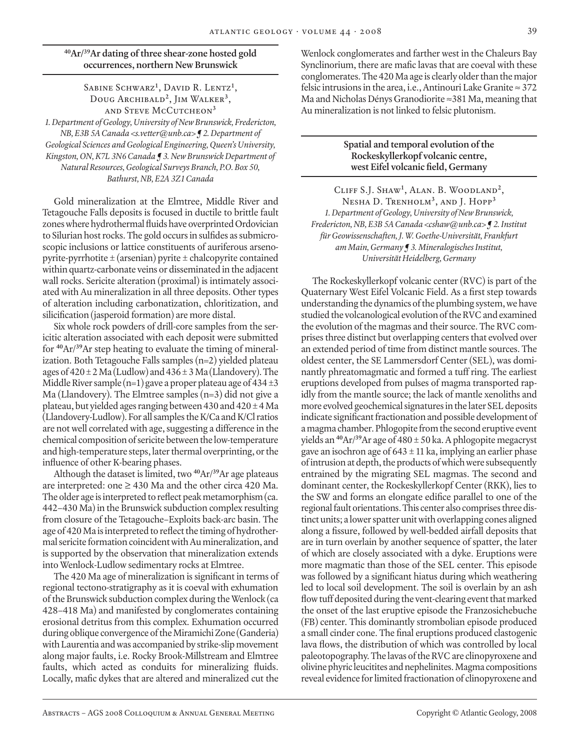# **40Ar/39Ar dating of three shear-zone hosted gold occurrences, northern New Brunswick**

#### Sabine Schwarz**<sup>1</sup>** , David R. Lentz**<sup>1</sup>** , Doug Archibald**<sup>2</sup>**, Jim Walker**<sup>3</sup>**, and Steve McCutcheon**<sup>3</sup>**

*1. Department of Geology, University of New Brunswick, Fredericton, NB, E3B 5A Canada <s.vetter@unb.ca> ¶ 2. Department of Geological Sciences and Geological Engineering, Queen's University, Kingston, ON, K7L 3N6 Canada ¶ 3. New Brunswick Department of Natural Resources, Geological Surveys Branch, P.O. Box 50, Bathurst, NB, E2A 3Z1 Canada*

Gold mineralization at the Elmtree, Middle River and Tetagouche Falls deposits is focused in ductile to brittle fault zones where hydrothermal fluids have overprinted Ordovician to Silurian host rocks. The gold occurs in sulfides as submicroscopic inclusions or lattice constituents of auriferous arsenopyrite-pyrrhotite  $\pm$  (arsenian) pyrite  $\pm$  chalcopyrite contained within quartz-carbonate veins or disseminated in the adjacent wall rocks. Sericite alteration (proximal) is intimately associated with Au mineralization in all three deposits. Other types of alteration including carbonatization, chloritization, and silicification (jasperoid formation) are more distal.

Six whole rock powders of drill-core samples from the sericitic alteration associated with each deposit were submitted for **40**Ar/**39**Ar step heating to evaluate the timing of mineralization. Both Tetagouche Falls samples (n=2) yielded plateau ages of  $420 \pm 2$  Ma (Ludlow) and  $436 \pm 3$  Ma (Llandovery). The Middle River sample  $(n=1)$  gave a proper plateau age of  $434 \pm 3$ Ma (Llandovery). The Elmtree samples  $(n=3)$  did not give a plateau, but yielded ages ranging between 430 and  $420 \pm 4$  Ma (Llandovery-Ludlow). For all samples the K/Ca and K/Cl ratios are not well correlated with age, suggesting a difference in the chemical composition of sericite between the low-temperature and high-temperature steps, later thermal overprinting, or the influence of other K-bearing phases.

Although the dataset is limited, two **<sup>40</sup>**Ar/**<sup>39</sup>**Ar age plateaus are interpreted: one  $\geq 430$  Ma and the other circa 420 Ma. The older age is interpreted to reflect peak metamorphism (ca. 442–430 Ma) in the Brunswick subduction complex resulting from closure of the Tetagouche–Exploits back-arc basin. The age of 420 Ma is interpreted to reflect the timing of hydrothermal sericite formation coincident with Au mineralization, and is supported by the observation that mineralization extends into Wenlock-Ludlow sedimentary rocks at Elmtree.

The 420 Ma age of mineralization is significant in terms of regional tectono-stratigraphy as it is coeval with exhumation of the Brunswick subduction complex during the Wenlock (ca 428–418 Ma) and manifested by conglomerates containing erosional detritus from this complex. Exhumation occurred during oblique convergence of the Miramichi Zone (Ganderia) with Laurentia and was accompanied by strike-slip movement along major faults, i.e. Rocky Brook-Millstream and Elmtree faults, which acted as conduits for mineralizing fluids. Locally, mafic dykes that are altered and mineralized cut the

Wenlock conglomerates and farther west in the Chaleurs Bay Synclinorium, there are mafic lavas that are coeval with these conglomerates. The 420 Ma age is clearly older than the major felsic intrusions in the area, i.e., Antinouri Lake Granite  $\approx$  372 Ma and Nicholas Dénys Granodiorite ≈381 Ma, meaning that Au mineralization is not linked to felsic plutonism.

#### **Spatial and temporal evolution of the Rockeskyllerkopf volcanic centre, west Eifel volcanic field, Germany**

Cliff S.J. Shaw**<sup>1</sup>** , Alan. B. Woodland**<sup>2</sup>**, Nesha D. Trenholm**<sup>3</sup>**, and J. Hopp**<sup>3</sup>** *1. Department of Geology, University of New Brunswick, Fredericton, NB, E3B 5A Canada <cshaw@unb.ca> ¶ 2. Institut für Geowissenschaften, J. W. Goethe-Universität, Frankfurt am Main, Germany ¶ 3. Mineralogisches Institut, Universität Heidelberg, Germany*

The Rockeskyllerkopf volcanic center (RVC) is part of the Quaternary West Eifel Volcanic Field. As a first step towards understanding the dynamics of the plumbing system, we have studied the volcanological evolution of the RVC and examined the evolution of the magmas and their source. The RVC comprises three distinct but overlapping centers that evolved over an extended period of time from distinct mantle sources. The oldest center, the SE Lammersdorf Center (SEL), was dominantly phreatomagmatic and formed a tuff ring. The earliest eruptions developed from pulses of magma transported rapidly from the mantle source; the lack of mantle xenoliths and more evolved geochemical signatures in the later SEL deposits indicate significant fractionation and possible development of a magma chamber. Phlogopite from the second eruptive event yields an **<sup>40</sup>**Ar/**<sup>39</sup>**Ar age of 480 ± 50 ka. A phlogopite megacryst gave an isochron age of  $643 \pm 11$  ka, implying an earlier phase of intrusion at depth, the products of which were subsequently entrained by the migrating SEL magmas. The second and dominant center, the Rockeskyllerkopf Center (RKK), lies to the SW and forms an elongate edifice parallel to one of the regional fault orientations. This center also comprises three distinct units; a lower spatter unit with overlapping cones aligned along a fissure, followed by well-bedded airfall deposits that are in turn overlain by another sequence of spatter, the later of which are closely associated with a dyke. Eruptions were more magmatic than those of the SEL center. This episode was followed by a significant hiatus during which weathering led to local soil development. The soil is overlain by an ash flow tuff deposited during the vent-clearing event that marked the onset of the last eruptive episode the Franzosichebuche (FB) center. This dominantly strombolian episode produced a small cinder cone. The final eruptions produced clastogenic lava flows, the distribution of which was controlled by local paleotopography. The lavas of the RVC are clinopyroxene and olivine phyric leucitites and nephelinites. Magma compositions reveal evidence for limited fractionation of clinopyroxene and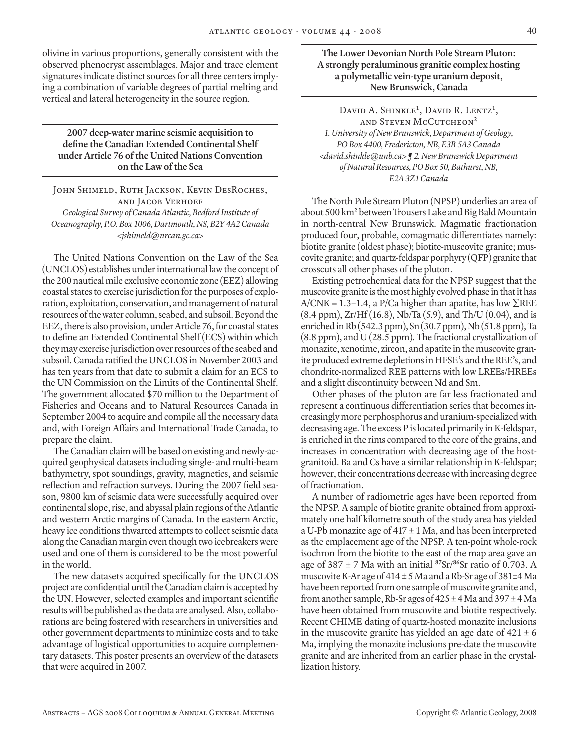olivine in various proportions, generally consistent with the observed phenocryst assemblages. Major and trace element signatures indicate distinct sources for all three centers implying a combination of variable degrees of partial melting and vertical and lateral heterogeneity in the source region.

# **2007 deep-water marine seismic acquisition to define the Canadian Extended Continental Shelf under Article 76 of the United Nations Convention on the Law of the Sea**

John Shimeld, Ruth Jackson, Kevin DesRoches, and Jacob Verhoef *Geological Survey of Canada Atlantic, Bedford Institute of Oceanography, P.O. Box 1006, Dartmouth, NS, B2Y 4A2 Canada <jshimeld@nrcan.gc.ca>*

The United Nations Convention on the Law of the Sea (UNCLOS) establishes under international law the concept of the 200 nautical mile exclusive economic zone (EEZ) allowing coastal states to exercise jurisdiction for the purposes of exploration, exploitation, conservation, and management of natural resources of the water column, seabed, and subsoil. Beyond the EEZ, there is also provision, under Article 76, for coastal states to define an Extended Continental Shelf (ECS) within which they may exercise jurisdiction over resources of the seabed and subsoil. Canada ratified the UNCLOS in November 2003 and has ten years from that date to submit a claim for an ECS to the UN Commission on the Limits of the Continental Shelf. The government allocated \$70 million to the Department of Fisheries and Oceans and to Natural Resources Canada in September 2004 to acquire and compile all the necessary data and, with Foreign Affairs and International Trade Canada, to prepare the claim.

The Canadian claim will be based on existing and newly-acquired geophysical datasets including single- and multi-beam bathymetry, spot soundings, gravity, magnetics, and seismic reflection and refraction surveys. During the 2007 field season, 9800 km of seismic data were successfully acquired over continental slope, rise, and abyssal plain regions of the Atlantic and western Arctic margins of Canada. In the eastern Arctic, heavy ice conditions thwarted attempts to collect seismic data along the Canadian margin even though two icebreakers were used and one of them is considered to be the most powerful in the world.

The new datasets acquired specifically for the UNCLOS project are confidential until the Canadian claim is accepted by the UN. However, selected examples and important scientific results will be published as the data are analysed. Also, collaborations are being fostered with researchers in universities and other government departments to minimize costs and to take advantage of logistical opportunities to acquire complementary datasets. This poster presents an overview of the datasets that were acquired in 2007.

**The Lower Devonian North Pole Stream Pluton: A strongly peraluminous granitic complex hosting a polymetallic vein-type uranium deposit, New Brunswick, Canada**

David A. Shinkle**<sup>1</sup>** , David R. Lentz**<sup>1</sup>** , and Steven McCutcheon**<sup>2</sup>** *1. University of New Brunswick, Department of Geology, PO Box 4400, Fredericton, NB, E3B 5A3 Canada <david.shinkle@unb.ca> ¶ 2. New Brunswick Department of Natural Resources, PO Box 50, Bathurst, NB, E2A 3Z1 Canada*

The North Pole Stream Pluton (NPSP) underlies an area of about 500 km<sup>2</sup> between Trousers Lake and Big Bald Mountain in north-central New Brunswick. Magmatic fractionation produced four, probable, comagmatic differentiates namely: biotite granite (oldest phase); biotite-muscovite granite; muscovite granite; and quartz-feldspar porphyry (QFP) granite that crosscuts all other phases of the pluton.

Existing petrochemical data for the NPSP suggest that the muscovite granite is the most highly evolved phase in that it has A/CNK = 1.3–1.4, a P/Ca higher than apatite, has low  $\Sigma$ REE (8.4 ppm), Zr/Hf (16.8), Nb/Ta (5.9), and Th/U (0.04), and is enriched in Rb (542.3 ppm), Sn (30.7 ppm), Nb (51.8 ppm), Ta (8.8 ppm), and U (28.5 ppm). The fractional crystallization of monazite, xenotime, zircon, and apatite in the muscovite granite produced extreme depletions in HFSE's and the REE's, and chondrite-normalized REE patterns with low LREEs/HREEs and a slight discontinuity between Nd and Sm.

Other phases of the pluton are far less fractionated and represent a continuous differentiation series that becomes increasingly more perphosphorus and uranium-specialized with decreasing age. The excess P is located primarily in K-feldspar, is enriched in the rims compared to the core of the grains, and increases in concentration with decreasing age of the hostgranitoid. Ba and Cs have a similar relationship in K-feldspar; however, their concentrations decrease with increasing degree of fractionation.

A number of radiometric ages have been reported from the NPSP. A sample of biotite granite obtained from approximately one half kilometre south of the study area has yielded a U-Pb monazite age of  $417 \pm 1$  Ma, and has been interpreted as the emplacement age of the NPSP. A ten-point whole-rock isochron from the biotite to the east of the map area gave an age of 387 ± 7 Ma with an initial **<sup>87</sup>**Sr/**<sup>86</sup>**Sr ratio of 0.703. A muscovite K-Ar age of  $414 \pm 5$  Ma and a Rb-Sr age of  $381 \pm 4$  Ma have been reported from one sample of muscovite granite and, from another sample, Rb-Sr ages of  $425 \pm 4$  Ma and  $397 \pm 4$  Ma have been obtained from muscovite and biotite respectively. Recent CHIME dating of quartz-hosted monazite inclusions in the muscovite granite has yielded an age date of  $421 \pm 6$ Ma, implying the monazite inclusions pre-date the muscovite granite and are inherited from an earlier phase in the crystallization history.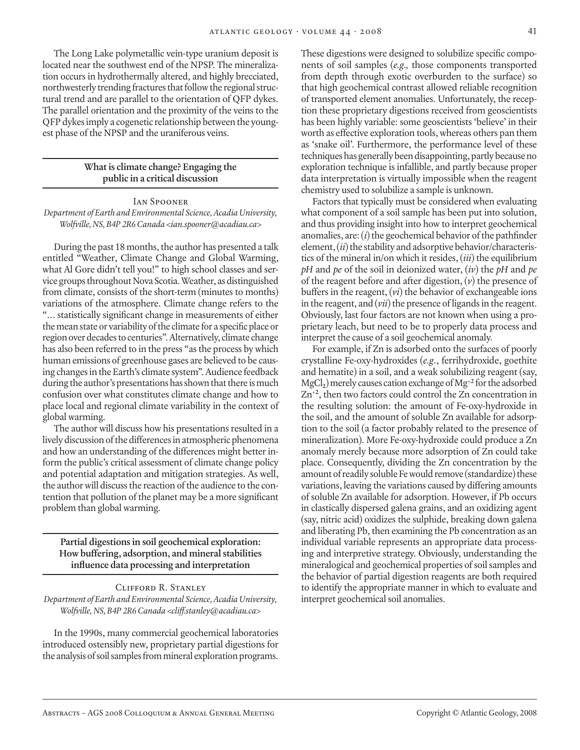The Long Lake polymetallic vein-type uranium deposit is located near the southwest end of the NPSP. The mineralization occurs in hydrothermally altered, and highly brecciated, northwesterly trending fractures that follow the regional structural trend and are parallel to the orientation of QFP dykes. The parallel orientation and the proximity of the veins to the QFP dykes imply a cogenetic relationship between the youngest phase of the NPSP and the uraniferous veins.

#### **What is climate change? Engaging the public in a critical discussion**

#### Ian Spooner

*Department of Earth and Environmental Science, Acadia University, Wolfville, NS, B4P 2R6 Canada <ian.spooner@acadiau.ca>*

During the past 18 months, the author has presented a talk entitled "Weather, Climate Change and Global Warming, what Al Gore didn't tell you!" to high school classes and service groups throughout Nova Scotia. Weather, as distinguished from climate, consists of the short-term (minutes to months) variations of the atmosphere. Climate change refers to the "… statistically significant change in measurements of either the mean state or variability of the climate for a specific place or region over decades to centuries". Alternatively, climate change has also been referred to in the press "as the process by which human emissions of greenhouse gases are believed to be causing changes in the Earth's climate system". Audience feedback during the author's presentations has shown that there is much confusion over what constitutes climate change and how to place local and regional climate variability in the context of global warming.

The author will discuss how his presentations resulted in a lively discussion of the differences in atmospheric phenomena and how an understanding of the differences might better inform the public's critical assessment of climate change policy and potential adaptation and mitigation strategies. As well, the author will discuss the reaction of the audience to the contention that pollution of the planet may be a more significant problem than global warming.

**Partial digestions in soil geochemical exploration: How buffering, adsorption, and mineral stabilities influence data processing and interpretation**

#### Clifford R. Stanley *Department of Earth and Environmental Science, Acadia University, Wolfville, NS, B4P 2R6 Canada <cliff.stanley@acadiau.ca>*

In the 1990s, many commercial geochemical laboratories introduced ostensibly new, proprietary partial digestions for the analysis of soil samples from mineral exploration programs.

These digestions were designed to solubilize specific components of soil samples (*e.g.,* those components transported from depth through exotic overburden to the surface) so that high geochemical contrast allowed reliable recognition of transported element anomalies. Unfortunately, the reception these proprietary digestions received from geoscientists has been highly variable: some geoscientists 'believe' in their worth as effective exploration tools, whereas others pan them as 'snake oil'. Furthermore, the performance level of these techniques has generally been disappointing, partly because no exploration technique is infallible, and partly because proper data interpretation is virtually impossible when the reagent chemistry used to solubilize a sample is unknown.

Factors that typically must be considered when evaluating what component of a soil sample has been put into solution, and thus providing insight into how to interpret geochemical anomalies, are: (*i*) the geochemical behavior of the pathfinder element, (*ii*) the stability and adsorptive behavior/characteristics of the mineral in/on which it resides, (*iii*) the equilibrium *pH* and *pe* of the soil in deionized water, (*iv*) the *pH* and *pe* of the reagent before and after digestion, (*v*) the presence of buffers in the reagent, (*vi*) the behavior of exchangeable ions in the reagent, and (*vii*) the presence of ligands in the reagent. Obviously, last four factors are not known when using a proprietary leach, but need to be to properly data process and interpret the cause of a soil geochemical anomaly.

For example, if Zn is adsorbed onto the surfaces of poorly crystalline Fe-oxy-hydroxides (*e.g*., ferrihydroxide, goethite and hematite) in a soil, and a weak solubilizing reagent (say, MgCl**2**) merely causes cation exchange of Mg**+2** for the adsorbed Zn**+2**, then two factors could control the Zn concentration in the resulting solution: the amount of Fe-oxy-hydroxide in the soil, and the amount of soluble Zn available for adsorption to the soil (a factor probably related to the presence of mineralization). More Fe-oxy-hydroxide could produce a Zn anomaly merely because more adsorption of Zn could take place. Consequently, dividing the Zn concentration by the amount of readily soluble Fe would remove (standardize) these variations, leaving the variations caused by differing amounts of soluble Zn available for adsorption. However, if Pb occurs in clastically dispersed galena grains, and an oxidizing agent (say, nitric acid) oxidizes the sulphide, breaking down galena and liberating Pb, then examining the Pb concentration as an individual variable represents an appropriate data processing and interpretive strategy. Obviously, understanding the mineralogical and geochemical properties of soil samples and the behavior of partial digestion reagents are both required to identify the appropriate manner in which to evaluate and interpret geochemical soil anomalies.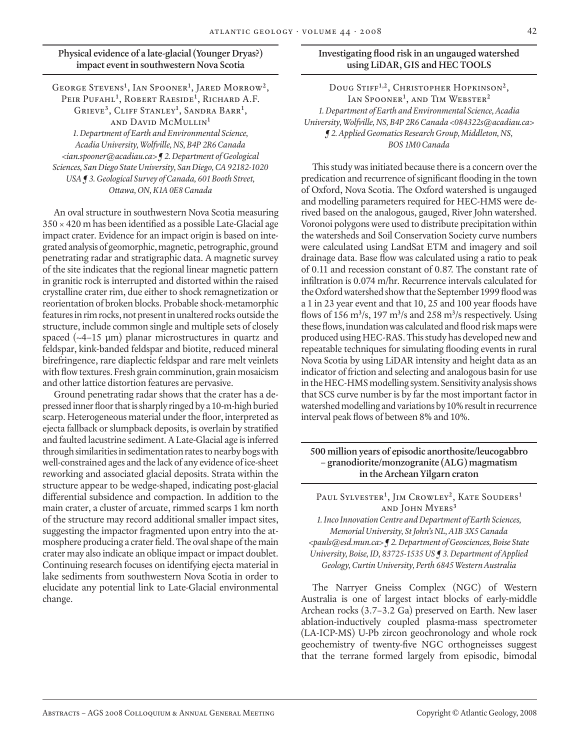# **Physical evidence of a late-glacial (Younger Dryas?) impact event in southwestern Nova Scotia**

George Stevens**<sup>1</sup>** , Ian Spooner**<sup>1</sup>** , Jared Morrow**<sup>2</sup>**, Peir Pufahl**<sup>1</sup>** , Robert Raeside**<sup>1</sup>** , Richard A.F. Grieve**<sup>3</sup>**, Cliff Stanley**<sup>1</sup>** , Sandra Barr**<sup>1</sup>** , and David McMullin**<sup>1</sup>** *1. Department of Earth and Environmental Science, Acadia University, Wolfville, NS, B4P 2R6 Canada <ian.spooner@acadiau.ca> ¶ 2. Department of Geological Sciences, San Diego State University, San Diego, CA 92182-1020 USA ¶ 3. Geological Survey of Canada, 601 Booth Street, Ottawa, ON, K1A 0E8 Canada*

An oval structure in southwestern Nova Scotia measuring  $350 \times 420$  m has been identified as a possible Late-Glacial age impact crater. Evidence for an impact origin is based on integrated analysis of geomorphic, magnetic, petrographic, ground penetrating radar and stratigraphic data. A magnetic survey of the site indicates that the regional linear magnetic pattern in granitic rock is interrupted and distorted within the raised crystalline crater rim, due either to shock remagnetization or reorientation of broken blocks. Probable shock-metamorphic features in rim rocks, not present in unaltered rocks outside the structure, include common single and multiple sets of closely spaced  $(-4-15 \mu m)$  planar microstructures in quartz and feldspar, kink-banded feldspar and biotite, reduced mineral birefringence, rare diaplectic feldspar and rare melt veinlets with flow textures. Fresh grain comminution, grain mosaicism and other lattice distortion features are pervasive.

Ground penetrating radar shows that the crater has a depressed inner floor that is sharply ringed by a 10-m-high buried scarp. Heterogeneous material under the floor, interpreted as ejecta fallback or slumpback deposits, is overlain by stratified and faulted lacustrine sediment. A Late-Glacial age is inferred through similarities in sedimentation rates to nearby bogs with well-constrained ages and the lack of any evidence of ice-sheet reworking and associated glacial deposits. Strata within the structure appear to be wedge-shaped, indicating post-glacial differential subsidence and compaction. In addition to the main crater, a cluster of arcuate, rimmed scarps 1 km north of the structure may record additional smaller impact sites, suggesting the impactor fragmented upon entry into the atmosphere producing a crater field. The oval shape of the main crater may also indicate an oblique impact or impact doublet. Continuing research focuses on identifying ejecta material in lake sediments from southwestern Nova Scotia in order to elucidate any potential link to Late-Glacial environmental change.

# **Investigating flood risk in an ungauged watershed using LiDAR, GIS and HEC TOOLS**

Doug Stiff**1,2**, Christopher Hopkinson**<sup>2</sup>**, Ian Spooner**<sup>1</sup>** , and Tim Webster**<sup>2</sup>** *1. Department of Earth and Environmental Science, Acadia University, Wolfville, NS, B4P 2R6 Canada <084322s@acadiau.ca> ¶ 2. Applied Geomatics Research Group, Middleton, NS, BOS 1M0 Canada*

This study was initiated because there is a concern over the predication and recurrence of significant flooding in the town of Oxford, Nova Scotia. The Oxford watershed is ungauged and modelling parameters required for HEC-HMS were derived based on the analogous, gauged, River John watershed. Voronoi polygons were used to distribute precipitation within the watersheds and Soil Conservation Society curve numbers were calculated using LandSat ETM and imagery and soil drainage data. Base flow was calculated using a ratio to peak of 0.11 and recession constant of 0.87. The constant rate of infiltration is 0.074 m/hr. Recurrence intervals calculated for the Oxford watershed show that the September 1999 flood was a 1 in 23 year event and that 10, 25 and 100 year floods have flows of 156 m**<sup>3</sup>** /s, 197 m**<sup>3</sup>** /s and 258 m**<sup>3</sup>** /s respectively. Using these flows, inundation was calculated and flood risk maps were produced using HEC-RAS. This study has developed new and repeatable techniques for simulating flooding events in rural Nova Scotia by using LiDAR intensity and height data as an indicator of friction and selecting and analogous basin for use in the HEC-HMS modelling system. Sensitivity analysis shows that SCS curve number is by far the most important factor in watershed modelling and variations by 10% result in recurrence interval peak flows of between 8% and 10%.

**500 million years of episodic anorthosite/leucogabbro – granodiorite/monzogranite (ALG) magmatism in the Archean Yilgarn craton**

Paul Sylvester**<sup>1</sup>** , Jim Crowley**<sup>2</sup>**, Kate Souders**<sup>1</sup>** and John Myers**<sup>3</sup>**

*1. Inco Innovation Centre and Department of Earth Sciences, Memorial University, St John's NL, A1B 3X5 Canada <pauls@esd.mun.ca> ¶ 2. Department of Geosciences, Boise State University, Boise, ID, 83725-1535 US ¶ 3. Department of Applied Geology, Curtin University, Perth 6845 Western Australia*

The Narryer Gneiss Complex (NGC) of Western Australia is one of largest intact blocks of early-middle Archean rocks (3.7–3.2 Ga) preserved on Earth. New laser ablation-inductively coupled plasma-mass spectrometer (LA-ICP-MS) U-Pb zircon geochronology and whole rock geochemistry of twenty-five NGC orthogneisses suggest that the terrane formed largely from episodic, bimodal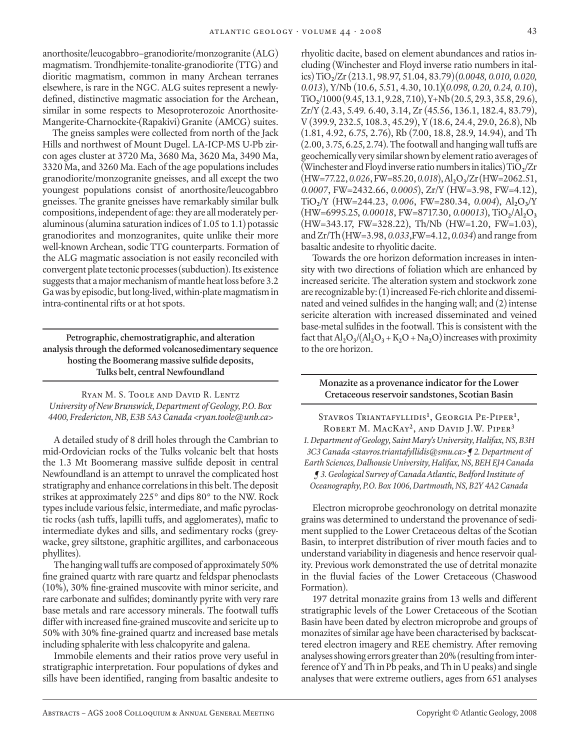anorthosite/leucogabbro–granodiorite/monzogranite (ALG) magmatism. Trondhjemite-tonalite-granodiorite (TTG) and dioritic magmatism, common in many Archean terranes elsewhere, is rare in the NGC. ALG suites represent a newlydefined, distinctive magmatic association for the Archean, similar in some respects to Mesoproterozoic Anorthosite-Mangerite-Charnockite-(Rapakivi) Granite (AMCG) suites.

 The gneiss samples were collected from north of the Jack Hills and northwest of Mount Dugel. LA-ICP-MS U-Pb zircon ages cluster at 3720 Ma, 3680 Ma, 3620 Ma, 3490 Ma, 3320 Ma, and 3260 Ma. Each of the age populations includes granodiorite/monzogranite gneisses, and all except the two youngest populations consist of anorthosite/leucogabbro gneisses. The granite gneisses have remarkably similar bulk compositions, independent of age: they are all moderately peraluminous (alumina saturation indices of 1.05 to 1.1) potassic granodiorites and monzogranites, quite unlike their more well-known Archean, sodic TTG counterparts. Formation of the ALG magmatic association is not easily reconciled with convergent plate tectonic processes (subduction). Its existence suggests that a major mechanism of mantle heat loss before 3.2 Ga was by episodic, but long-lived, within-plate magmatism in intra-continental rifts or at hot spots.

**Petrographic, chemostratigraphic, and alteration analysis through the deformed volcanosedimentary sequence hosting the Boomerang massive sulfide deposits, Tulks belt, central Newfoundland**

Ryan M. S. Toole and David R. Lentz *University of New Brunswick, Department of Geology, P.O. Box 4400, Fredericton, NB, E3B 5A3 Canada <ryan.toole@unb.ca>*

A detailed study of 8 drill holes through the Cambrian to mid-Ordovician rocks of the Tulks volcanic belt that hosts the 1.3 Mt Boomerang massive sulfide deposit in central Newfoundland is an attempt to unravel the complicated host stratigraphy and enhance correlations in this belt. The deposit strikes at approximately 225° and dips 80° to the NW. Rock types include various felsic, intermediate, and mafic pyroclastic rocks (ash tuffs, lapilli tuffs, and agglomerates), mafic to intermediate dykes and sills, and sedimentary rocks (greywacke, grey siltstone, graphitic argillites, and carbonaceous phyllites).

The hanging wall tuffs are composed of approximately 50% fine grained quartz with rare quartz and feldspar phenoclasts (10%), 30% fine-grained muscovite with minor sericite, and rare carbonate and sulfides; dominantly pyrite with very rare base metals and rare accessory minerals. The footwall tuffs differ with increased fine-grained muscovite and sericite up to 50% with 30% fine-grained quartz and increased base metals including sphalerite with less chalcopyrite and galena.

Immobile elements and their ratios prove very useful in stratigraphic interpretation. Four populations of dykes and sills have been identified, ranging from basaltic andesite to

rhyolitic dacite, based on element abundances and ratios including (Winchester and Floyd inverse ratio numbers in italics) TiO**2**/Zr (213.1, 98.97, 51.04, 83.79)(*0.0048, 0.010, 0.020, 0.013*), Y/Nb (10.6, 5.51, 4.30, 10.1)(*0.098, 0.20, 0.24, 0.10*), TiO**2**/1000 (9.45, 13.1, 9.28, 7.10), Y+Nb (20.5, 29.3, 35.8, 29.6), Zr/Y (2.43, 5.49. 6.40, 3.14, Zr (45.56, 136.1, 182.4, 83.79), V (399.9, 232.5, 108.3, 45.29), Y (18.6, 24.4, 29.0, 26.8), Nb (1.81, 4.92, 6.75, 2.76), Rb (7.00, 18.8, 28.9, 14.94), and Th (2.00, 3.75, 6.25, 2.74). The footwall and hanging wall tuffs are geochemically very similar shown by element ratio averages of (Winchester and Floyd inverse ratio numbers in italics)  $TiO<sub>2</sub>/Zr$ (HW=77.22, *0.026*, FW=85.20, *0.018*), Al**2**O**3**/Zr (HW=2062.51, *0.0007*, FW=2432.66, *0.0005*), Zr/Y (HW=3.98, FW=4.12), TiO**2**/Y (HW=244.23, *0.006*, FW=280.34, *0.004*), Al**2**O**3**/Y (HW=6995.25, *0.00018*, FW=8717.30, *0.00013*), TiO**2**/Al**2**O**<sup>3</sup>** (HW=343.17, FW=328.22), Th/Nb (HW=1.20, FW=1.03), and Zr/Th (HW=3.98, *0.033*,FW=4.12, *0.034*) and range from basaltic andesite to rhyolitic dacite.

Towards the ore horizon deformation increases in intensity with two directions of foliation which are enhanced by increased sericite. The alteration system and stockwork zone are recognizable by: (1) increased Fe-rich chlorite and disseminated and veined sulfides in the hanging wall; and (2) intense sericite alteration with increased disseminated and veined base-metal sulfides in the footwall. This is consistent with the fact that  $Al_2O_3/(Al_2O_3 + K_2O + Na_2O)$  increases with proximity to the ore horizon.

#### **Monazite as a provenance indicator for the Lower Cretaceous reservoir sandstones, Scotian Basin**

Stavros Triantafyllidis**<sup>1</sup>** , Georgia Pe-Piper**<sup>1</sup>** , Robert M. MacKay**<sup>2</sup>**, and David J.W. Piper**<sup>3</sup>** *1. Department of Geology, Saint Mary's University, Halifax, NS, B3H 3C3 Canada <stavros.triantafyllidis@smu.ca> ¶ 2. Department of Earth Sciences, Dalhousie University, Halifax, NS, BEH EJ4 Canada ¶ 3. Geological Survey of Canada Atlantic, Bedford Institute of Oceanography, P.O. Box 1006, Dartmouth, NS, B2Y 4A2 Canada*

Electron microprobe geochronology on detrital monazite grains was determined to understand the provenance of sediment supplied to the Lower Cretaceous deltas of the Scotian Basin, to interpret distribution of river mouth facies and to understand variability in diagenesis and hence reservoir quality. Previous work demonstrated the use of detrital monazite in the fluvial facies of the Lower Cretaceous (Chaswood Formation).

197 detrital monazite grains from 13 wells and different stratigraphic levels of the Lower Cretaceous of the Scotian Basin have been dated by electron microprobe and groups of monazites of similar age have been characterised by backscattered electron imagery and REE chemistry. After removing analyses showing errors greater than 20% (resulting from interference of Y and Th in Pb peaks, and Th in U peaks) and single analyses that were extreme outliers, ages from 651 analyses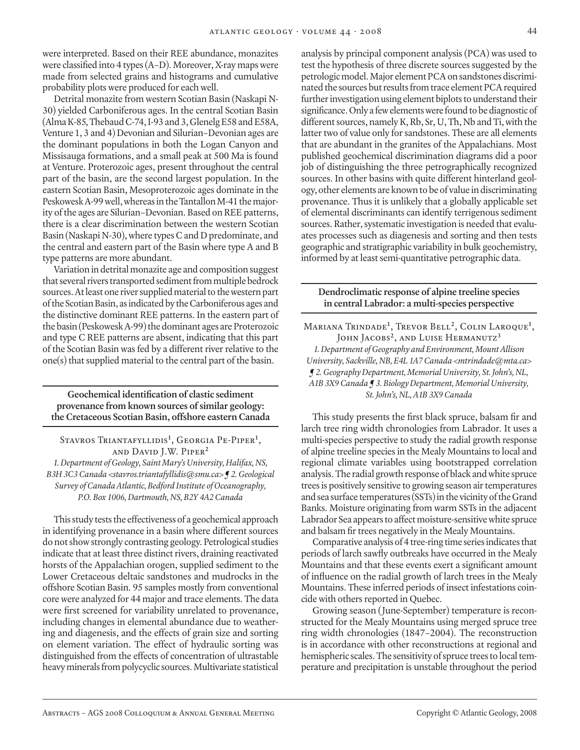were interpreted. Based on their REE abundance, monazites were classified into 4 types (A–D). Moreover, X-ray maps were made from selected grains and histograms and cumulative probability plots were produced for each well.

Detrital monazite from western Scotian Basin (Naskapi N-30) yielded Carboniferous ages. In the central Scotian Basin (Alma K-85, Thebaud C-74, I-93 and 3, Glenelg E58 and E58A, Venture 1, 3 and 4) Devonian and Silurian–Devonian ages are the dominant populations in both the Logan Canyon and Missisauga formations, and a small peak at 500 Ma is found at Venture. Proterozoic ages, present throughout the central part of the basin, are the second largest population. In the eastern Scotian Basin, Mesoproterozoic ages dominate in the Peskowesk A-99 well, whereas in the Tantallon M-41 the majority of the ages are Silurian–Devonian. Based on REE patterns, there is a clear discrimination between the western Scotian Basin (Naskapi N-30), where types C and D predominate, and the central and eastern part of the Basin where type A and B type patterns are more abundant.

Variation in detrital monazite age and composition suggest that several rivers transported sediment from multiple bedrock sources. At least one river supplied material to the western part of the Scotian Basin, as indicated by the Carboniferous ages and the distinctive dominant REE patterns. In the eastern part of the basin (Peskowesk A-99) the dominant ages are Proterozoic and type C REE patterns are absent, indicating that this part of the Scotian Basin was fed by a different river relative to the one(s) that supplied material to the central part of the basin.

**Geochemical identification of clastic sediment provenance from known sources of similar geology: the Cretaceous Scotian Basin, offshore eastern Canada**

Stavros Triantafyllidis**<sup>1</sup>** , Georgia Pe-Piper**<sup>1</sup>** , and David J.W. Piper**<sup>2</sup>**

*1. Department of Geology, Saint Mary's University, Halifax, NS, B3H 3C3 Canada <stavros.triantafyllidis@smu.ca> ¶ 2. Geological Survey of Canada Atlantic, Bedford Institute of Oceanography, P.O. Box 1006, Dartmouth, NS, B2Y 4A2 Canada*

This study tests the effectiveness of a geochemical approach in identifying provenance in a basin where different sources do not show strongly contrasting geology. Petrological studies indicate that at least three distinct rivers, draining reactivated horsts of the Appalachian orogen, supplied sediment to the Lower Cretaceous deltaic sandstones and mudrocks in the offshore Scotian Basin. 95 samples mostly from conventional core were analyzed for 44 major and trace elements. The data were first screened for variability unrelated to provenance, including changes in elemental abundance due to weathering and diagenesis, and the effects of grain size and sorting on element variation. The effect of hydraulic sorting was distinguished from the effects of concentration of ultrastable heavy minerals from polycyclic sources. Multivariate statistical

analysis by principal component analysis (PCA) was used to test the hypothesis of three discrete sources suggested by the petrologic model. Major element PCA on sandstones discriminated the sources but results from trace element PCA required further investigation using element biplots to understand their significance. Only a few elements were found to be diagnostic of different sources, namely K, Rb, Sr, U, Th, Nb and Ti, with the latter two of value only for sandstones. These are all elements that are abundant in the granites of the Appalachians. Most published geochemical discrimination diagrams did a poor job of distinguishing the three petrographically recognized sources. In other basins with quite different hinterland geology, other elements are known to be of value in discriminating provenance. Thus it is unlikely that a globally applicable set of elemental discriminants can identify terrigenous sediment sources. Rather, systematic investigation is needed that evaluates processes such as diagenesis and sorting and then tests geographic and stratigraphic variability in bulk geochemistry, informed by at least semi-quantitative petrographic data.

#### **Dendroclimatic response of alpine treeline species in central Labrador: a multi-species perspective**

Mariana Trindade**<sup>1</sup>** , Trevor Bell**<sup>2</sup>**, Colin Laroque**<sup>1</sup>** , John Jacobs**<sup>2</sup>**, and Luise Hermanutz**<sup>3</sup>**

*1. Department of Geography and Environment, Mount Allison University, Sackville, NB, E4L 1A7 Canada <mtrindade@mta.ca> ¶ 2. Geography Department, Memorial University, St. John's, NL, A1B 3X9 Canada ¶ 3. Biology Department, Memorial University, St. John's, NL, A1B 3X9 Canada*

This study presents the first black spruce, balsam fir and larch tree ring width chronologies from Labrador. It uses a multi-species perspective to study the radial growth response of alpine treeline species in the Mealy Mountains to local and regional climate variables using bootstrapped correlation analysis. The radial growth response of black and white spruce trees is positively sensitive to growing season air temperatures and sea surface temperatures (SSTs) in the vicinity of the Grand Banks. Moisture originating from warm SSTs in the adjacent Labrador Sea appears to affect moisture-sensitive white spruce and balsam fir trees negatively in the Mealy Mountains.

Comparative analysis of 4 tree-ring time series indicates that periods of larch sawfly outbreaks have occurred in the Mealy Mountains and that these events exert a significant amount of influence on the radial growth of larch trees in the Mealy Mountains. These inferred periods of insect infestations coincide with others reported in Quebec.

Growing season (June-September) temperature is reconstructed for the Mealy Mountains using merged spruce tree ring width chronologies (1847–2004). The reconstruction is in accordance with other reconstructions at regional and hemispheric scales. The sensitivity of spruce trees to local temperature and precipitation is unstable throughout the period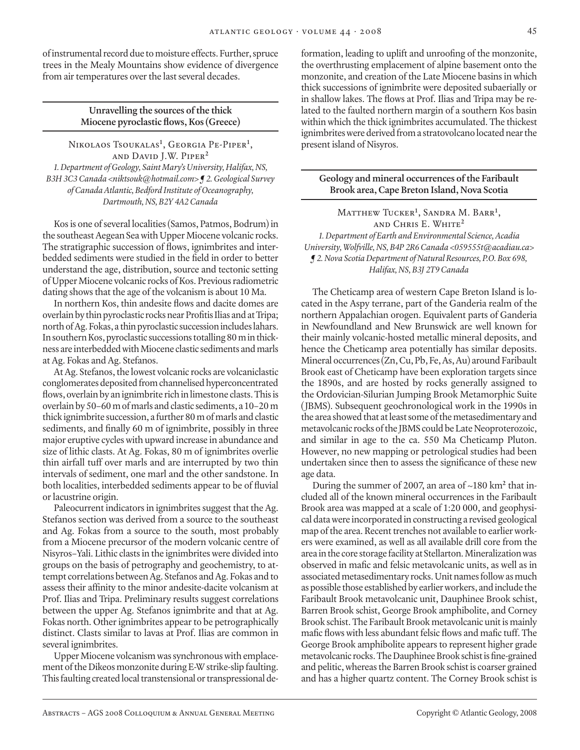of instrumental record due to moisture effects. Further, spruce trees in the Mealy Mountains show evidence of divergence from air temperatures over the last several decades.

> **Unravelling the sources of the thick Miocene pyroclastic flows, Kos (Greece)**

Nikolaos Tsoukalas**<sup>1</sup>** , Georgia Pe-Piper**<sup>1</sup>** , and David J.W. Piper**<sup>2</sup>** *1. Department of Geology, Saint Mary's University, Halifax, NS, B3H 3C3 Canada <niktsouk@hotmail.com> ¶ 2. Geological Survey of Canada Atlantic, Bedford Institute of Oceanography, Dartmouth, NS, B2Y 4A2 Canada*

Kos is one of several localities (Samos, Patmos, Bodrum) in the southeast Aegean Sea with Upper Miocene volcanic rocks. The stratigraphic succession of flows, ignimbrites and interbedded sediments were studied in the field in order to better understand the age, distribution, source and tectonic setting of Upper Miocene volcanic rocks of Kos. Previous radiometric dating shows that the age of the volcanism is about 10 Ma.

In northern Kos, thin andesite flows and dacite domes are overlain by thin pyroclastic rocks near Profitis Ilias and at Tripa; north of Ag. Fokas, a thin pyroclastic succession includes lahars. In southern Kos, pyroclastic successions totalling 80 m in thickness are interbedded with Miocene clastic sediments and marls at Ag. Fokas and Ag. Stefanos.

At Ag. Stefanos, the lowest volcanic rocks are volcaniclastic conglomerates deposited from channelised hyperconcentrated flows, overlain by an ignimbrite rich in limestone clasts. This is overlain by 50–60 m of marls and clastic sediments, a 10–20 m thick ignimbrite succession, a further 80 m of marls and clastic sediments, and finally 60 m of ignimbrite, possibly in three major eruptive cycles with upward increase in abundance and size of lithic clasts. At Ag. Fokas, 80 m of ignimbrites overlie thin airfall tuff over marls and are interrupted by two thin intervals of sediment, one marl and the other sandstone. In both localities, interbedded sediments appear to be of fluvial or lacustrine origin.

Paleocurrent indicators in ignimbrites suggest that the Ag. Stefanos section was derived from a source to the southeast and Ag. Fokas from a source to the south, most probably from a Miocene precursor of the modern volcanic centre of Nisyros–Yali. Lithic clasts in the ignimbrites were divided into groups on the basis of petrography and geochemistry, to attempt correlations between Ag. Stefanos and Ag. Fokas and to assess their affinity to the minor andesite-dacite volcanism at Prof. Ilias and Tripa. Preliminary results suggest correlations between the upper Ag. Stefanos ignimbrite and that at Ag. Fokas north. Other ignimbrites appear to be petrographically distinct. Clasts similar to lavas at Prof. Ilias are common in several ignimbrites.

Upper Miocene volcanism was synchronous with emplacement of the Dikeos monzonite during E-W strike-slip faulting. This faulting created local transtensional or transpressional deformation, leading to uplift and unroofing of the monzonite, the overthrusting emplacement of alpine basement onto the monzonite, and creation of the Late Miocene basins in which thick successions of ignimbrite were deposited subaerially or in shallow lakes. The flows at Prof. Ilias and Tripa may be related to the faulted northern margin of a southern Kos basin within which the thick ignimbrites accumulated. The thickest ignimbrites were derived from a stratovolcano located near the present island of Nisyros.

**Geology and mineral occurrences of the Faribault Brook area, Cape Breton Island, Nova Scotia**

Matthew Tucker**<sup>1</sup>** , Sandra M. Barr**<sup>1</sup>** , and Chris E. White**<sup>2</sup>** *1. Department of Earth and Environmental Science, Acadia University, Wolfville, NS, B4P 2R6 Canada <059555t@acadiau.ca> ¶ 2. Nova Scotia Department of Natural Resources, P.O. Box 698, Halifax, NS, B3J 2T9 Canada*

The Cheticamp area of western Cape Breton Island is located in the Aspy terrane, part of the Ganderia realm of the northern Appalachian orogen. Equivalent parts of Ganderia in Newfoundland and New Brunswick are well known for their mainly volcanic-hosted metallic mineral deposits, and hence the Cheticamp area potentially has similar deposits. Mineral occurrences (Zn, Cu, Pb, Fe, As, Au) around Faribault Brook east of Cheticamp have been exploration targets since the 1890s, and are hosted by rocks generally assigned to the Ordovician-Silurian Jumping Brook Metamorphic Suite (JBMS). Subsequent geochronological work in the 1990s in the area showed that at least some of the metasedimentary and metavolcanic rocks of the JBMS could be Late Neoproterozoic, and similar in age to the ca. 550 Ma Cheticamp Pluton. However, no new mapping or petrological studies had been undertaken since then to assess the significance of these new age data.

During the summer of 2007, an area of ~180 km<sup>2</sup> that included all of the known mineral occurrences in the Faribault Brook area was mapped at a scale of 1:20 000, and geophysical data were incorporated in constructing a revised geological map of the area. Recent trenches not available to earlier workers were examined, as well as all available drill core from the area in the core storage facility at Stellarton. Mineralization was observed in mafic and felsic metavolcanic units, as well as in associated metasedimentary rocks. Unit names follow as much as possible those established by earlier workers, and include the Faribault Brook metavolcanic unit, Dauphinee Brook schist, Barren Brook schist, George Brook amphibolite, and Corney Brook schist. The Faribault Brook metavolcanic unit is mainly mafic flows with less abundant felsic flows and mafic tuff. The George Brook amphibolite appears to represent higher grade metavolcanic rocks. The Dauphinee Brook schist is fine-grained and pelitic, whereas the Barren Brook schist is coarser grained and has a higher quartz content. The Corney Brook schist is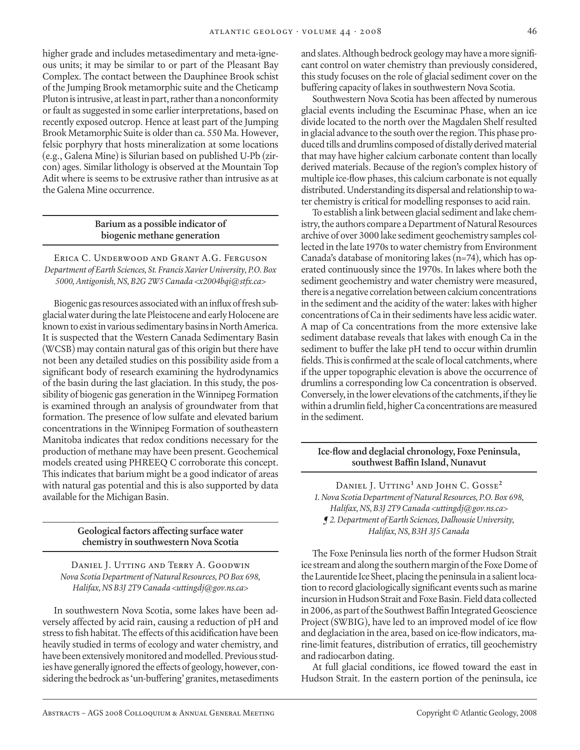higher grade and includes metasedimentary and meta-igneous units; it may be similar to or part of the Pleasant Bay Complex. The contact between the Dauphinee Brook schist of the Jumping Brook metamorphic suite and the Cheticamp Pluton is intrusive, at least in part, rather than a nonconformity or fault as suggested in some earlier interpretations, based on recently exposed outcrop. Hence at least part of the Jumping Brook Metamorphic Suite is older than ca. 550 Ma. However, felsic porphyry that hosts mineralization at some locations (e.g., Galena Mine) is Silurian based on published U-Pb (zircon) ages. Similar lithology is observed at the Mountain Top Adit where is seems to be extrusive rather than intrusive as at the Galena Mine occurrence.

# **Barium as a possible indicator of biogenic methane generation**

Erica C. Underwood and Grant A.G. Ferguson *Department of Earth Sciences, St. Francis Xavier University, P.O. Box 5000, Antigonish, NS, B2G 2W5 Canada <x2004bqi@stfx.ca>*

Biogenic gas resources associated with an influx of fresh subglacial water during the late Pleistocene and early Holocene are known to exist in various sedimentary basins in North America. It is suspected that the Western Canada Sedimentary Basin (WCSB) may contain natural gas of this origin but there have not been any detailed studies on this possibility aside from a significant body of research examining the hydrodynamics of the basin during the last glaciation. In this study, the possibility of biogenic gas generation in the Winnipeg Formation is examined through an analysis of groundwater from that formation. The presence of low sulfate and elevated barium concentrations in the Winnipeg Formation of southeastern Manitoba indicates that redox conditions necessary for the production of methane may have been present. Geochemical models created using PHREEQ C corroborate this concept. This indicates that barium might be a good indicator of areas with natural gas potential and this is also supported by data available for the Michigan Basin.

#### **Geological factors affecting surface water chemistry in southwestern Nova Scotia**

Daniel J. Utting and Terry A. Goodwin *Nova Scotia Department of Natural Resources, PO Box 698, Halifax, NS B3J 2T9 Canada <uttingdj@gov.ns.ca>*

In southwestern Nova Scotia, some lakes have been adversely affected by acid rain, causing a reduction of pH and stress to fish habitat. The effects of this acidification have been heavily studied in terms of ecology and water chemistry, and have been extensively monitored and modelled. Previous studies have generally ignored the effects of geology, however, considering the bedrock as 'un-buffering' granites, metasediments and slates. Although bedrock geology may have a more significant control on water chemistry than previously considered, this study focuses on the role of glacial sediment cover on the buffering capacity of lakes in southwestern Nova Scotia.

Southwestern Nova Scotia has been affected by numerous glacial events including the Escuminac Phase, when an ice divide located to the north over the Magdalen Shelf resulted in glacial advance to the south over the region. This phase produced tills and drumlins composed of distally derived material that may have higher calcium carbonate content than locally derived materials. Because of the region's complex history of multiple ice-flow phases, this calcium carbonate is not equally distributed. Understanding its dispersal and relationship to water chemistry is critical for modelling responses to acid rain.

To establish a link between glacial sediment and lake chemistry, the authors compare a Department of Natural Resources archive of over 3000 lake sediment geochemistry samples collected in the late 1970s to water chemistry from Environment Canada's database of monitoring lakes (n=74), which has operated continuously since the 1970s. In lakes where both the sediment geochemistry and water chemistry were measured, there is a negative correlation between calcium concentrations in the sediment and the acidity of the water: lakes with higher concentrations of Ca in their sediments have less acidic water. A map of Ca concentrations from the more extensive lake sediment database reveals that lakes with enough Ca in the sediment to buffer the lake pH tend to occur within drumlin fields. This is confirmed at the scale of local catchments, where if the upper topographic elevation is above the occurrence of drumlins a corresponding low Ca concentration is observed. Conversely, in the lower elevations of the catchments, if they lie within a drumlin field, higher Ca concentrations are measured in the sediment.

# **Ice-flow and deglacial chronology, Foxe Peninsula, southwest Baffin Island, Nunavut**

Daniel J. Utting**<sup>1</sup>** and John C. Gosse**<sup>2</sup>** *1. Nova Scotia Department of Natural Resources, P.O. Box 698, Halifax, NS, B3J 2T9 Canada <uttingdj@gov.ns.ca> ¶ 2. Department of Earth Sciences, Dalhousie University, Halifax, NS, B3H 3J5 Canada*

The Foxe Peninsula lies north of the former Hudson Strait ice stream and along the southern margin of the Foxe Dome of the Laurentide Ice Sheet, placing the peninsula in a salient location to record glaciologically significant events such as marine incursion in Hudson Strait and Foxe Basin. Field data collected in 2006, as part of the Southwest Baffin Integrated Geoscience Project (SWBIG), have led to an improved model of ice flow and deglaciation in the area, based on ice-flow indicators, marine-limit features, distribution of erratics, till geochemistry and radiocarbon dating.

At full glacial conditions, ice flowed toward the east in Hudson Strait. In the eastern portion of the peninsula, ice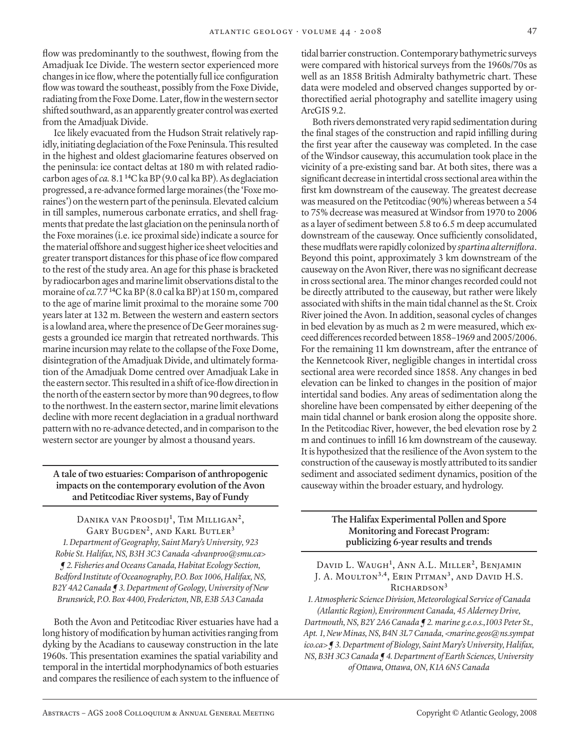flow was predominantly to the southwest, flowing from the Amadjuak Ice Divide. The western sector experienced more changes in ice flow, where the potentially full ice configuration flow was toward the southeast, possibly from the Foxe Divide, radiating from the Foxe Dome. Later, flow in the western sector shifted southward, as an apparently greater control was exerted from the Amadjuak Divide.

Ice likely evacuated from the Hudson Strait relatively rapidly, initiating deglaciation of the Foxe Peninsula. This resulted in the highest and oldest glaciomarine features observed on the peninsula: ice contact deltas at 180 m with related radiocarbon ages of *ca.* 8.1 **<sup>14</sup>**C ka BP (9.0 cal ka BP). As deglaciation progressed, a re-advance formed large moraines (the 'Foxe moraines') on the western part of the peninsula. Elevated calcium in till samples, numerous carbonate erratics, and shell fragments that predate the last glaciation on the peninsula north of the Foxe moraines (i.e. ice proximal side) indicate a source for the material offshore and suggest higher ice sheet velocities and greater transport distances for this phase of ice flow compared to the rest of the study area. An age for this phase is bracketed by radiocarbon ages and marine limit observations distal to the moraine of *ca.*7.7 **<sup>14</sup>**C ka BP (8.0 cal ka BP) at 150 m, compared to the age of marine limit proximal to the moraine some 700 years later at 132 m. Between the western and eastern sectors is a lowland area, where the presence of De Geer moraines suggests a grounded ice margin that retreated northwards. This marine incursion may relate to the collapse of the Foxe Dome, disintegration of the Amadjuak Divide, and ultimately formation of the Amadjuak Dome centred over Amadjuak Lake in the eastern sector. This resulted in a shift of ice-flow direction in the north of the eastern sector by more than 90 degrees, to flow to the northwest. In the eastern sector, marine limit elevations decline with more recent deglaciation in a gradual northward pattern with no re-advance detected, and in comparison to the western sector are younger by almost a thousand years.

# **A tale of two estuaries: Comparison of anthropogenic impacts on the contemporary evolution of the Avon and Petitcodiac River systems, Bay of Fundy**

Danika van Proosdij**<sup>1</sup>** , Tim Milligan**<sup>2</sup>**, Gary Bugden**<sup>2</sup>**, and Karl Butler**<sup>3</sup>** *1. Department of Geography, Saint Mary's University, 923 Robie St. Halifax, NS, B3H 3C3 Canada <dvanproo@smu.ca> ¶ 2. Fisheries and Oceans Canada, Habitat Ecology Section, Bedford Institute of Oceanography, P.O. Box 1006, Halifax, NS, B2Y 4A2 Canada ¶ 3. Department of Geology, University of New Brunswick, P.O. Box 4400, Fredericton, NB, E3B 5A3 Canada*

Both the Avon and Petitcodiac River estuaries have had a long history of modification by human activities ranging from dyking by the Acadians to causeway construction in the late 1960s. This presentation examines the spatial variability and temporal in the intertidal morphodynamics of both estuaries and compares the resilience of each system to the influence of tidal barrier construction. Contemporary bathymetric surveys were compared with historical surveys from the 1960s/70s as well as an 1858 British Admiralty bathymetric chart. These data were modeled and observed changes supported by orthorectified aerial photography and satellite imagery using ArcGIS 9.2.

Both rivers demonstrated very rapid sedimentation during the final stages of the construction and rapid infilling during the first year after the causeway was completed. In the case of the Windsor causeway, this accumulation took place in the vicinity of a pre-existing sand bar. At both sites, there was a significant decrease in intertidal cross sectional area within the first km downstream of the causeway. The greatest decrease was measured on the Petitcodiac (90%) whereas between a 54 to 75% decrease was measured at Windsor from 1970 to 2006 as a layer of sediment between 5.8 to 6.5 m deep accumulated downstream of the causeway. Once sufficiently consolidated, these mudflats were rapidly colonized by *spartina alterniflora*. Beyond this point, approximately 3 km downstream of the causeway on the Avon River, there was no significant decrease in cross sectional area. The minor changes recorded could not be directly attributed to the causeway, but rather were likely associated with shifts in the main tidal channel as the St. Croix River joined the Avon. In addition, seasonal cycles of changes in bed elevation by as much as 2 m were measured, which exceed differences recorded between 1858–1969 and 2005/2006. For the remaining 11 km downstream, after the entrance of the Kennetcook River, negligible changes in intertidal cross sectional area were recorded since 1858. Any changes in bed elevation can be linked to changes in the position of major intertidal sand bodies. Any areas of sedimentation along the shoreline have been compensated by either deepening of the main tidal channel or bank erosion along the opposite shore. In the Petitcodiac River, however, the bed elevation rose by 2 m and continues to infill 16 km downstream of the causeway. It is hypothesized that the resilience of the Avon system to the construction of the causeway is mostly attributed to its sandier sediment and associated sediment dynamics, position of the causeway within the broader estuary, and hydrology.

#### **The Halifax Experimental Pollen and Spore Monitoring and Forecast Program: publicizing 6-year results and trends**

David L. Waugh**<sup>1</sup>** , Ann A.L. Miller**<sup>2</sup>**, Benjamin J. A. Moulton**3,4**, Erin Pitman**<sup>3</sup>**, and David H.S. Richardson**<sup>3</sup>**

*1. Atmospheric Science Division, Meteorological Service of Canada (Atlantic Region), Environment Canada, 45 Alderney Drive, Dartmouth, NS, B2Y 2A6 Canada ¶ 2. marine g.e.o.s.,1003 Peter St., Apt. 1, New Minas, NS, B4N 3L7 Canada, <marine.geos@ns.sympat ico.ca> ¶ 3. Department of Biology, Saint Mary's University, Halifax, NS, B3H 3C3 Canada ¶ 4. Department of Earth Sciences, University of Ottawa, Ottawa, ON, K1A 6N5 Canada*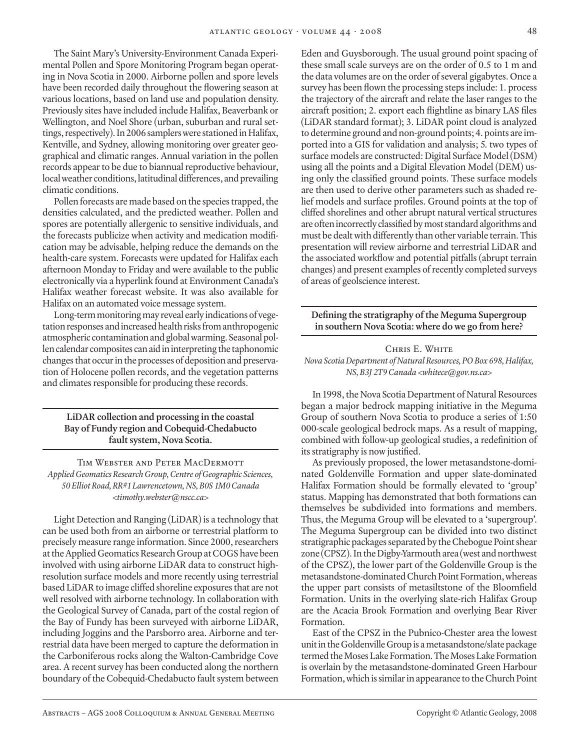The Saint Mary's University-Environment Canada Experimental Pollen and Spore Monitoring Program began operating in Nova Scotia in 2000. Airborne pollen and spore levels have been recorded daily throughout the flowering season at various locations, based on land use and population density. Previously sites have included include Halifax, Beaverbank or Wellington, and Noel Shore (urban, suburban and rural settings, respectively). In 2006 samplers were stationed in Halifax, Kentville, and Sydney, allowing monitoring over greater geographical and climatic ranges. Annual variation in the pollen records appear to be due to biannual reproductive behaviour, local weather conditions, latitudinal differences, and prevailing climatic conditions.

Pollen forecasts are made based on the species trapped, the densities calculated, and the predicted weather. Pollen and spores are potentially allergenic to sensitive individuals, and the forecasts publicize when activity and medication modification may be advisable, helping reduce the demands on the health-care system. Forecasts were updated for Halifax each afternoon Monday to Friday and were available to the public electronically via a hyperlink found at Environment Canada's Halifax weather forecast website. It was also available for Halifax on an automated voice message system.

Long-term monitoring may reveal early indications of vegetation responses and increased health risks from anthropogenic atmospheric contamination and global warming. Seasonal pollen calendar composites can aid in interpreting the taphonomic changes that occur in the processes of deposition and preservation of Holocene pollen records, and the vegetation patterns and climates responsible for producing these records.

# **LiDAR collection and processing in the coastal Bay of Fundy region and Cobequid-Chedabucto fault system, Nova Scotia.**

Tim Webster and Peter MacDermott *Applied Geomatics Research Group, Centre of Geographic Sciences, 50 Elliot Road, RR#1 Lawrencetown, NS, B0S 1M0 Canada <timothy.webster@nscc.ca>*

Light Detection and Ranging (LiDAR) is a technology that can be used both from an airborne or terrestrial platform to precisely measure range information. Since 2000, researchers at the Applied Geomatics Research Group at COGS have been involved with using airborne LiDAR data to construct highresolution surface models and more recently using terrestrial based LiDAR to image cliffed shoreline exposures that are not well resolved with airborne technology. In collaboration with the Geological Survey of Canada, part of the costal region of the Bay of Fundy has been surveyed with airborne LiDAR, including Joggins and the Parsborro area. Airborne and terrestrial data have been merged to capture the deformation in the Carboniferous rocks along the Walton-Cambridge Cove area. A recent survey has been conducted along the northern boundary of the Cobequid-Chedabucto fault system between

Eden and Guysborough. The usual ground point spacing of these small scale surveys are on the order of 0.5 to 1 m and the data volumes are on the order of several gigabytes. Once a survey has been flown the processing steps include: 1. process the trajectory of the aircraft and relate the laser ranges to the aircraft position; 2. export each flightline as binary LAS files (LiDAR standard format); 3. LiDAR point cloud is analyzed to determine ground and non-ground points; 4. points are imported into a GIS for validation and analysis; 5. two types of surface models are constructed: Digital Surface Model (DSM) using all the points and a Digital Elevation Model (DEM) using only the classified ground points. These surface models are then used to derive other parameters such as shaded relief models and surface profiles. Ground points at the top of cliffed shorelines and other abrupt natural vertical structures are often incorrectly classified by most standard algorithms and must be dealt with differently than other variable terrain. This presentation will review airborne and terrestrial LiDAR and the associated workflow and potential pitfalls (abrupt terrain changes) and present examples of recently completed surveys of areas of geolscience interest.

**Defining the stratigraphy of the Meguma Supergroup in southern Nova Scotia: where do we go from here?**

# CHRIS E. WHITE *Nova Scotia Department of Natural Resources, PO Box 698, Halifax, NS, B3J 2T9 Canada <whitece@gov.ns.ca>*

In 1998, the Nova Scotia Department of Natural Resources began a major bedrock mapping initiative in the Meguma Group of southern Nova Scotia to produce a series of 1:50 000-scale geological bedrock maps. As a result of mapping, combined with follow-up geological studies, a redefinition of its stratigraphy is now justified.

As previously proposed, the lower metasandstone-dominated Goldenville Formation and upper slate-dominated Halifax Formation should be formally elevated to 'group' status. Mapping has demonstrated that both formations can themselves be subdivided into formations and members. Thus, the Meguma Group will be elevated to a 'supergroup'. The Meguma Supergroup can be divided into two distinct stratigraphic packages separated by the Chebogue Point shear zone (CPSZ). In the Digby-Yarmouth area (west and northwest of the CPSZ), the lower part of the Goldenville Group is the metasandstone-dominated Church Point Formation, whereas the upper part consists of metasiltstone of the Bloomfield Formation. Units in the overlying slate-rich Halifax Group are the Acacia Brook Formation and overlying Bear River Formation.

East of the CPSZ in the Pubnico-Chester area the lowest unit in the Goldenville Group is a metasandstone/slate package termed the Moses Lake Formation. The Moses Lake Formation is overlain by the metasandstone-dominated Green Harbour Formation, which is similar in appearance to the Church Point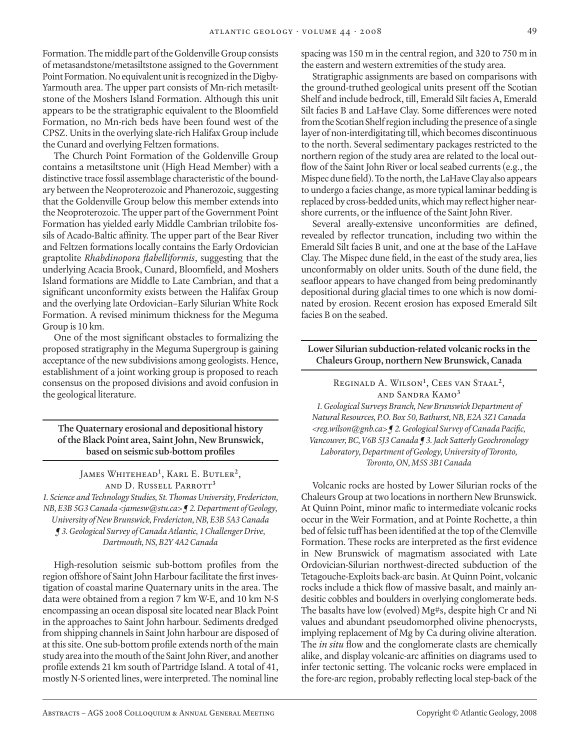Formation. The middle part of the Goldenville Group consists of metasandstone/metasiltstone assigned to the Government Point Formation. No equivalent unit is recognized in the Digby-Yarmouth area. The upper part consists of Mn-rich metasiltstone of the Moshers Island Formation. Although this unit appears to be the stratigraphic equivalent to the Bloomfield Formation, no Mn-rich beds have been found west of the CPSZ. Units in the overlying slate-rich Halifax Group include the Cunard and overlying Feltzen formations.

The Church Point Formation of the Goldenville Group contains a metasiltstone unit (High Head Member) with a distinctive trace fossil assemblage characteristic of the boundary between the Neoproterozoic and Phanerozoic, suggesting that the Goldenville Group below this member extends into the Neoproterozoic. The upper part of the Government Point Formation has yielded early Middle Cambrian trilobite fossils of Acado-Baltic affinity. The upper part of the Bear River and Feltzen formations locally contains the Early Ordovician graptolite *Rhabdinopora flabelliformis*, suggesting that the underlying Acacia Brook, Cunard, Bloomfield, and Moshers Island formations are Middle to Late Cambrian, and that a significant unconformity exists between the Halifax Group and the overlying late Ordovician–Early Silurian White Rock Formation. A revised minimum thickness for the Meguma Group is 10 km.

One of the most significant obstacles to formalizing the proposed stratigraphy in the Meguma Supergroup is gaining acceptance of the new subdivisions among geologists. Hence, establishment of a joint working group is proposed to reach consensus on the proposed divisions and avoid confusion in the geological literature.

**The Quaternary erosional and depositional history of the Black Point area, Saint John, New Brunswick, based on seismic sub-bottom profiles**

James Whitehead**<sup>1</sup>** , Karl E. Butler**<sup>2</sup>**, and D. Russell Parrott**<sup>3</sup>**

*1. Science and Technology Studies, St. Thomas University, Fredericton, NB, E3B 5G3 Canada <jamesw@stu.ca> ¶ 2. Department of Geology, University of New Brunswick, Fredericton, NB, E3B 5A3 Canada ¶ 3. Geological Survey of Canada Atlantic, 1 Challenger Drive, Dartmouth, NS, B2Y 4A2 Canada*

High-resolution seismic sub-bottom profiles from the region offshore of Saint John Harbour facilitate the first investigation of coastal marine Quaternary units in the area. The data were obtained from a region 7 km W-E, and 10 km N-S encompassing an ocean disposal site located near Black Point in the approaches to Saint John harbour. Sediments dredged from shipping channels in Saint John harbour are disposed of at this site. One sub-bottom profile extends north of the main study area into the mouth of the Saint John River, and another profile extends 21 km south of Partridge Island. A total of 41, mostly N-S oriented lines, were interpreted. The nominal line

spacing was 150 m in the central region, and 320 to 750 m in the eastern and western extremities of the study area.

Stratigraphic assignments are based on comparisons with the ground-truthed geological units present off the Scotian Shelf and include bedrock, till, Emerald Silt facies A, Emerald Silt facies B and LaHave Clay. Some differences were noted from the Scotian Shelf region including the presence of a single layer of non-interdigitating till, which becomes discontinuous to the north. Several sedimentary packages restricted to the northern region of the study area are related to the local outflow of the Saint John River or local seabed currents (e.g., the Mispec dune field). To the north, the LaHave Clay also appears to undergo a facies change, as more typical laminar bedding is replaced by cross-bedded units, which may reflect higher nearshore currents, or the influence of the Saint John River.

Several areally-extensive unconformities are defined, revealed by reflector truncation, including two within the Emerald Silt facies B unit, and one at the base of the LaHave Clay. The Mispec dune field, in the east of the study area, lies unconformably on older units. South of the dune field, the seafloor appears to have changed from being predominantly depositional during glacial times to one which is now dominated by erosion. Recent erosion has exposed Emerald Silt facies B on the seabed.

# **Lower Silurian subduction-related volcanic rocks in the Chaleurs Group, northern New Brunswick, Canada**

Reginald A. Wilson**<sup>1</sup>** , Cees van Staal**<sup>2</sup>**, and Sandra Kamo**<sup>3</sup>** *1. Geological Surveys Branch, New Brunswick Department of Natural Resources, P.O. Box 50, Bathurst, NB, E2A 3Z1 Canada <reg.wilson@gnb.ca> ¶ 2. Geological Survey of Canada Pacific, Vancouver, BC, V6B 5J3 Canada ¶ 3. Jack Satterly Geochronology Laboratory, Department of Geology, University of Toronto, Toronto, ON, M5S 3B1 Canada*

Volcanic rocks are hosted by Lower Silurian rocks of the Chaleurs Group at two locations in northern New Brunswick. At Quinn Point, minor mafic to intermediate volcanic rocks occur in the Weir Formation, and at Pointe Rochette, a thin bed of felsic tuff has been identified at the top of the Clemville Formation. These rocks are interpreted as the first evidence in New Brunswick of magmatism associated with Late Ordovician-Silurian northwest-directed subduction of the Tetagouche-Exploits back-arc basin. At Quinn Point, volcanic rocks include a thick flow of massive basalt, and mainly andesitic cobbles and boulders in overlying conglomerate beds. The basalts have low (evolved) Mg#s, despite high Cr and Ni values and abundant pseudomorphed olivine phenocrysts, implying replacement of Mg by Ca during olivine alteration. The *in situ* flow and the conglomerate clasts are chemically alike, and display volcanic-arc affinities on diagrams used to infer tectonic setting. The volcanic rocks were emplaced in the fore-arc region, probably reflecting local step-back of the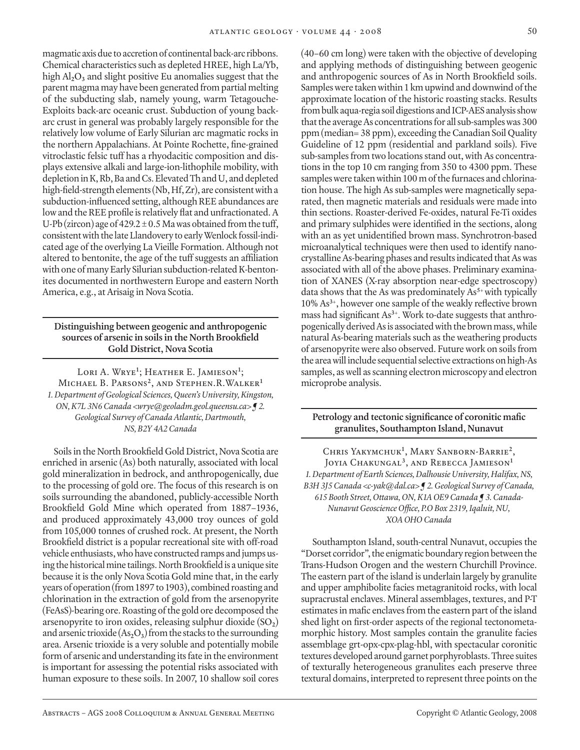magmatic axis due to accretion of continental back-arc ribbons. Chemical characteristics such as depleted HREE, high La/Yb, high Al**2**O**3** and slight positive Eu anomalies suggest that the parent magma may have been generated from partial melting of the subducting slab, namely young, warm Tetagouche-Exploits back-arc oceanic crust. Subduction of young backarc crust in general was probably largely responsible for the relatively low volume of Early Silurian arc magmatic rocks in the northern Appalachians. At Pointe Rochette, fine-grained vitroclastic felsic tuff has a rhyodacitic composition and displays extensive alkali and large-ion-lithophile mobility, with depletion in K, Rb, Ba and Cs. Elevated Th and U, and depleted high-field-strength elements (Nb, Hf, Zr), are consistent with a subduction-influenced setting, although REE abundances are low and the REE profile is relatively flat and unfractionated. A U-Pb (zircon) age of  $429.2 \pm 0.5$  Ma was obtained from the tuff, consistent with the late Llandovery to early Wenlock fossil-indicated age of the overlying La Vieille Formation. Although not altered to bentonite, the age of the tuff suggests an affiliation with one of many Early Silurian subduction-related K-bentonites documented in northwestern Europe and eastern North America, e.g., at Arisaig in Nova Scotia.

# **Distinguishing between geogenic and anthropogenic sources of arsenic in soils in the North Brookfield Gold District, Nova Scotia**

Lori A. Wrye<sup>1</sup>; Heather E. Jamieson<sup>1</sup>; Michael B. Parsons**<sup>2</sup>**, and Stephen.R.Walker**<sup>1</sup>** *1. Department of Geological Sciences, Queen's University, Kingston, ON, K7L 3N6 Canada <wrye@geoladm.geol.queensu.ca> ¶ 2. Geological Survey of Canada Atlantic, Dartmouth, NS, B2Y 4A2 Canada*

Soils in the North Brookfield Gold District, Nova Scotia are enriched in arsenic (As) both naturally, associated with local gold mineralization in bedrock, and anthropogenically, due to the processing of gold ore. The focus of this research is on soils surrounding the abandoned, publicly-accessible North Brookfield Gold Mine which operated from 1887–1936, and produced approximately 43,000 troy ounces of gold from 105,000 tonnes of crushed rock. At present, the North Brookfield district is a popular recreational site with off-road vehicle enthusiasts, who have constructed ramps and jumps using the historical mine tailings. North Brookfield is a unique site because it is the only Nova Scotia Gold mine that, in the early years of operation (from 1897 to 1903), combined roasting and chlorination in the extraction of gold from the arsenopyrite (FeAsS)-bearing ore. Roasting of the gold ore decomposed the arsenopyrite to iron oxides, releasing sulphur dioxide (SO<sub>2</sub>) and arsenic trioxide  $(As<sub>2</sub>O<sub>3</sub>)$  from the stacks to the surrounding area. Arsenic trioxide is a very soluble and potentially mobile form of arsenic and understanding its fate in the environment is important for assessing the potential risks associated with human exposure to these soils. In 2007, 10 shallow soil cores

(40–60 cm long) were taken with the objective of developing and applying methods of distinguishing between geogenic and anthropogenic sources of As in North Brookfield soils. Samples were taken within 1 km upwind and downwind of the approximate location of the historic roasting stacks. Results from bulk aqua-regia soil digestions and ICP-AES analysis show that the average As concentrations for all sub-samples was 300 ppm (median= 38 ppm), exceeding the Canadian Soil Quality Guideline of 12 ppm (residential and parkland soils). Five sub-samples from two locations stand out, with As concentrations in the top 10 cm ranging from 350 to 4300 ppm. These samples were taken within 100 m of the furnaces and chlorination house. The high As sub-samples were magnetically separated, then magnetic materials and residuals were made into thin sections. Roaster-derived Fe-oxides, natural Fe-Ti oxides and primary sulphides were identified in the sections, along with an as yet unidentified brown mass. Synchrotron-based microanalytical techniques were then used to identify nanocrystalline As-bearing phases and results indicated that As was associated with all of the above phases. Preliminary examination of XANES (X-ray absorption near-edge spectroscopy) data shows that the As was predominately As**5+** with typically 10% As**3+**, however one sample of the weakly reflective brown mass had significant As**3+**. Work to-date suggests that anthropogenically derived As is associated with the brown mass, while natural As-bearing materials such as the weathering products of arsenopyrite were also observed. Future work on soils from the area will include sequential selective extractions on high-As samples, as well as scanning electron microscopy and electron microprobe analysis.

# **Petrology and tectonic significance of coronitic mafic granulites, Southampton Island, Nunavut**

Chris Yakymchuk**<sup>1</sup>** , Mary Sanborn-Barrie**<sup>2</sup>**, Joyia Chakungal**<sup>3</sup>**, and Rebecca Jamieson**<sup>1</sup>** *1. Department of Earth Sciences, Dalhousie University, Halifax, NS, B3H 3J5 Canada <c-yak@dal.ca> ¶ 2. Geological Survey of Canada, 615 Booth Street, Ottawa, ON, K1A OE9 Canada ¶ 3. Canada-Nunavut Geoscience Office, P.O Box 2319, Iqaluit, NU, XOA OHO Canada*

Southampton Island, south-central Nunavut, occupies the "Dorset corridor", the enigmatic boundary region between the Trans-Hudson Orogen and the western Churchill Province. The eastern part of the island is underlain largely by granulite and upper amphibolite facies metagranitoid rocks, with local supracrustal enclaves. Mineral assemblages, textures, and P-T estimates in mafic enclaves from the eastern part of the island shed light on first-order aspects of the regional tectonometamorphic history. Most samples contain the granulite facies assemblage grt-opx-cpx-plag-hbl, with spectacular coronitic textures developed around garnet porphyroblasts. Three suites of texturally heterogeneous granulites each preserve three textural domains, interpreted to represent three points on the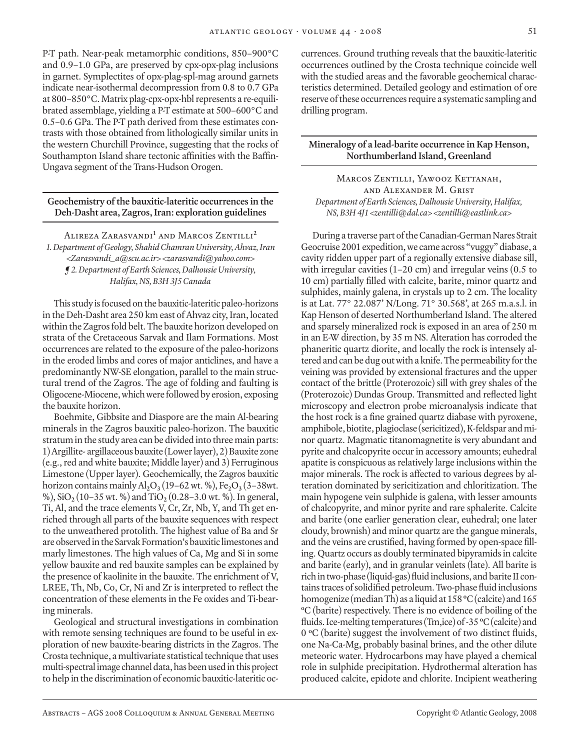P-T path. Near-peak metamorphic conditions, 850–900°C and 0.9–1.0 GPa, are preserved by cpx-opx-plag inclusions in garnet. Symplectites of opx-plag-spl-mag around garnets indicate near-isothermal decompression from 0.8 to 0.7 GPa at 800–850°C. Matrix plag-cpx-opx-hbl represents a re-equilibrated assemblage, yielding a P-T estimate at 500–600°C and 0.5–0.6 GPa. The P-T path derived from these estimates contrasts with those obtained from lithologically similar units in the western Churchill Province, suggesting that the rocks of Southampton Island share tectonic affinities with the Baffin-Ungava segment of the Trans-Hudson Orogen.

# **Geochemistry of the bauxitic-lateritic occurrences in the Deh-Dasht area, Zagros, Iran: exploration guidelines**

Alireza Zarasvandi**<sup>1</sup>** and Marcos Zentilli**<sup>2</sup>** *1. Department of Geology, Shahid Chamran University, Ahvaz, Iran <Zarasvandi\_a@scu.ac.ir> <zarasvandi@yahoo.com> ¶ 2. Department of Earth Sciences, Dalhousie University, Halifax, NS, B3H 3J5 Canada*

This study is focused on the bauxitic-lateritic paleo-horizons in the Deh-Dasht area 250 km east of Ahvaz city, Iran, located within the Zagros fold belt. The bauxite horizon developed on strata of the Cretaceous Sarvak and Ilam Formations. Most occurrences are related to the exposure of the paleo-horizons in the eroded limbs and cores of major anticlines, and have a predominantly NW-SE elongation, parallel to the main structural trend of the Zagros. The age of folding and faulting is Oligocene-Miocene, which were followed by erosion, exposing the bauxite horizon.

Boehmite, Gibbsite and Diaspore are the main Al-bearing minerals in the Zagros bauxitic paleo-horizon. The bauxitic stratum in the study area can be divided into three main parts: 1) Argillite- argillaceous bauxite (Lower layer), 2) Bauxite zone (e.g., red and white bauxite; Middle layer) and 3) Ferruginous Limestone (Upper layer). Geochemically, the Zagros bauxitic horizon contains mainly  $\text{Al}_2\text{O}_3(19-62 \text{ wt. } \%)$ , Fe<sub>2</sub>O<sub>3</sub>(3–38wt. %), SiO**2** (10–35 wt. %) and TiO**2** (0.28–3.0 wt. %). In general, Ti, Al, and the trace elements V, Cr, Zr, Nb, Y, and Th get enriched through all parts of the bauxite sequences with respect to the unweathered protolith. The highest value of Ba and Sr are observed in the Sarvak Formation's bauxitic limestones and marly limestones. The high values of Ca, Mg and Si in some yellow bauxite and red bauxite samples can be explained by the presence of kaolinite in the bauxite. The enrichment of V, LREE, Th, Nb, Co, Cr, Ni and Zr is interpreted to reflect the concentration of these elements in the Fe oxides and Ti-bearing minerals.

Geological and structural investigations in combination with remote sensing techniques are found to be useful in exploration of new bauxite-bearing districts in the Zagros. The Crosta technique, a multivariate statistical technique that uses multi-spectral image channel data, has been used in this project to help in the discrimination of economic bauxitic-lateritic occurrences. Ground truthing reveals that the bauxitic-lateritic occurrences outlined by the Crosta technique coincide well with the studied areas and the favorable geochemical characteristics determined. Detailed geology and estimation of ore reserve of these occurrences require a systematic sampling and drilling program.

# **Mineralogy of a lead-barite occurrence in Kap Henson, Northumberland Island, Greenland**

MARCOS ZENTILLI, YAWOOZ KETTANAH, and Alexander M. Grist *Department of Earth Sciences, Dalhousie University, Halifax, NS, B3H 4J1 <zentilli@dal.ca> <zentilli@eastlink.ca>*

During a traverse part of the Canadian-German Nares Strait Geocruise 2001 expedition, we came across "vuggy" diabase, a cavity ridden upper part of a regionally extensive diabase sill, with irregular cavities (1–20 cm) and irregular veins (0.5 to 10 cm) partially filled with calcite, barite, minor quartz and sulphides, mainly galena, in crystals up to 2 cm. The locality is at Lat. 77° 22.087' N/Long. 71° 30.568', at 265 m.a.s.l. in Kap Henson of deserted Northumberland Island. The altered and sparsely mineralized rock is exposed in an area of 250 m in an E-W direction, by 35 m NS. Alteration has corroded the phaneritic quartz diorite, and locally the rock is intensely altered and can be dug out with a knife. The permeability for the veining was provided by extensional fractures and the upper contact of the brittle (Proterozoic) sill with grey shales of the (Proterozoic) Dundas Group. Transmitted and reflected light microscopy and electron probe microanalysis indicate that the host rock is a fine grained quartz diabase with pyroxene, amphibole, biotite, plagioclase (sericitized), K-feldspar and minor quartz. Magmatic titanomagnetite is very abundant and pyrite and chalcopyrite occur in accessory amounts; euhedral apatite is conspicuous as relatively large inclusions within the major minerals. The rock is affected to various degrees by alteration dominated by sericitization and chloritization. The main hypogene vein sulphide is galena, with lesser amounts of chalcopyrite, and minor pyrite and rare sphalerite. Calcite and barite (one earlier generation clear, euhedral; one later cloudy, brownish) and minor quartz are the gangue minerals, and the veins are crustified, having formed by open-space filling. Quartz occurs as doubly terminated bipyramids in calcite and barite (early), and in granular veinlets (late). All barite is rich in two-phase (liquid-gas) fluid inclusions, and barite II contains traces of solidified petroleum. Two-phase fluid inclusions homogenize (median Th) as a liquid at 158 **<sup>o</sup>** C (calcite) and 165 **o** C (barite) respectively. There is no evidence of boiling of the fluids. Ice-melting temperatures (Tm,ice) of -35 **<sup>o</sup>** C (calcite) and 0 **<sup>o</sup>** C (barite) suggest the involvement of two distinct fluids, one Na-Ca-Mg, probably basinal brines, and the other dilute meteoric water. Hydrocarbons may have played a chemical role in sulphide precipitation. Hydrothermal alteration has produced calcite, epidote and chlorite. Incipient weathering